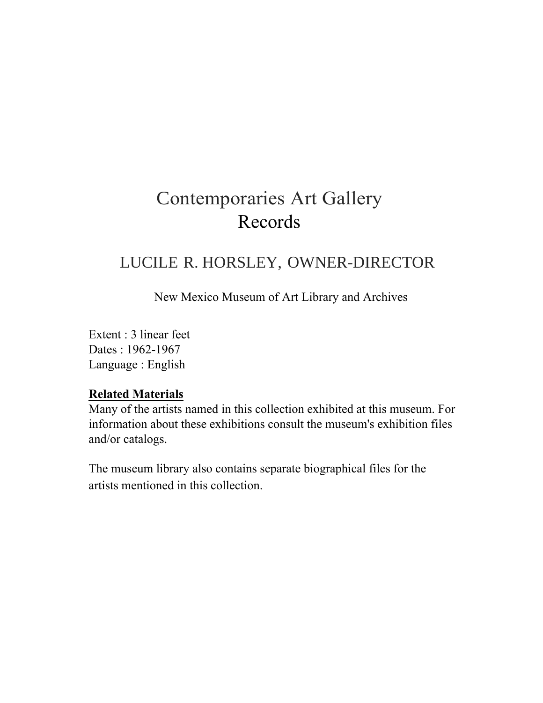### Contemporaries Art Gallery Records

#### LUCILE R. HORSLEY, OWNER-DIRECTOR

New Mexico Museum of Art Library and Archives

Extent : 3 linear feet Dates : 1962-1967 Language : English

#### **Related Materials**

Many of the artists named in this collection exhibited at this museum. For information about these exhibitions consult the museum's exhibition files and/or catalogs.

The museum library also contains separate biographical files for the artists mentioned in this collection.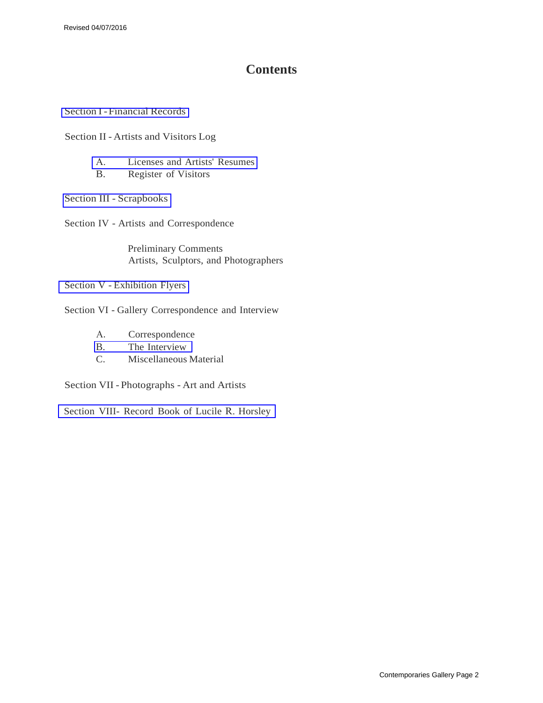#### **Contents**

[Section I - Financial](#page-3-0) Records

Section II - Artists and Visitors Log

- A. Licenses and Artists' [Resumes](#page-4-0)
- B. [Register](#page-6-0) of Visitors

Section [III - Scrapbooks](#page-7-0)

Section IV - Artists and Correspondence

[Preliminary](#page-9-0) Comments Artists, Sculptors, and [Photographers](#page-10-0)

[Section V - Exhibition](#page-83-0) Flyers

Section VI - Gallery Correspondence and Interview

- A. [Correspondence](#page-86-0)
- [B. The](#page-86-2) Interview
- [C. Miscellaneous](#page-86-1) Material

Section [VII - Photographs - Art](#page-88-0) and Artists

Section [VIII- Record](#page-90-0) Book of Lucile R. Horsley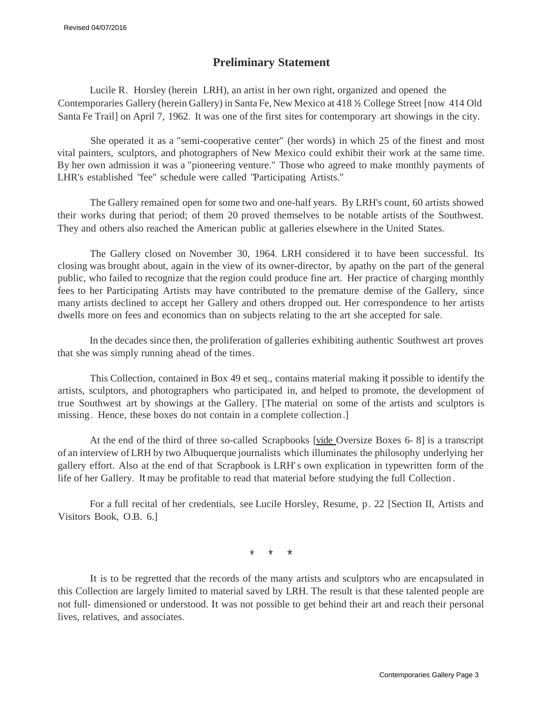#### **Preliminary Statement**

Lucile R. Horsley (herein LRH), an artist in her own right, organized and opened the Contemporaries Gallery (herein Gallery) in Santa Fe, New Mexico at 418 ½ College Street [now 414 Old Santa Fe Trail] on April 7, 1962. It was one of the first sites for contemporary art showings in the city.

She operated it as a "semi-cooperative center" (her words) in which 25 of the finest and most vital painters, sculptors, and photographers of New Mexico could exhibit their work at the same time. By her own admission it was a "pioneering venture." Those who agreed to make monthly payments of LHR's established "fee" schedule were called "Participating Artists."

The Gallery remained open for some two and one-half years. By LRH's count, 60 artists showed their works during that period; of them 20 proved themselves to be notable artists of the Southwest. They and others also reached the American public at galleries elsewhere in the United States.

The Gallery closed on November 30, 1964. LRH considered it to have been successful. Its closing was brought about, again in the view of its owner-director, by apathy on the part of the general public, who failed to recognize that the region could produce fine art. Her practice of charging monthly fees to her Participating Artists may have contributed to the premature demise of the Gallery, since many artists declined to accept her Gallery and others dropped out. Her correspondence to her artists dwells more on fees and economics than on subjects relating to the art she accepted for sale.

In the decades since then, the proliferation of galleries exhibiting authentic Southwest art proves that she was simply running ahead of the times.

This Collection, contained in Box 49 et seq., contains material making it possible to identify the artists, sculptors, and photographers who participated in, and helped to promote, the development of true Southwest art by showings at the Gallery. [The material on some of the artists and sculptors is missing. Hence, these boxes do not contain in a complete collection.]

At the end of the third of three so-called Scrapbooks [vide Oversize Boxes 6- 8] is a transcript of an interview of LRH by two Albuquerque journalists which illuminates the philosophy underlying her gallery effort. Also at the end of that Scrapbook is LRH' s own explication in typewritten form of the life of her Gallery. It may be profitable to read that material before studying the full Collection .

For a full recital of her credentials, see Lucile Horsley, Resume, p. 22 [Section II, Artists and Visitors Book, O.B. 6.]

\* \* \*

It is to be regretted that the records of the many artists and sculptors who are encapsulated in this Collection are largely limited to material saved by LRH. The result is that these talented people are not full- dimensioned or understood. It was not possible to get behind their art and reach their personal lives, relatives, and associates.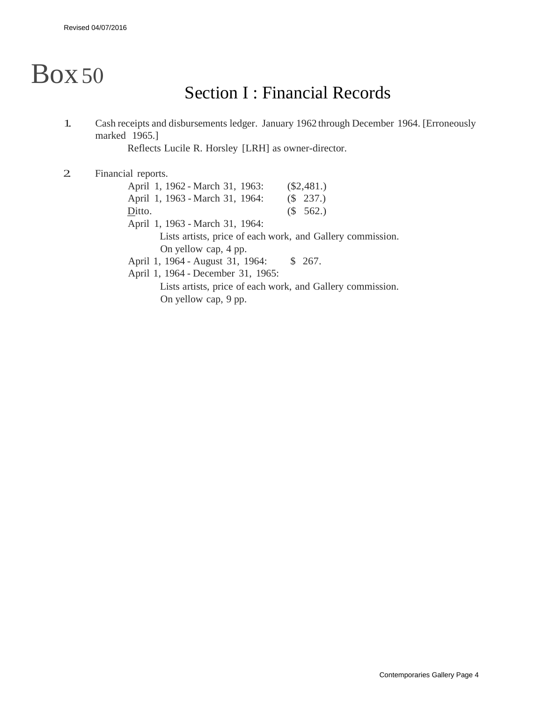# <span id="page-3-0"></span>Box50

### Section I : Financial Records

1. Cash receipts and disbursements ledger. January 1962 through December 1964. [Erroneously marked 1965.]

Reflects Lucile R. Horsley [LRH] as owner-director.

2. Financial reports.

| April 1, 1962 - March 31, 1963:    | $(\$2,481.)$                                               |
|------------------------------------|------------------------------------------------------------|
| April 1, 1963 - March 31, 1964:    | (\$237.)                                                   |
| Ditto.                             | (S 562.)                                                   |
| April 1, 1963 - March 31, 1964:    |                                                            |
|                                    | Lists artists, price of each work, and Gallery commission. |
| On yellow cap, 4 pp.               |                                                            |
| April 1, 1964 - August 31, 1964:   | \$267.                                                     |
| April 1, 1964 - December 31, 1965: |                                                            |

Lists artists, price of each work, and Gallery commission. On yellow cap, 9 pp.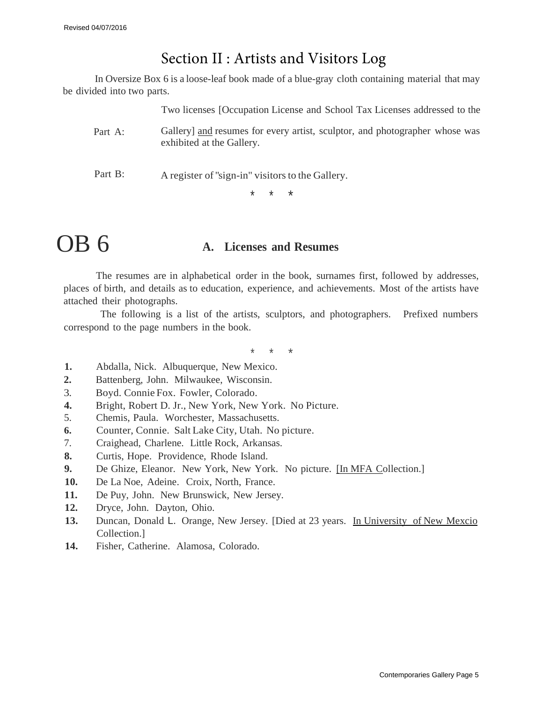#### Section II : Artists and Visitors Log

<span id="page-4-0"></span>In Oversize Box 6 is a loose-leaf book made of a blue-gray cloth containing material that may be divided into two parts.

Two licenses [Occupation License and School Tax Licenses addressed to the

- Part A: Gallery] and resumes for every artist, sculptor, and photographer whose was exhibited at the Gallery.
- Part B: A register of "sign-in" visitors to the Gallery.

\* \* \*

## OB 6 **A. Licenses and Resumes**

The resumes are in alphabetical order in the book, surnames first, followed by addresses, places of birth, and details as to education, experience, and achievements. Most of the artists have attached their photographs.

The following is a list of the artists, sculptors, and photographers. Prefixed numbers correspond to the page numbers in the book.

\* \* \*

- **1.** Abdalla, Nick. Albuquerque, New Mexico.
- **2.** Battenberg, John. Milwaukee, Wisconsin.
- 3. Boyd. Connie Fox. Fowler, Colorado.
- **4.** Bright, Robert D. Jr., New York, New York. No Picture.
- 5. Chemis, Paula. Worchester, Massachusetts.
- **6.** Counter, Connie. Salt Lake City, Utah. No picture.
- 7. Craighead, Charlene. Little Rock, Arkansas.
- **8.** Curtis, Hope. Providence, Rhode Island.
- **9.** De Ghize, Eleanor. New York, New York. No picture. [In MFA Collection.]
- **10.** De La Noe, Adeine. Croix, North, France.
- **11.** De Puy, John. New Brunswick, New Jersey.
- **12.** Dryce, John. Dayton, Ohio.
- **13.** Duncan, Donald L. Orange, New Jersey. [Died at 23 years. In University of New Mexcio Collection.]
- **14.** Fisher, Catherine. Alamosa, Colorado.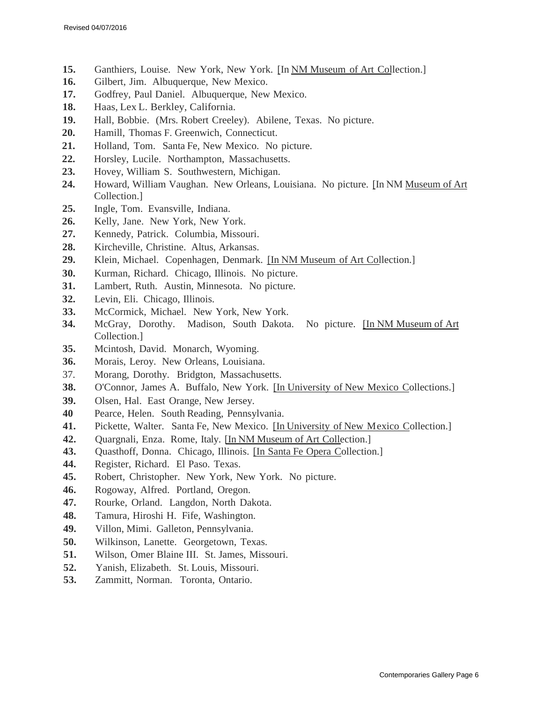- **15.** Ganthiers, Louise. New York, New York. [In NM Museum of Art Collection.]
- **16.** Gilbert, Jim. Albuquerque, New Mexico.
- **17.** Godfrey, Paul Daniel. Albuquerque, New Mexico.
- **18.** Haas, Lex L. Berkley, California.
- **19.** Hall, Bobbie. (Mrs. Robert Creeley). Abilene, Texas. No picture.
- **20.** Hamill, Thomas F. Greenwich, Connecticut.
- **21.** Holland, Tom. Santa Fe, New Mexico. No picture.
- **22.** Horsley, Lucile. Northampton, Massachusetts.
- **23.** Hovey, William S. Southwestern, Michigan.
- **24.** Howard, William Vaughan. New Orleans, Louisiana. No picture. [In NM Museum of Art Collection.]
- **25.** Ingle, Tom. Evansville, Indiana.
- **26.** Kelly, Jane. New York, New York.
- **27.** Kennedy, Patrick. Columbia, Missouri.
- **28.** Kircheville, Christine. Altus, Arkansas.
- **29.** Klein, Michael. Copenhagen, Denmark. [In NM Museum of Art Collection.]
- **30.** Kurman, Richard. Chicago, Illinois. No picture.
- **31.** Lambert, Ruth. Austin, Minnesota. No picture.
- **32.** Levin, Eli. Chicago, Illinois.
- **33.** McCormick, Michael. New York, New York.
- **34.** McGray, Dorothy. Madison, South Dakota. No picture. [In NM Museum of Art Collection.]
- **35.** Mcintosh, David. Monarch, Wyoming.
- **36.** Morais, Leroy. New Orleans, Louisiana.
- 37. Morang, Dorothy. Bridgton, Massachusetts.
- **38.** O'Connor, James A. Buffalo, New York. [In University of New Mexico Collections.]
- **39.** Olsen, Hal. East Orange, New Jersey.
- **40** Pearce, Helen. South Reading, Pennsylvania.
- **41.** Pickette, Walter. Santa Fe, New Mexico. [In University of New Mexico Collection.]
- **42.** Quargnali, Enza. Rome, Italy. [In NM Museum of Art Collection.]
- 43. Quasthoff, Donna. Chicago, Illinois. [In Santa Fe Opera Collection.]
- **44.** Register, Richard. El Paso. Texas.
- **45.** Robert, Christopher. New York, New York. No picture.
- **46.** Rogoway, Alfred. Portland, Oregon.
- **47.** Rourke, Orland. Langdon, North Dakota.
- **48.** Tamura, Hiroshi H. Fife, Washington.
- **49.** Villon, Mimi. Galleton, Pennsylvania.
- **50.** Wilkinson, Lanette. Georgetown, Texas.
- **51.** Wilson, Omer Blaine III. St. James, Missouri.
- **52.** Yanish, Elizabeth. St. Louis, Missouri.
- **53.** Zammitt, Norman. Toronta, Ontario.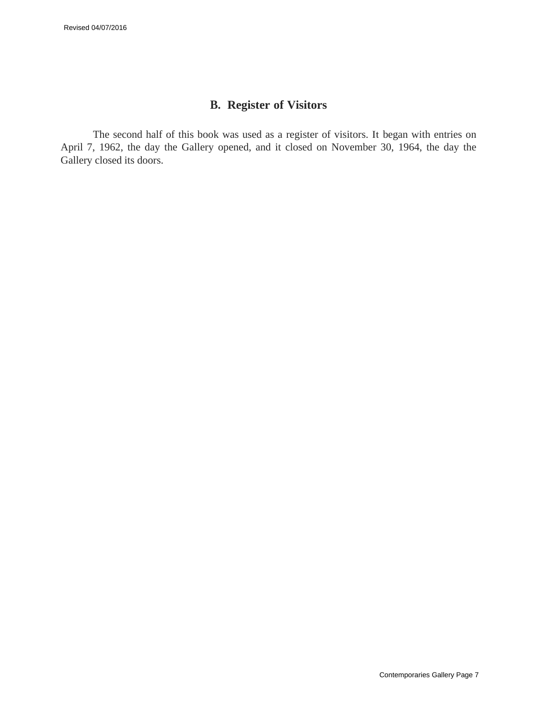#### **B. Register of Visitors**

<span id="page-6-0"></span>The second half of this book was used as a register of visitors. It began with entries on April 7, 1962, the day the Gallery opened, and it closed on November 30, 1964, the day the Gallery closed its doors.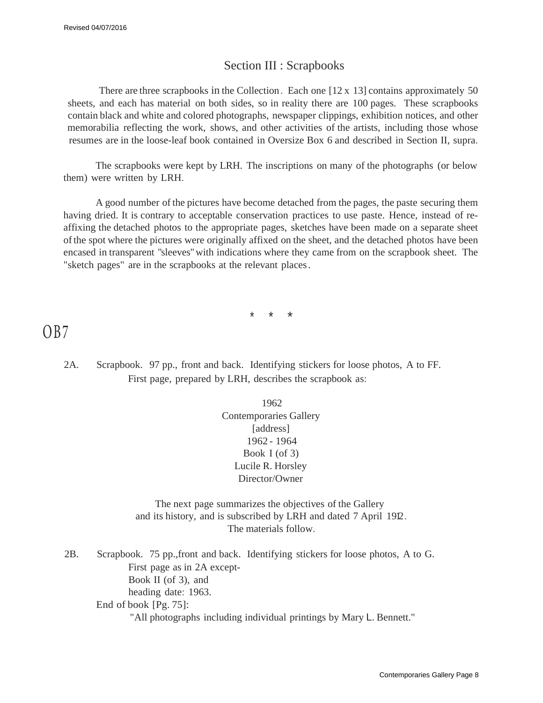#### Section III : Scrapbooks

<span id="page-7-0"></span>There are three scrapbooks in the Collection. Each one  $[12 \times 13]$  contains approximately 50 sheets, and each has material on both sides, so in reality there are 100 pages. These scrapbooks contain black and white and colored photographs, newspaper clippings, exhibition notices, and other memorabilia reflecting the work, shows, and other activities of the artists, including those whose resumes are in the loose-leaf book contained in Oversize Box 6 and described in Section II, supra.

The scrapbooks were kept by LRH. The inscriptions on many of the photographs (or below them) were written by LRH.

A good number of the pictures have become detached from the pages, the paste securing them having dried. It is contrary to acceptable conservation practices to use paste. Hence, instead of reaffixing the detached photos to the appropriate pages, sketches have been made on a separate sheet of the spot where the pictures were originally affixed on the sheet, and the detached photos have been encased in transparent "sleeves" with indications where they came from on the scrapbook sheet. The "sketch pages" are in the scrapbooks at the relevant places .

\* \* \*

OB7

2A. Scrapbook. 97 pp., front and back. Identifying stickers for loose photos, A to FF. First page, prepared by LRH, describes the scrapbook as:

> 1962 Contemporaries Gallery [address] 1962 - 1964 Book I (of 3) Lucile R. Horsley Director/Owner

The next page summarizes the objectives of the Gallery and its history, and is subscribed by LRH and dated 7 April 1912 . The materials follow.

2B. Scrapbook. 75 pp.,front and back. Identifying stickers for loose photos, A to G. First page as in 2A except-Book II (of 3), and heading date: 1963. End of book [Pg. 75]: "All photographs including individual printings by Mary L. Bennett."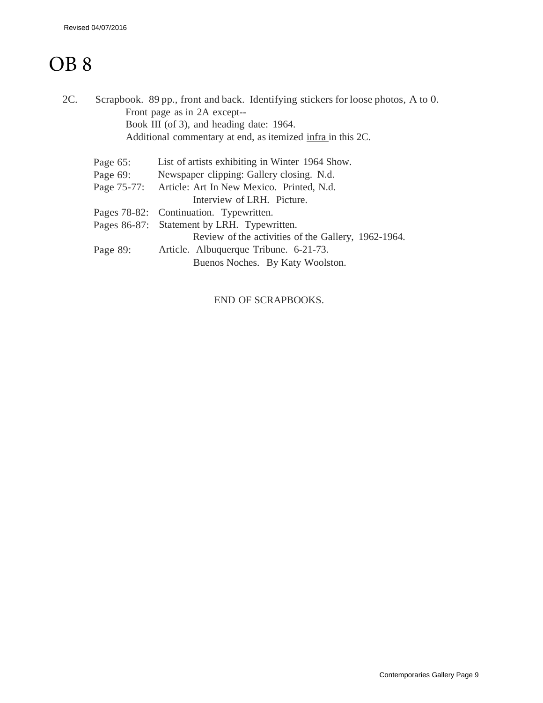## OB 8

| 2C. |             | Scrapbook. 89 pp., front and back. Identifying stickers for loose photos, A to 0. |
|-----|-------------|-----------------------------------------------------------------------------------|
|     |             | Front page as in 2A except--                                                      |
|     |             | Book III (of 3), and heading date: 1964.                                          |
|     |             | Additional commentary at end, as itemized infra in this 2C.                       |
|     | Page $65$ : | List of artists exhibiting in Winter 1964 Show.                                   |
|     |             | Page 69: Newspaper clipping: Gallery closing. N.d.                                |
|     |             | Page 75-77: Article: Art In New Mexico. Printed, N.d.                             |
|     |             | Interview of LRH. Picture.                                                        |
|     |             | Pages 78-82: Continuation. Typewritten.                                           |
|     |             | Pages 86-87: Statement by LRH. Typewritten.                                       |
|     |             | Review of the activities of the Gallery, 1962-1964.                               |
|     | Page 89:    | Article. Albuquerque Tribune. 6-21-73.                                            |
|     |             | Buenos Noches. By Katy Woolston.                                                  |
|     |             |                                                                                   |

END OF SCRAPBOOKS.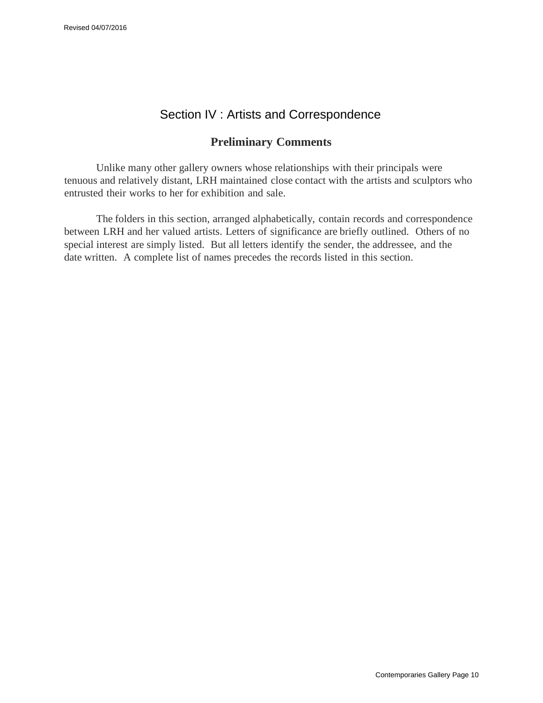#### Section IV : Artists and Correspondence

#### **Preliminary Comments**

<span id="page-9-0"></span>Unlike many other gallery owners whose relationships with their principals were tenuous and relatively distant, LRH maintained close contact with the artists and sculptors who entrusted their works to her for exhibition and sale.

The folders in this section, arranged alphabetically, contain records and correspondence between LRH and her valued artists. Letters of significance are briefly outlined. Others of no special interest are simply listed. But all letters identify the sender, the addressee, and the date written. A complete list of names precedes the records listed in this section.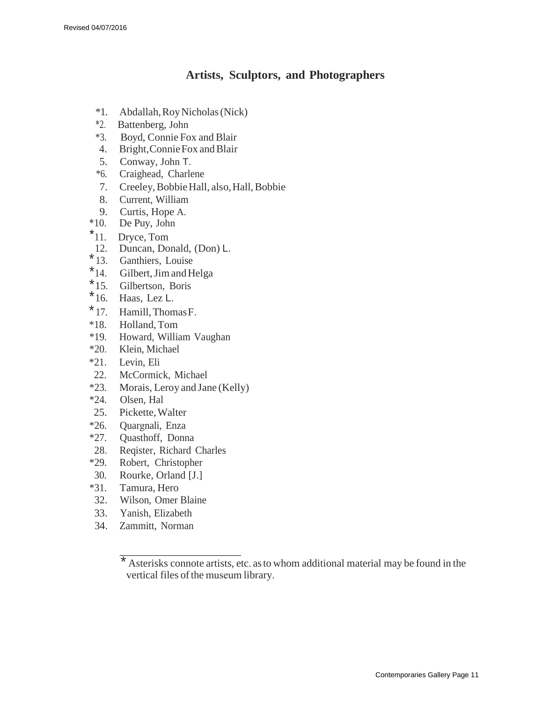#### **Artists, Sculptors, and Photographers**

- <span id="page-10-0"></span>\*1. Abdallah, RoyNicholas(Nick)
- \*2. Battenberg, John
- \*3. Boyd, Connie Fox and Blair
- 4. Bright, Connie Fox and Blair<br>5. Conway, John T.
- 5. Conway, John T.
- \*6. Craighead, Charlene
- 7. Creeley, Bobbie Hall, also, Hall, Bobbie
- 8. Current, William
- 9. Curtis, Hope A.
- \*10. De Puy, John
- \*11. Dryce, Tom
- 12. Duncan, Donald, (Don) L.
- 
- $*$  13. Ganthiers, Louise<br> $*$  14. Gilbert, Jim and H Gilbert, Jim and Helga
- \* 15. Gilbertson, Boris
- 
- $*$  16. Haas, Lez L.<br> $*$  17. Hamill, Thon  $*17.$  Hamill, Thomas F.<br> $*18.$  Holland, Tom
- Holland, Tom
- \*19. Howard, William Vaughan
- \*20. Klein, Michael
- \*21. Levin, Eli
- 22. McCormick, Michael
- \*23. Morais, Leroy and Jane (Kelly)
- \*24. Olsen, Hal
- 25. Pickette,Walter
- \*26. Quargnali, Enza
- \*27. Quasthoff, Donna
- 28. Reqister, Richard Charles
- \*29. Robert, Christopher
- 30. Rourke, Orland [J.]
- \*31. Tamura, Hero
- 32. Wilson, Omer Blaine
- 33. Yanish, Elizabeth
- 34. Zammitt, Norman

<sup>\*</sup> Asterisks connote artists, etc. as to whom additional material may be found in the vertical files of the museum library.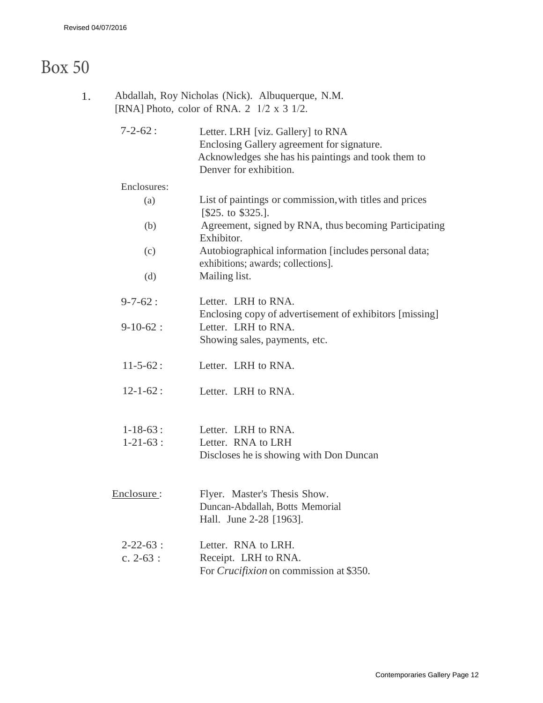## Box 50

| 1. | Abdallah, Roy Nicholas (Nick). Albuquerque, N.M.<br>[RNA] Photo, color of RNA. $2 \frac{1}{2} \times 3 \frac{1}{2}$ . |                                                                                                                                                                  |  |  |
|----|-----------------------------------------------------------------------------------------------------------------------|------------------------------------------------------------------------------------------------------------------------------------------------------------------|--|--|
|    | $7 - 2 - 62$ :                                                                                                        | Letter. LRH [viz. Gallery] to RNA<br>Enclosing Gallery agreement for signature.<br>Acknowledges she has his paintings and took them to<br>Denver for exhibition. |  |  |
|    | Enclosures:                                                                                                           |                                                                                                                                                                  |  |  |
|    | (a)                                                                                                                   | List of paintings or commission, with titles and prices<br>[\$25. to \$325.]                                                                                     |  |  |
|    | (b)                                                                                                                   | Agreement, signed by RNA, thus becoming Participating<br>Exhibitor.                                                                                              |  |  |
|    | (c)                                                                                                                   | Autobiographical information [includes personal data;<br>exhibitions; awards; collections].                                                                      |  |  |
|    | (d)                                                                                                                   | Mailing list.                                                                                                                                                    |  |  |
|    | $9 - 7 - 62:$                                                                                                         | Letter. LRH to RNA.<br>Enclosing copy of advertisement of exhibitors [missing]                                                                                   |  |  |
|    | $9-10-62:$                                                                                                            | Letter. LRH to RNA.<br>Showing sales, payments, etc.                                                                                                             |  |  |
|    | $11 - 5 - 62$ :                                                                                                       | Letter. LRH to RNA.                                                                                                                                              |  |  |
|    | $12 - 1 - 62$ :                                                                                                       | Letter. LRH to RNA.                                                                                                                                              |  |  |
|    | $1 - 18 - 63$ :                                                                                                       | Letter. LRH to RNA.                                                                                                                                              |  |  |
|    | $1 - 21 - 63$ :                                                                                                       | Letter. RNA to LRH<br>Discloses he is showing with Don Duncan                                                                                                    |  |  |
|    |                                                                                                                       |                                                                                                                                                                  |  |  |
|    | Enclosure:                                                                                                            | Flyer. Master's Thesis Show.<br>Duncan-Abdallah, Botts Memorial<br>Hall. June 2-28 [1963].                                                                       |  |  |
|    | $2 - 22 - 63$ :                                                                                                       | Letter. RNA to LRH.                                                                                                                                              |  |  |
|    | c. $2-63$ :                                                                                                           | Receipt. LRH to RNA.                                                                                                                                             |  |  |
|    |                                                                                                                       | For <i>Crucifixion</i> on commission at \$350.                                                                                                                   |  |  |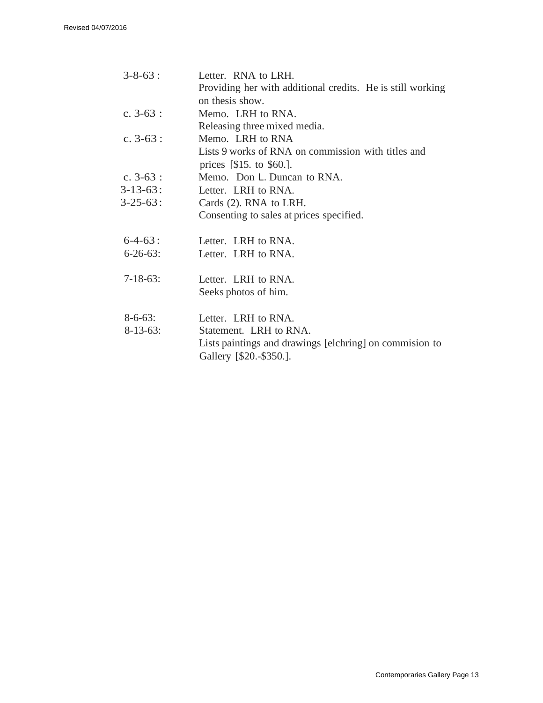| $3 - 8 - 63$ :  | Letter. RNA to LRH.                                                                 |
|-----------------|-------------------------------------------------------------------------------------|
|                 | Providing her with additional credits. He is still working                          |
|                 | on thesis show.                                                                     |
| c. $3-63$ :     | Memo. LRH to RNA.                                                                   |
|                 | Releasing three mixed media.                                                        |
| c. $3-63$ :     | Memo. LRH to RNA                                                                    |
|                 | Lists 9 works of RNA on commission with titles and                                  |
|                 | prices $[$15. to $60.]$ .                                                           |
| c. $3-63$ :     | Memo. Don L. Duncan to RNA.                                                         |
| $3 - 13 - 63$ : | Letter. LRH to RNA.                                                                 |
| $3 - 25 - 63$ : | Cards (2). RNA to LRH.                                                              |
|                 | Consenting to sales at prices specified.                                            |
| $6-4-63:$       | Letter. LRH to RNA.                                                                 |
| $6 - 26 - 63$ : | Letter. LRH to RNA.                                                                 |
| $7-18-63$ :     | Letter. LRH to RNA.                                                                 |
|                 | Seeks photos of him.                                                                |
| $8-6-63$ :      | Letter. LRH to RNA.                                                                 |
| $8-13-63$ :     | Statement. LRH to RNA.                                                              |
|                 | Lists paintings and drawings [elchring] on commission to<br>Gallery [\$20.-\$350.]. |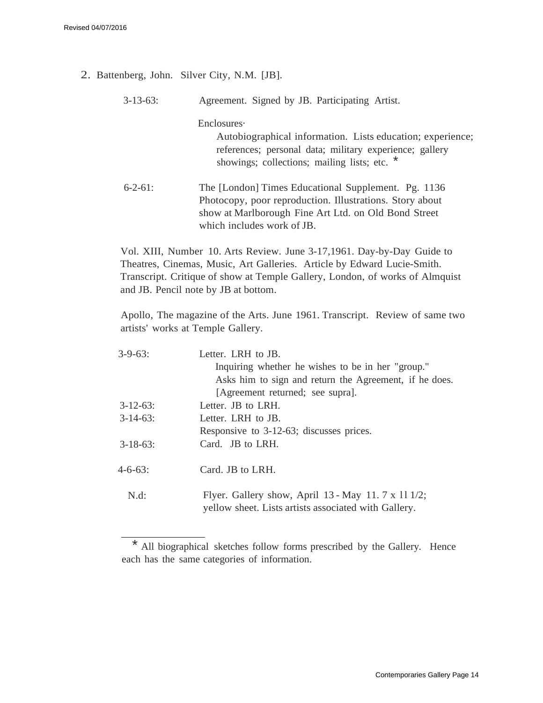- 2. Battenberg, John. Silver City, N.M. [JB].
	- 3-13-63: Agreement. Signed by JB. Participating Artist.

Enclosures·

Autobiographical information. Lists education; experience; references; personal data; military experience; gallery showings; collections; mailing lists; etc. \*

6-2-61: The [London] Times Educational Supplement. Pg. 1136 Photocopy, poor reproduction. Illustrations. Story about show at Marlborough Fine Art Ltd. on Old Bond Street which includes work of JB.

Vol. XIII, Number 10. Arts Review. June 3-17,1961. Day-by-Day Guide to Theatres, Cinemas, Music, Art Galleries. Article by Edward Lucie-Smith. Transcript. Critique of show at Temple Gallery, London, of works of Almquist and JB. Pencil note by JB at bottom.

Apollo, The magazine of the Arts. June 1961. Transcript. Review of same two artists' works at Temple Gallery.

| $3 - 9 - 63$ :  | Letter. LRH to JB.                                                                                          |
|-----------------|-------------------------------------------------------------------------------------------------------------|
|                 | Inquiring whether he wishes to be in her "group."                                                           |
|                 | Asks him to sign and return the Agreement, if he does.                                                      |
|                 | [Agreement returned; see supra].                                                                            |
| $3 - 12 - 63$ : | Letter. JB to LRH.                                                                                          |
| $3-14-63$ :     | Letter. LRH to JB.                                                                                          |
|                 | Responsive to 3-12-63; discusses prices.                                                                    |
| $3 - 18 - 63$ : | Card. JB to LRH.                                                                                            |
| $4 - 6 - 63$ :  | Card. JB to LRH.                                                                                            |
| N.d:            | Flyer. Gallery show, April 13 - May 11. 7 x 11 1/2;<br>yellow sheet. Lists artists associated with Gallery. |
|                 |                                                                                                             |

<sup>\*</sup> All biographical sketches follow forms prescribed by the Gallery. Hence each has the same categories of information.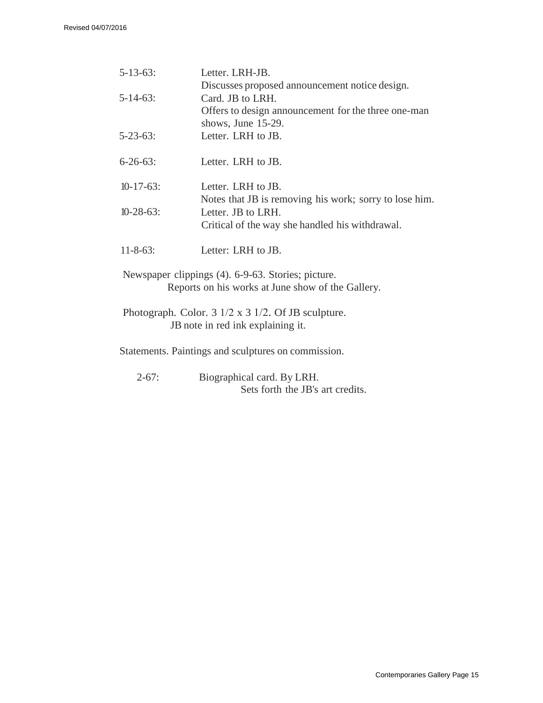| $5 - 13 - 63$ :  | Letter. LRH-JB.                                                            |  |  |
|------------------|----------------------------------------------------------------------------|--|--|
|                  | Discusses proposed announcement notice design.                             |  |  |
| $5 - 14 - 63$ :  | Card. JB to LRH.                                                           |  |  |
|                  | Offers to design announcement for the three one-man                        |  |  |
|                  | shows, June 15-29.                                                         |  |  |
| $5 - 23 - 63$ :  | Letter. LRH to JB.                                                         |  |  |
| $6 - 26 - 63$ :  | Letter. LRH to JB.                                                         |  |  |
| $10-17-63$ :     | Letter. LRH to JB.                                                         |  |  |
|                  | Notes that JB is removing his work; sorry to lose him.                     |  |  |
| $10 - 28 - 63$ : | Letter. JB to LRH.                                                         |  |  |
|                  | Critical of the way she handled his withdrawal.                            |  |  |
| $11 - 8 - 63$ :  | Letter: LRH to JB.                                                         |  |  |
|                  | Newspaper clippings (4). 6-9-63. Stories; picture.                         |  |  |
|                  | Reports on his works at June show of the Gallery.                          |  |  |
|                  | Photograph. Color. $3 \frac{1}{2} \times 3 \frac{1}{2}$ . Of JB sculpture. |  |  |
|                  | JB note in red ink explaining it.                                          |  |  |
|                  | Statements. Paintings and sculptures on commission.                        |  |  |
| $2 - 67$ :       | Biographical card. By LRH.                                                 |  |  |

Sets forth the JB's art credits.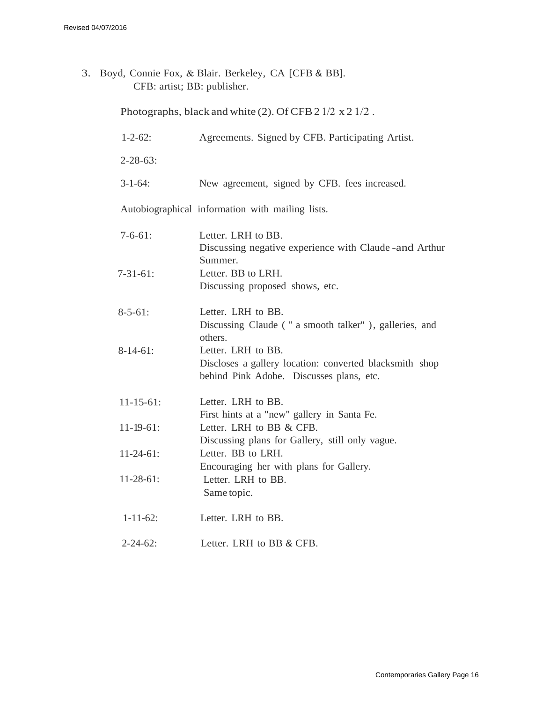3. Boyd, Connie Fox, & Blair. Berkeley, CA [CFB & BB]. CFB: artist; BB: publisher.

Photographs, black and white (2). Of CFB 2 1/2 x 2 1/2.

| $1 - 2 - 62$ :   | Agreements. Signed by CFB. Participating Artist.                                                                          |
|------------------|---------------------------------------------------------------------------------------------------------------------------|
| $2 - 28 - 63$ :  |                                                                                                                           |
| $3 - 1 - 64$ :   | New agreement, signed by CFB. fees increased.                                                                             |
|                  | Autobiographical information with mailing lists.                                                                          |
| $7 - 6 - 61$ :   | Letter. LRH to BB.<br>Discussing negative experience with Claude - and Arthur                                             |
| $7 - 31 - 61$ :  | Summer.<br>Letter. BB to LRH.<br>Discussing proposed shows, etc.                                                          |
| $8 - 5 - 61$ :   | Letter. LRH to BB.<br>Discussing Claude ("a smooth talker"), galleries, and<br>others.                                    |
| $8-14-61$ :      | Letter. LRH to BB.<br>Discloses a gallery location: converted blacksmith shop<br>behind Pink Adobe. Discusses plans, etc. |
| $11 - 15 - 61$ : | Letter. LRH to BB.<br>First hints at a "new" gallery in Santa Fe.                                                         |
| $11 - 19 - 61$ : | Letter. LRH to BB & CFB.<br>Discussing plans for Gallery, still only vague.                                               |
| $11-24-61$ :     | Letter. BB to LRH.<br>Encouraging her with plans for Gallery.                                                             |
| $11-28-61$ :     | Letter. LRH to BB.<br>Same topic.                                                                                         |
| $1 - 11 - 62$ :  | Letter. LRH to BB.                                                                                                        |
| $2 - 24 - 62$ :  | Letter. LRH to BB & CFB.                                                                                                  |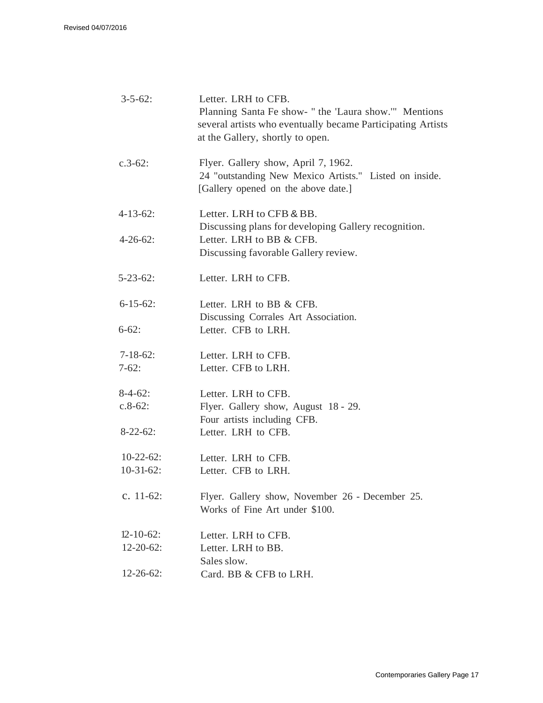| Letter. LRH to CFB.<br>$3 - 5 - 62$ :<br>Planning Santa Fe show- " the 'Laura show.'" Mentions<br>several artists who eventually became Participating Artists<br>at the Gallery, shortly to open. |                                                                                                                                      |  |  |
|---------------------------------------------------------------------------------------------------------------------------------------------------------------------------------------------------|--------------------------------------------------------------------------------------------------------------------------------------|--|--|
| $c.3-62$ :                                                                                                                                                                                        | Flyer. Gallery show, April 7, 1962.<br>24 "outstanding New Mexico Artists." Listed on inside.<br>[Gallery opened on the above date.] |  |  |
| $4 - 13 - 62$ :                                                                                                                                                                                   | Letter. LRH to CFB & BB.<br>Discussing plans for developing Gallery recognition.                                                     |  |  |
| $4 - 26 - 62$ :                                                                                                                                                                                   | Letter. LRH to BB & CFB.<br>Discussing favorable Gallery review.                                                                     |  |  |
| $5 - 23 - 62$ :                                                                                                                                                                                   | Letter. LRH to CFB.                                                                                                                  |  |  |
| $6 - 15 - 62$ :                                                                                                                                                                                   | Letter. LRH to BB & CFB.<br>Discussing Corrales Art Association.                                                                     |  |  |
| $6 - 62$ :                                                                                                                                                                                        | Letter. CFB to LRH.                                                                                                                  |  |  |
| $7-18-62$ :<br>$7-62:$                                                                                                                                                                            | Letter. LRH to CFB.<br>Letter. CFB to LRH.                                                                                           |  |  |
|                                                                                                                                                                                                   |                                                                                                                                      |  |  |
| $8-4-62$ :                                                                                                                                                                                        | Letter. LRH to CFB.                                                                                                                  |  |  |
| $c.8-62$ :                                                                                                                                                                                        | Flyer. Gallery show, August 18 - 29.<br>Four artists including CFB.                                                                  |  |  |
| $8-22-62$ :                                                                                                                                                                                       | Letter. LRH to CFB.                                                                                                                  |  |  |
| $10-22-62$ :                                                                                                                                                                                      | Letter. LRH to CFB.                                                                                                                  |  |  |
| $10-31-62$ :                                                                                                                                                                                      | Letter. CFB to LRH.                                                                                                                  |  |  |
| c. $11-62$ :                                                                                                                                                                                      | Flyer. Gallery show, November 26 - December 25.<br>Works of Fine Art under \$100.                                                    |  |  |
| $12 - 10 - 62$ :                                                                                                                                                                                  | Letter. LRH to CFB.                                                                                                                  |  |  |
| $12 - 20 - 62$ :                                                                                                                                                                                  | Letter. LRH to BB.                                                                                                                   |  |  |
|                                                                                                                                                                                                   | Sales slow.                                                                                                                          |  |  |
| $12 - 26 - 62$ :                                                                                                                                                                                  | Card. BB & CFB to LRH.                                                                                                               |  |  |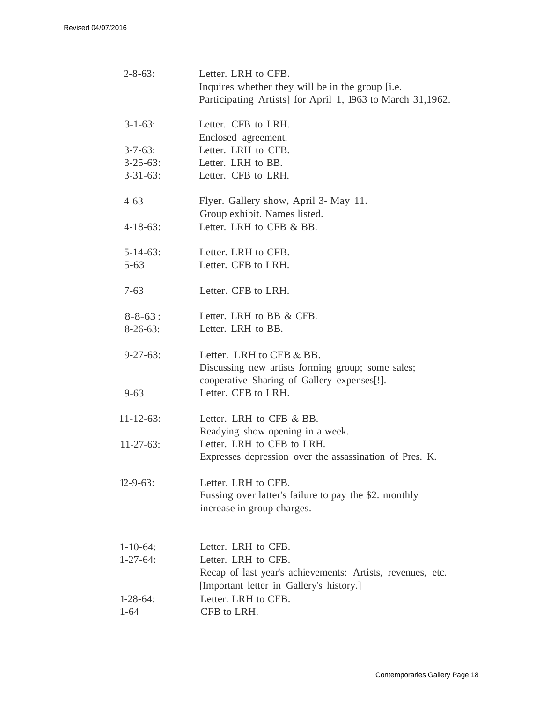| $2 - 8 - 63$ :   | Letter. LRH to CFB.<br>Inquires whether they will be in the group [i.e.<br>Participating Artists] for April 1, 1963 to March 31,1962. |
|------------------|---------------------------------------------------------------------------------------------------------------------------------------|
| $3 - 1 - 63$ :   | Letter. CFB to LRH.<br>Enclosed agreement.                                                                                            |
| $3 - 7 - 63$ :   | Letter. LRH to CFB.                                                                                                                   |
| $3 - 25 - 63$ :  | Letter. LRH to BB.                                                                                                                    |
| $3 - 31 - 63$ :  | Letter. CFB to LRH.                                                                                                                   |
| $4 - 63$         | Flyer. Gallery show, April 3- May 11.<br>Group exhibit. Names listed.                                                                 |
| $4 - 18 - 63$ :  | Letter. LRH to CFB & BB.                                                                                                              |
| $5 - 14 - 63$ :  | Letter. LRH to CFB.                                                                                                                   |
| $5 - 63$         | Letter. CFB to LRH.                                                                                                                   |
| $7 - 63$         | Letter. CFB to LRH.                                                                                                                   |
| $8 - 8 - 63$ :   | Letter. LRH to BB & CFB.                                                                                                              |
| $8-26-63$ :      | Letter. LRH to BB.                                                                                                                    |
| $9 - 27 - 63$ :  | Letter. LRH to CFB & BB.<br>Discussing new artists forming group; some sales;<br>cooperative Sharing of Gallery expenses[!].          |
| $9 - 63$         | Letter. CFB to LRH.                                                                                                                   |
| $11 - 12 - 63$ : | Letter. LRH to CFB & BB.<br>Readying show opening in a week.                                                                          |
| $11 - 27 - 63$ : | Letter. LRH to CFB to LRH.                                                                                                            |
|                  | Expresses depression over the assassination of Pres. K.                                                                               |
| $12 - 9 - 63$ :  | Letter. LRH to CFB.<br>Fussing over latter's failure to pay the \$2. monthly<br>increase in group charges.                            |
| $1 - 10 - 64$ :  | Letter. LRH to CFB.                                                                                                                   |
| $1 - 27 - 64$ :  | Letter. LRH to CFB.                                                                                                                   |
|                  | Recap of last year's achievements: Artists, revenues, etc.<br>[Important letter in Gallery's history.]                                |
| $1-28-64$ :      | Letter. LRH to CFB.                                                                                                                   |
| $1 - 64$         | CFB to LRH.                                                                                                                           |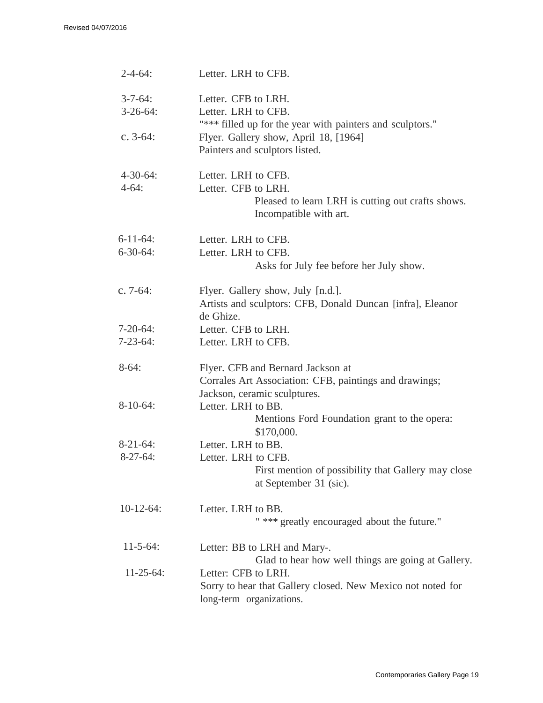| $2 - 4 - 64$ :                     | Letter. LRH to CFB.                                                                                                         |
|------------------------------------|-----------------------------------------------------------------------------------------------------------------------------|
| $3 - 7 - 64$ :<br>$3-26-64$ :      | Letter. CFB to LRH.<br>Letter. LRH to CFB.<br>"*** filled up for the year with painters and sculptors."                     |
| c. $3-64$ :                        | Flyer. Gallery show, April 18, [1964]<br>Painters and sculptors listed.                                                     |
| $4 - 30 - 64$ :<br>$4-64:$         | Letter. LRH to CFB.<br>Letter. CFB to LRH.<br>Pleased to learn LRH is cutting out crafts shows.<br>Incompatible with art.   |
| $6 - 11 - 64$ :<br>$6 - 30 - 64$ : | Letter. LRH to CFB.<br>Letter. LRH to CFB.<br>Asks for July fee before her July show.                                       |
| c. 7-64:                           | Flyer. Gallery show, July [n.d.].<br>Artists and sculptors: CFB, Donald Duncan [infra], Eleanor<br>de Ghize.                |
| $7-20-64$ :<br>$7 - 23 - 64$ :     | Letter. CFB to LRH.<br>Letter. LRH to CFB.                                                                                  |
| $8-64:$                            | Flyer. CFB and Bernard Jackson at<br>Corrales Art Association: CFB, paintings and drawings;<br>Jackson, ceramic sculptures. |
| $8-10-64$ :                        | Letter. LRH to BB.<br>Mentions Ford Foundation grant to the opera:<br>\$170,000.                                            |
| $8-21-64$ :<br>$8-27-64$ :         | Letter. LRH to BB.<br>Letter. LRH to CFB.<br>First mention of possibility that Gallery may close<br>at September 31 (sic).  |
| $10-12-64$ :                       | Letter. LRH to BB.<br>" *** greatly encouraged about the future."                                                           |
| $11 - 5 - 64$ :                    | Letter: BB to LRH and Mary-.<br>Glad to hear how well things are going at Gallery.                                          |
| $11-25-64$ :                       | Letter: CFB to LRH.<br>Sorry to hear that Gallery closed. New Mexico not noted for<br>long-term organizations.              |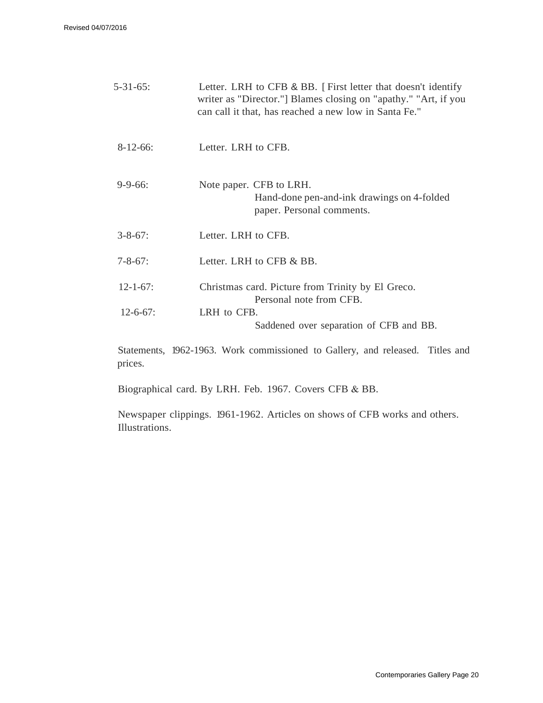Revised 04/07/2016

|                 | Letter. LRH to CFB & BB. [First letter that doesn't identify<br>writer as "Director."] Blames closing on "apathy." "Art, if you<br>can call it that, has reached a new low in Santa Fe." |  |  |
|-----------------|------------------------------------------------------------------------------------------------------------------------------------------------------------------------------------------|--|--|
| $8-12-66$ :     | Letter. LRH to CFB.                                                                                                                                                                      |  |  |
| $9 - 9 - 66$ :  | Note paper. CFB to LRH.<br>Hand-done pen-and-ink drawings on 4-folded<br>paper. Personal comments.                                                                                       |  |  |
| $3 - 8 - 67$ :  | Letter. LRH to CFB.                                                                                                                                                                      |  |  |
| $7 - 8 - 67$ :  | Letter. LRH to CFB & BB.                                                                                                                                                                 |  |  |
| $12 - 1 - 67$ : | Christmas card. Picture from Trinity by El Greco.<br>Personal note from CFB.                                                                                                             |  |  |
| $12 - 6 - 67$ : | LRH to CFB.<br>Saddened over separation of CFB and BB.                                                                                                                                   |  |  |

Statements, 1962-1963. Work commissioned to Gallery, and released. Titles and prices.

Biographical card. By LRH. Feb. 1967. Covers CFB & BB.

Newspaper clippings. 1961-1962. Articles on shows of CFB works and others. Illustrations.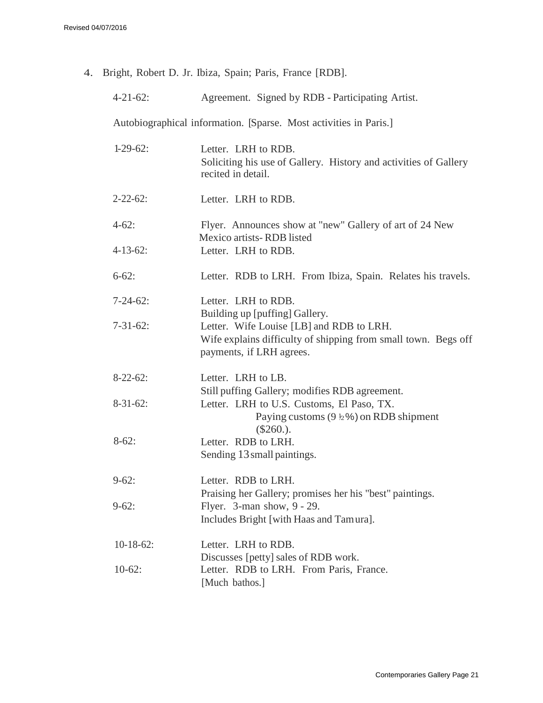4. Bright, Robert D. Jr. Ibiza, Spain; Paris, France [RDB].

| 4-21-62: | Agreement. Signed by RDB - Participating Artist. |  |
|----------|--------------------------------------------------|--|
|          |                                                  |  |

Autobiographical information. [Sparse. Most activities in Paris.]

| $1-29-62$ :     | Letter. LRH to RDB.<br>Soliciting his use of Gallery. History and activities of Gallery<br>recited in detail.                          |  |  |
|-----------------|----------------------------------------------------------------------------------------------------------------------------------------|--|--|
| $2 - 22 - 62$ : | Letter. LRH to RDB.                                                                                                                    |  |  |
| $4-62:$         | Flyer. Announces show at "new" Gallery of art of 24 New<br>Mexico artists-RDB listed                                                   |  |  |
| $4 - 13 - 62$ : | Letter. LRH to RDB.                                                                                                                    |  |  |
| $6 - 62$ :      | Letter. RDB to LRH. From Ibiza, Spain. Relates his travels.                                                                            |  |  |
| $7 - 24 - 62$ : | Letter. LRH to RDB.<br>Building up [puffing] Gallery.                                                                                  |  |  |
| $7 - 31 - 62$ : | Letter. Wife Louise [LB] and RDB to LRH.<br>Wife explains difficulty of shipping from small town. Begs off<br>payments, if LRH agrees. |  |  |
| $8-22-62$ :     | Letter. LRH to LB.<br>Still puffing Gallery; modifies RDB agreement.                                                                   |  |  |
| $8-31-62$ :     | Letter. LRH to U.S. Customs, El Paso, TX.<br>Paying customs $(9 \frac{1}{2}\%)$ on RDB shipment<br>$(\$260.)$ .                        |  |  |
| $8-62:$         | Letter. RDB to LRH.<br>Sending 13 small paintings.                                                                                     |  |  |
| $9-62:$         | Letter. RDB to LRH.<br>Praising her Gallery; promises her his "best" paintings.                                                        |  |  |
| $9-62:$         | Flyer. 3-man show, 9 - 29.<br>Includes Bright [with Haas and Tamura].                                                                  |  |  |
| $10-18-62$ :    | Letter. LRH to RDB.<br>Discusses [petty] sales of RDB work.                                                                            |  |  |
| $10-62$ :       | Letter. RDB to LRH. From Paris, France.<br>[Much bathos.]                                                                              |  |  |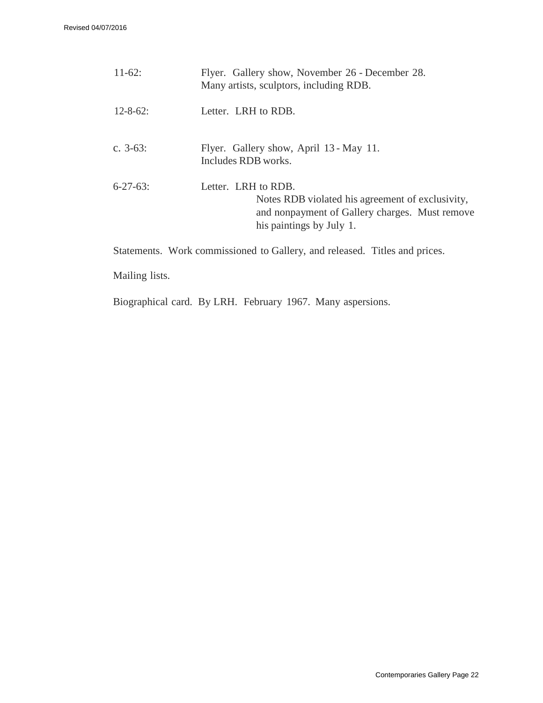| $11-62$ :       | Flyer. Gallery show, November 26 - December 28.<br>Many artists, sculptors, including RDB.                                                            |
|-----------------|-------------------------------------------------------------------------------------------------------------------------------------------------------|
| $12 - 8 - 62$ : | Letter. LRH to RDB.                                                                                                                                   |
| c. $3-63$ :     | Flyer. Gallery show, April 13 - May 11.<br>Includes RDB works.                                                                                        |
| $6 - 27 - 63$   | Letter. LRH to RDB.<br>Notes RDB violated his agreement of exclusivity,<br>and nonpayment of Gallery charges. Must remove<br>his paintings by July 1. |

Statements. Work commissioned to Gallery, and released. Titles and prices.

Mailing lists.

Biographical card. By LRH. February 1967. Many aspersions.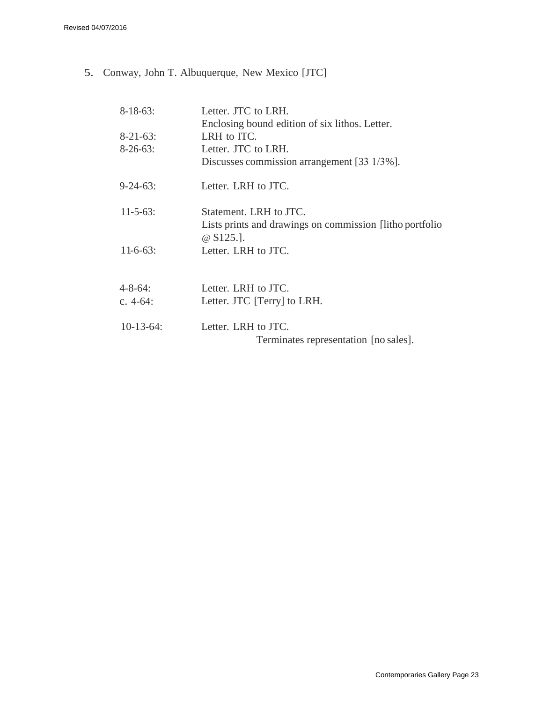5. Conway, John T. Albuquerque, New Mexico [JTC]

| Letter. JTC to LRH.                                                     |
|-------------------------------------------------------------------------|
| Enclosing bound edition of six lithos. Letter.                          |
| LRH to ITC.                                                             |
| Letter. JTC to LRH.                                                     |
| Discusses commission arrangement [33 1/3%].                             |
| Letter. LRH to JTC.                                                     |
| Statement. LRH to JTC.                                                  |
| Lists prints and drawings on commission [litho portfolio]<br>$@$125.$ . |
| Letter. LRH to JTC.                                                     |
|                                                                         |
| Letter. LRH to JTC.                                                     |
| Letter. JTC [Terry] to LRH.                                             |
| Letter. LRH to JTC.                                                     |
| Terminates representation [no sales].                                   |
|                                                                         |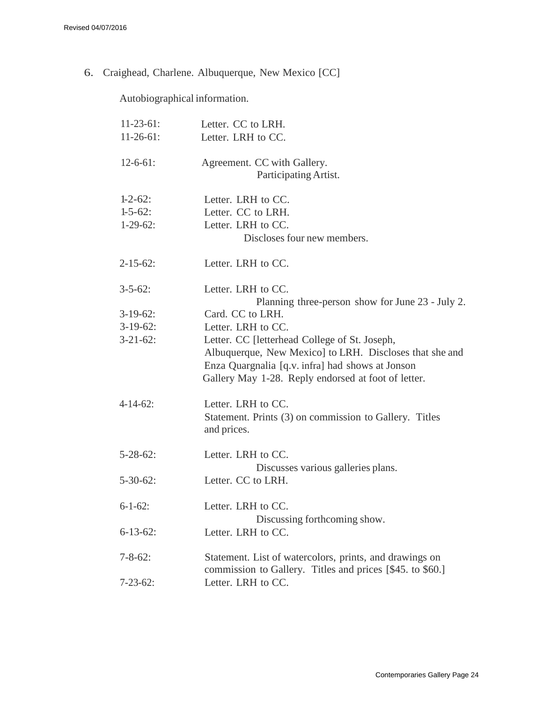6. Craighead, Charlene. Albuquerque, New Mexico [CC]

Autobiographical information.

| $11-23-61$ :    | Letter. CC to LRH.                                                                                                                                                                                                  |
|-----------------|---------------------------------------------------------------------------------------------------------------------------------------------------------------------------------------------------------------------|
| $11-26-61$ :    | Letter. LRH to CC.                                                                                                                                                                                                  |
| $12-6-61$ :     | Agreement. CC with Gallery.<br>Participating Artist.                                                                                                                                                                |
| $1-2-62$ :      | Letter. LRH to CC.                                                                                                                                                                                                  |
| $1 - 5 - 62$ :  | Letter. CC to LRH.                                                                                                                                                                                                  |
| $1-29-62$ :     | Letter. LRH to CC.                                                                                                                                                                                                  |
|                 | Discloses four new members.                                                                                                                                                                                         |
| $2 - 15 - 62$ : | Letter. LRH to CC.                                                                                                                                                                                                  |
| $3 - 5 - 62$ :  | Letter. LRH to CC.<br>Planning three-person show for June 23 - July 2.                                                                                                                                              |
| $3-19-62$ :     | Card. CC to LRH.                                                                                                                                                                                                    |
| $3-19-62$ :     | Letter. LRH to CC.                                                                                                                                                                                                  |
| $3 - 21 - 62$ : | Letter. CC [letterhead College of St. Joseph,<br>Albuquerque, New Mexico] to LRH. Discloses that she and<br>Enza Quargnalia [q.v. infra] had shows at Jonson<br>Gallery May 1-28. Reply endorsed at foot of letter. |
| $4 - 14 - 62$ : | Letter. LRH to CC.<br>Statement. Prints (3) on commission to Gallery. Titles<br>and prices.                                                                                                                         |
| $5 - 28 - 62$ : | Letter. LRH to CC.<br>Discusses various galleries plans.                                                                                                                                                            |
| $5 - 30 - 62$ : | Letter. CC to LRH.                                                                                                                                                                                                  |
| $6 - 1 - 62$ :  | Letter. LRH to CC.<br>Discussing forthcoming show.                                                                                                                                                                  |
| $6 - 13 - 62$ : | Letter. LRH to CC.                                                                                                                                                                                                  |
| $7 - 8 - 62$ :  | Statement. List of watercolors, prints, and drawings on<br>commission to Gallery. Titles and prices [\$45. to \$60.]                                                                                                |
| $7 - 23 - 62$ : | Letter. LRH to CC.                                                                                                                                                                                                  |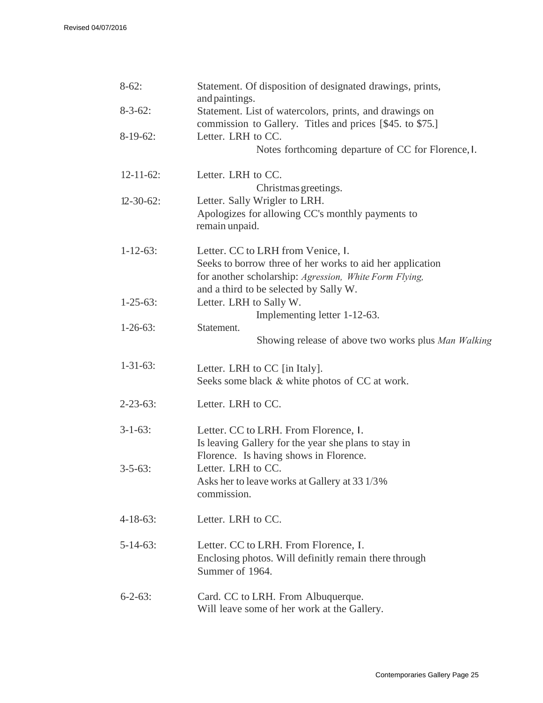| $8-62$ :         | Statement. Of disposition of designated drawings, prints,<br>and paintings. |  |  |
|------------------|-----------------------------------------------------------------------------|--|--|
| $8 - 3 - 62$ :   | Statement. List of watercolors, prints, and drawings on                     |  |  |
|                  | commission to Gallery. Titles and prices [\$45. to \$75.]                   |  |  |
| $8-19-62$ :      | Letter. LRH to CC.<br>Notes forthcoming departure of CC for Florence, I.    |  |  |
| $12 - 11 - 62$ : | Letter. LRH to CC.<br>Christmas greetings.                                  |  |  |
| $12 - 30 - 62$ : | Letter. Sally Wrigler to LRH.                                               |  |  |
|                  | Apologizes for allowing CC's monthly payments to<br>remain unpaid.          |  |  |
| $1 - 12 - 63$ :  | Letter. CC to LRH from Venice, I.                                           |  |  |
|                  | Seeks to borrow three of her works to aid her application                   |  |  |
|                  | for another scholarship: Agression, White Form Flying,                      |  |  |
| $1 - 25 - 63$ :  | and a third to be selected by Sally W.                                      |  |  |
|                  | Letter. LRH to Sally W.<br>Implementing letter 1-12-63.                     |  |  |
| $1-26-63$ :      | Statement.                                                                  |  |  |
|                  | Showing release of above two works plus Man Walking                         |  |  |
| $1 - 31 - 63$ :  | Letter. LRH to CC [in Italy].                                               |  |  |
|                  | Seeks some black & white photos of CC at work.                              |  |  |
| $2 - 23 - 63$ :  | Letter. LRH to CC.                                                          |  |  |
| $3 - 1 - 63$ :   | Letter. CC to LRH. From Florence, 1.                                        |  |  |
|                  | Is leaving Gallery for the year she plans to stay in                        |  |  |
|                  | Florence. Is having shows in Florence.                                      |  |  |
| $3 - 5 - 63$ :   | Letter. LRH to CC.<br>Asks her to leave works at Gallery at 33 1/3%         |  |  |
|                  | commission.                                                                 |  |  |
| $4 - 18 - 63$ :  | Letter. LRH to CC.                                                          |  |  |
| $5 - 14 - 63$ :  | Letter. CC to LRH. From Florence, I.                                        |  |  |
|                  | Enclosing photos. Will definitly remain there through<br>Summer of 1964.    |  |  |
| $6 - 2 - 63$ :   | Card. CC to LRH. From Albuquerque.                                          |  |  |
|                  | Will leave some of her work at the Gallery.                                 |  |  |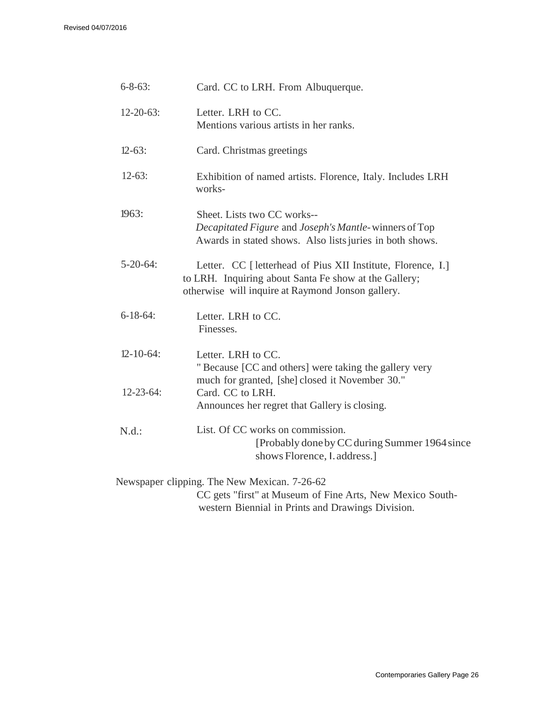| $6 - 8 - 63$ :   | Card. CC to LRH. From Albuquerque.                                                                                                                                         |  |  |
|------------------|----------------------------------------------------------------------------------------------------------------------------------------------------------------------------|--|--|
| $12 - 20 - 63$ : | Letter. LRH to CC.<br>Mentions various artists in her ranks.                                                                                                               |  |  |
| $12 - 63$ :      | Card. Christmas greetings                                                                                                                                                  |  |  |
| $12-63$ :        | Exhibition of named artists. Florence, Italy. Includes LRH<br>works-                                                                                                       |  |  |
| 1963:            | Sheet. Lists two CC works--<br>Decapitated Figure and Joseph's Mantle-winners of Top<br>Awards in stated shows. Also lists juries in both shows.                           |  |  |
| $5 - 20 - 64$ :  | Letter. CC [ letterhead of Pius XII Institute, Florence, I.]<br>to LRH. Inquiring about Santa Fe show at the Gallery;<br>otherwise will inquire at Raymond Jonson gallery. |  |  |
| $6 - 18 - 64$ :  | Letter. LRH to CC.<br>Finesses.                                                                                                                                            |  |  |
| $12 - 10 - 64$ : | Letter. LRH to CC.<br>"Because [CC and others] were taking the gallery very                                                                                                |  |  |
| $12 - 23 - 64$ : | much for granted, [she] closed it November 30."<br>Card. CC to LRH.<br>Announces her regret that Gallery is closing.                                                       |  |  |
| N.d.:            | List. Of CC works on commission.<br>[Probably done by CC during Summer 1964 since<br>shows Florence, <i>l. address.</i> ]                                                  |  |  |
|                  | Newspaper clipping. The New Mexican. 7-26-62<br>CC gets "first" at Museum of Fine Arts, New Mexico South-                                                                  |  |  |

western Biennial in Prints and Drawings Division.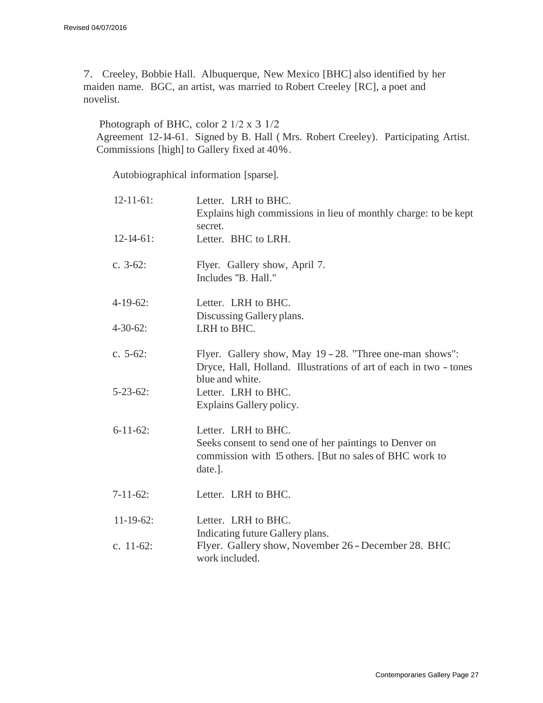7. Creeley, Bobbie Hall. Albuquerque, New Mexico [BHC] also identified by her maiden name. BGC, an artist, was married to Robert Creeley [RC], a poet and novelist.

#### Photograph of BHC, color 2 1/2 x 3 1/2

Agreement 12-14-61. Signed by B. Hall ( Mrs. Robert Creeley). Participating Artist. Commissions [high] to Gallery fixed at 40 % .

Autobiographical information [sparse].

| $12 - 11 - 61$ : | Letter. LRH to BHC.<br>Explains high commissions in lieu of monthly charge: to be kept<br>secret.                                                    |
|------------------|------------------------------------------------------------------------------------------------------------------------------------------------------|
| $12 - 14 - 61$ : | Letter. BHC to LRH.                                                                                                                                  |
| c. $3-62$ :      | Flyer. Gallery show, April 7.<br>Includes "B. Hall."                                                                                                 |
| $4-19-62$ :      | Letter. LRH to BHC.<br>Discussing Gallery plans.                                                                                                     |
| $4 - 30 - 62$ :  | LRH to BHC.                                                                                                                                          |
| c. $5-62$ :      | Flyer. Gallery show, May 19 - 28. "Three one-man shows":<br>Dryce, Hall, Holland. Illustrations of art of each in two - tones<br>blue and white.     |
| $5 - 23 - 62$ :  | Letter. LRH to BHC.<br>Explains Gallery policy.                                                                                                      |
| $6 - 11 - 62$ :  | Letter. LRH to BHC.<br>Seeks consent to send one of her paintings to Denver on<br>commission with 15 others. [But no sales of BHC work to<br>date.]. |
| $7-11-62$ :      | Letter. LRH to BHC.                                                                                                                                  |
| $11 - 19 - 62$ : | Letter. LRH to BHC.<br>Indicating future Gallery plans.                                                                                              |
| c. $11-62$ :     | Flyer. Gallery show, November 26 - December 28. BHC<br>work included.                                                                                |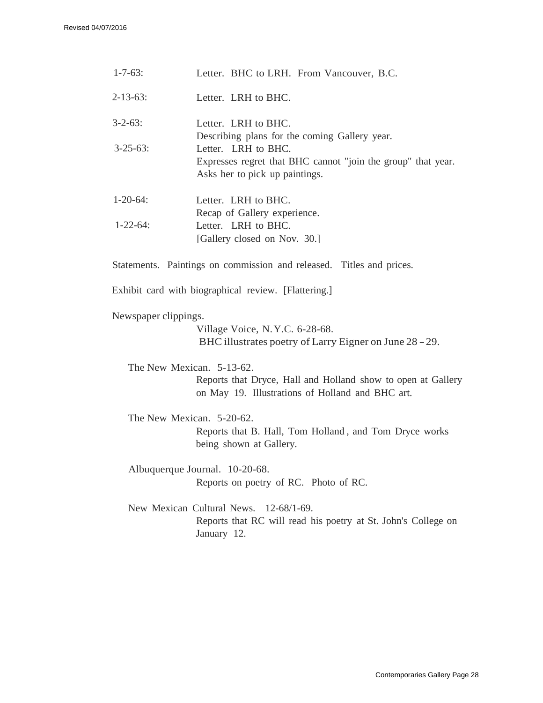| $1 - 7 - 63$ :            | Letter. BHC to LRH. From Vancouver, B.C.                                                                              |
|---------------------------|-----------------------------------------------------------------------------------------------------------------------|
| $2 - 13 - 63$ :           | Letter. LRH to BHC.                                                                                                   |
| $3 - 2 - 63$ :            | Letter. LRH to BHC.<br>Describing plans for the coming Gallery year.                                                  |
| $3 - 25 - 63$ :           | Letter. LRH to BHC.<br>Expresses regret that BHC cannot "join the group" that year.<br>Asks her to pick up paintings. |
| $1-20-64$ :               | Letter. LRH to BHC.<br>Recap of Gallery experience.                                                                   |
| $1 - 22 - 64$ :           | Letter. LRH to BHC.<br>[Gallery closed on Nov. 30.]                                                                   |
|                           | Statements. Paintings on commission and released. Titles and prices.                                                  |
|                           | Exhibit card with biographical review. [Flattering.]                                                                  |
| Newspaper clippings.      | Village Voice, N.Y.C. 6-28-68.<br>BHC illustrates poetry of Larry Eigner on June 28 – 29.                             |
| The New Mexican. 5-13-62. | Reports that Dryce, Hall and Holland show to open at Gallery<br>on May 19. Illustrations of Holland and BHC art.      |
| The New Mexican. 5-20-62. | Reports that B. Hall, Tom Holland, and Tom Dryce works<br>being shown at Gallery.                                     |
|                           | Albuquerque Journal. 10-20-68.<br>Reports on poetry of RC. Photo of RC.                                               |
|                           | New Mexican Cultural News. 12-68/1-69.<br>Reports that RC will read his poetry at St. John's College on               |

January 12.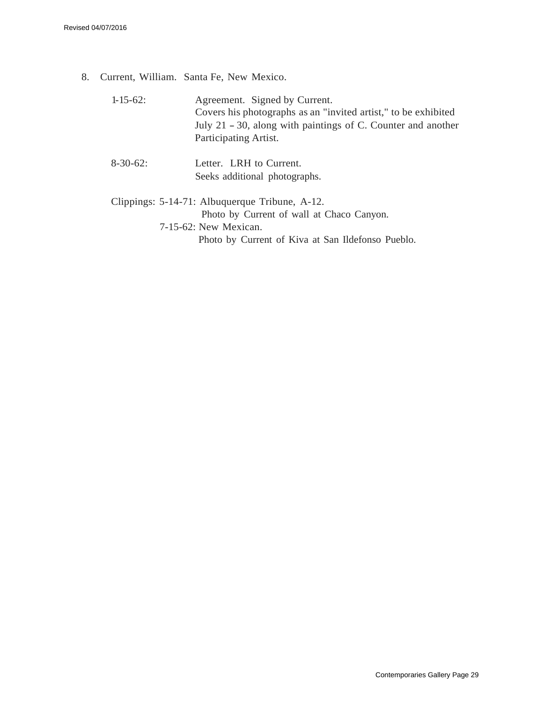8. Current, William. Santa Fe, New Mexico.

| $1 - 15 - 62$ : | Agreement. Signed by Current.<br>Covers his photographs as an "invited artist," to be exhibited<br>July 21 – 30, along with paintings of C. Counter and another<br>Participating Artist. |
|-----------------|------------------------------------------------------------------------------------------------------------------------------------------------------------------------------------------|
| $8-30-62$ :     | Letter. LRH to Current.<br>Seeks additional photographs.                                                                                                                                 |
|                 | Clippings: 5-14-71: Albuquerque Tribune, A-12.<br>Photo by Current of wall at Chaco Canyon.<br>7-15-62: New Mexican.<br>Photo by Current of Kiva at San Ildefonso Pueblo.                |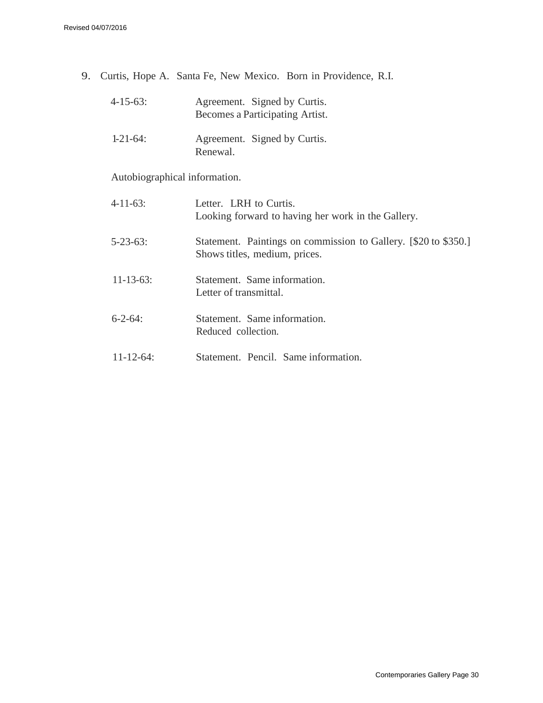9. Curtis, Hope A. Santa Fe, New Mexico. Born in Providence, R.I.

| $4 - 15 - 63$ : | Agreement. Signed by Curtis.<br>Becomes a Participating Artist. |
|-----------------|-----------------------------------------------------------------|
| $1 - 21 - 64$   | Agreement. Signed by Curtis.<br>Renewal.                        |

Autobiographical information.

| 4-11-63:         | Letter. LRH to Curtis.<br>Looking forward to having her work in the Gallery.                     |
|------------------|--------------------------------------------------------------------------------------------------|
| $5 - 23 - 63$ :  | Statement. Paintings on commission to Gallery. [\$20 to \$350.]<br>Shows titles, medium, prices. |
| $11 - 13 - 63$ : | Statement. Same information.<br>Letter of transmittal.                                           |
| $6 - 2 - 64$ :   | Statement. Same information.<br>Reduced collection.                                              |
| $11 - 12 - 64$ : | Statement. Pencil. Same information.                                                             |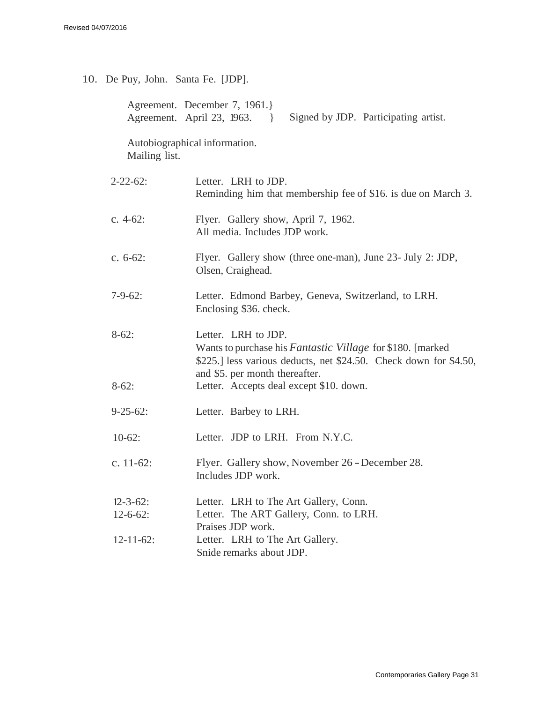|  | 10. De Puy, John. Santa Fe. [JDP]. |  |  |
|--|------------------------------------|--|--|
|--|------------------------------------|--|--|

|                  | Agreement. December 7, 1961.<br>Agreement. April 23, 1963.<br>Signed by JDP. Participating artist.                                                                                               |
|------------------|--------------------------------------------------------------------------------------------------------------------------------------------------------------------------------------------------|
| Mailing list.    | Autobiographical information.                                                                                                                                                                    |
| $2 - 22 - 62$ :  | Letter. LRH to JDP.<br>Reminding him that membership fee of \$16. is due on March 3.                                                                                                             |
| c. $4-62$ :      | Flyer. Gallery show, April 7, 1962.<br>All media. Includes JDP work.                                                                                                                             |
| c. $6-62$ :      | Flyer. Gallery show (three one-man), June 23- July 2: JDP,<br>Olsen, Craighead.                                                                                                                  |
| $7-9-62$ :       | Letter. Edmond Barbey, Geneva, Switzerland, to LRH.<br>Enclosing \$36. check.                                                                                                                    |
| $8-62:$          | Letter. LRH to JDP.<br>Wants to purchase his <i>Fantastic Village</i> for \$180. [marked]<br>\$225.] less various deducts, net \$24.50. Check down for \$4.50,<br>and \$5. per month thereafter. |
| $8-62:$          | Letter. Accepts deal except \$10. down.                                                                                                                                                          |
| $9 - 25 - 62$ :  | Letter. Barbey to LRH.                                                                                                                                                                           |
| $10-62$ :        | Letter. JDP to LRH. From N.Y.C.                                                                                                                                                                  |
| c. $11-62$ :     | Flyer. Gallery show, November 26 - December 28.<br>Includes JDP work.                                                                                                                            |
| $12 - 3 - 62$ :  | Letter. LRH to The Art Gallery, Conn.                                                                                                                                                            |
| $12-6-62$ :      | Letter. The ART Gallery, Conn. to LRH.<br>Praises JDP work.                                                                                                                                      |
| $12 - 11 - 62$ : | Letter. LRH to The Art Gallery.<br>Snide remarks about JDP.                                                                                                                                      |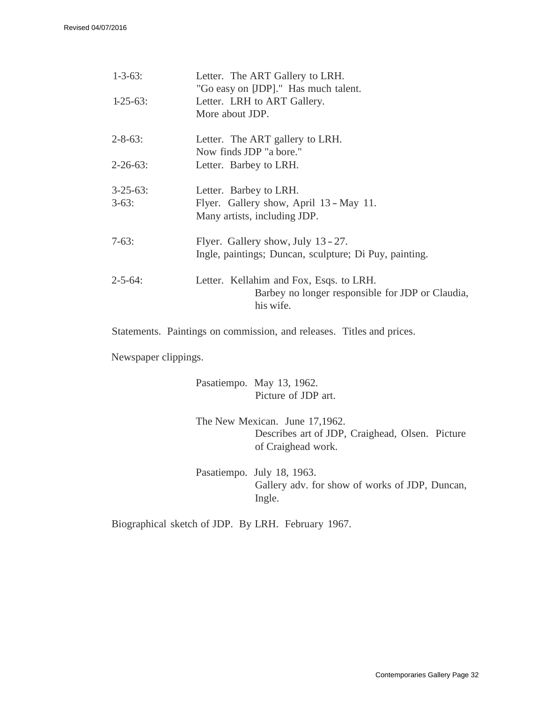| $1 - 3 - 63$ :             | Letter. The ART Gallery to LRH.<br>"Go easy on JDP]." Has much talent.                                   |
|----------------------------|----------------------------------------------------------------------------------------------------------|
| $1-25-63$ :                | Letter. LRH to ART Gallery.<br>More about JDP.                                                           |
| $2 - 8 - 63$ :             | Letter. The ART gallery to LRH.<br>Now finds JDP "a bore."                                               |
| $2 - 26 - 63$ :            | Letter. Barbey to LRH.                                                                                   |
| $3 - 25 - 63$ :<br>$3-63:$ | Letter. Barbey to LRH.<br>Flyer. Gallery show, April 13 - May 11.<br>Many artists, including JDP.        |
| $7-63:$                    | Flyer. Gallery show, July 13 - 27.<br>Ingle, paintings; Duncan, sculpture; Di Puy, painting.             |
| $2 - 5 - 64$ :             | Letter. Kellahim and Fox, Esqs. to LRH.<br>Barbey no longer responsible for JDP or Claudia,<br>his wife. |

Statements. Paintings on commission, and releases. Titles and prices.

Newspaper clippings.

Pasatiempo. May 13, 1962. Picture of JDP art.

The New Mexican. June 17,1962. Describes art of JDP, Craighead, Olsen. Picture of Craighead work.

Pasatiempo. July 18, 1963. Gallery adv. for show of works of JDP, Duncan, Ingle.

Biographical sketch of JDP. By LRH. February 1967.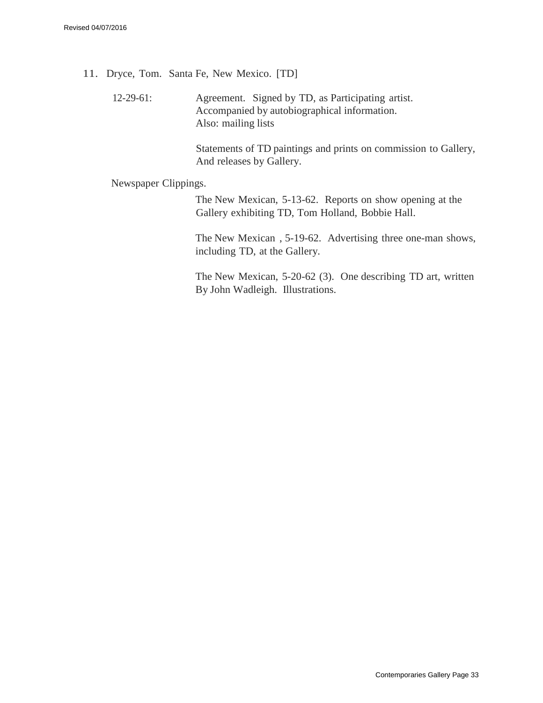- 11. Dryce, Tom. Santa Fe, New Mexico. [TD]
	- 12-29-61: Agreement. Signed by TD, as Participating artist. Accompanied by autobiographical information. Also: mailing lists

Statements of TD paintings and prints on commission to Gallery, And releases by Gallery.

Newspaper Clippings.

The New Mexican, 5-13-62. Reports on show opening at the Gallery exhibiting TD, Tom Holland, Bobbie Hall.

The New Mexican , 5-19-62. Advertising three one-man shows, including TD, at the Gallery.

The New Mexican, 5-20-62 (3). One describing TD art, written By John Wadleigh. Illustrations.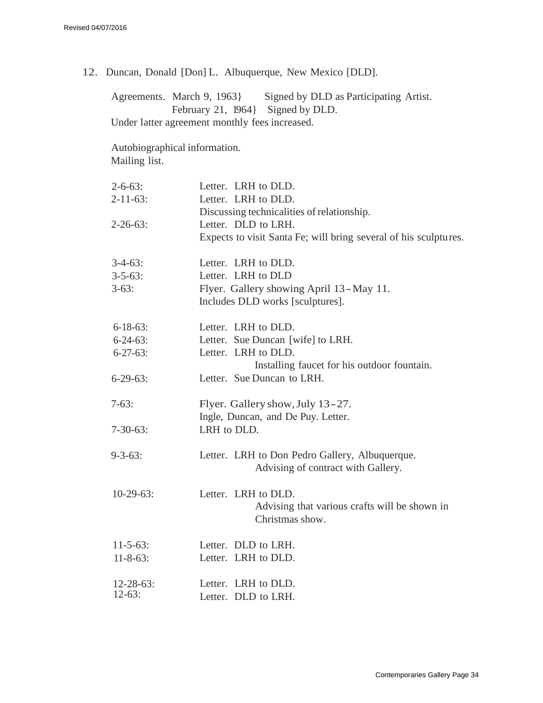12. Duncan, Donald [Don] L. Albuquerque, New Mexico [DLD].

Agreements. March 9, 1963} Signed by DLD as Participating Artist. February 21, 1964} Signed by DLD. Under latter agreement monthly fees increased.

Autobiographical information. Mailing list.

| $2 - 6 - 63$ :               | Letter. LRH to DLD.                                              |
|------------------------------|------------------------------------------------------------------|
| $2 - 11 - 63$ :              | Letter. LRH to DLD.                                              |
|                              | Discussing technicalities of relationship.                       |
| $2 - 26 - 63$ :              | Letter. DLD to LRH.                                              |
|                              | Expects to visit Santa Fe; will bring several of his sculptures. |
| $3-4-63$ :                   | Letter. LRH to DLD.                                              |
| $3 - 5 - 63$ :               | Letter. LRH to DLD                                               |
| $3-63:$                      | Flyer. Gallery showing April 13 - May 11.                        |
|                              | Includes DLD works [sculptures].                                 |
| $6 - 18 - 63$ :              | Letter. LRH to DLD.                                              |
| $6 - 24 - 63$ :              | Letter. Sue Duncan [wife] to LRH.                                |
| $6 - 27 - 63$ :              | Letter. LRH to DLD.                                              |
|                              | Installing faucet for his outdoor fountain.                      |
| $6-29-63$ :                  | Letter. Sue Duncan to LRH.                                       |
| $7-63:$                      | Flyer. Gallery show, July 13-27.                                 |
|                              | Ingle, Duncan, and De Puy. Letter.                               |
| $7 - 30 - 63$ :              | LRH to DLD.                                                      |
| $9 - 3 - 63$ :               | Letter. LRH to Don Pedro Gallery, Albuquerque.                   |
|                              | Advising of contract with Gallery.                               |
| $10-29-63$ :                 | Letter. LRH to DLD.                                              |
|                              | Advising that various crafts will be shown in<br>Christmas show. |
| $11 - 5 - 63$ :              | Letter. DLD to LRH.                                              |
| $11 - 8 - 63$ :              | Letter. LRH to DLD.                                              |
|                              | Letter. LRH to DLD.                                              |
| $12 - 28 - 63$ :<br>$12-63:$ | Letter. DLD to LRH.                                              |
|                              |                                                                  |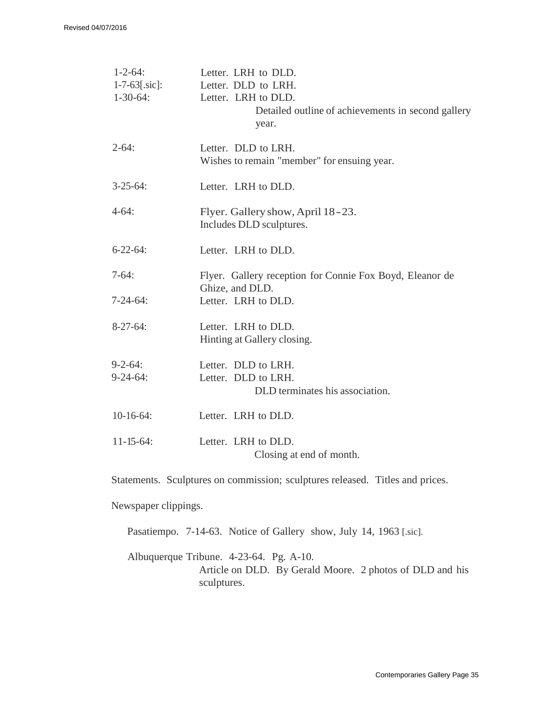| $1 - 2 - 64$ :<br>$1 - 7 - 63$ [.sic]:<br>$1 - 30 - 64$ : | Letter. LRH to DLD.<br>Letter. DLD to LRH.<br>Letter. LRH to DLD.<br>Detailed outline of achievements in second gallery<br>year. |
|-----------------------------------------------------------|----------------------------------------------------------------------------------------------------------------------------------|
| $2 - 64$ :                                                | Letter. DLD to LRH.<br>Wishes to remain "member" for ensuing year.                                                               |
| $3-25-64$ :                                               | Letter. LRH to DLD.                                                                                                              |
| $4-64:$                                                   | Flyer. Gallery show, April 18-23.<br>Includes DLD sculptures.                                                                    |
| $6 - 22 - 64$ :                                           | Letter. LRH to DLD.                                                                                                              |
| $7-64:$                                                   | Flyer. Gallery reception for Connie Fox Boyd, Eleanor de<br>Ghize, and DLD.                                                      |
| $7 - 24 - 64$ :                                           | Letter. LRH to DLD.                                                                                                              |
| $8-27-64$ :                                               | Letter. LRH to DLD.<br>Hinting at Gallery closing.                                                                               |
| $9 - 2 - 64$ :                                            | Letter. DLD to LRH.                                                                                                              |
| $9 - 24 - 64$ :                                           | Letter. DLD to LRH.<br>DLD terminates his association.                                                                           |
| $10-16-64$ :                                              | Letter. LRH to DLD.                                                                                                              |
| $11 - 15 - 64$ :                                          | Letter. LRH to DLD.<br>Closing at end of month.                                                                                  |

Statements. Sculptures on commission; sculptures released. Titles and prices.

Newspaper clippings.

Pasatiempo. 7-14-63. Notice of Gallery show, July 14, 1963 [.sic].

Albuquerque Tribune. 4-23-64. Pg. A-10. Article on DLD. By Gerald Moore. 2 photos of DLD and his sculptures.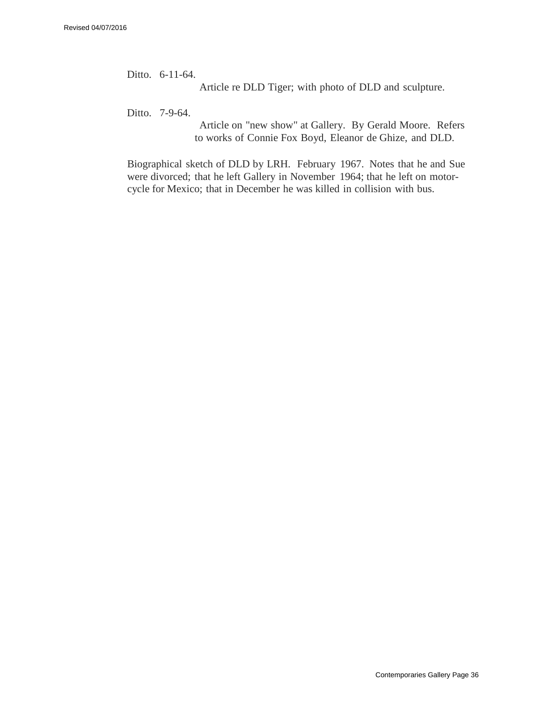Ditto. 6-11-64.

Article re DLD Tiger; with photo of DLD and sculpture.

Ditto. 7-9-64.

Article on "new show" at Gallery. By Gerald Moore. Refers to works of Connie Fox Boyd, Eleanor de Ghize, and DLD.

Biographical sketch of DLD by LRH. February 1967. Notes that he and Sue were divorced; that he left Gallery in November 1964; that he left on motorcycle for Mexico; that in December he was killed in collision with bus.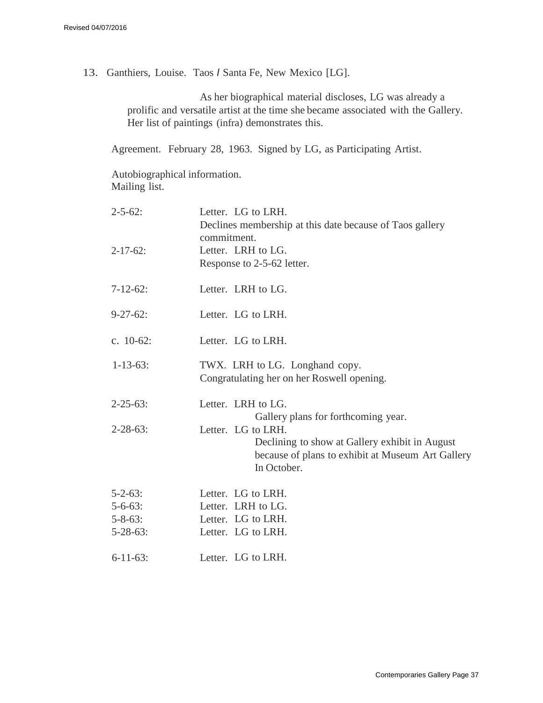13. Ganthiers, Louise. Taos *I* Santa Fe, New Mexico [LG].

As her biographical material discloses, LG was already a prolific and versatile artist at the time she became associated with the Gallery. Her list of paintings (infra) demonstrates this.

Agreement. February 28, 1963. Signed by LG, as Participating Artist.

Autobiographical information. Mailing list.

| $2 - 5 - 62$ :  | Letter. LG to LRH.                                                      |
|-----------------|-------------------------------------------------------------------------|
|                 | Declines membership at this date because of Taos gallery<br>commitment. |
| $2 - 17 - 62$ : | Letter. LRH to LG.                                                      |
|                 | Response to 2-5-62 letter.                                              |
| $7 - 12 - 62$ : | Letter. LRH to LG.                                                      |
| $9 - 27 - 62$ : | Letter. LG to LRH.                                                      |
| c. $10-62$ :    | Letter. LG to LRH.                                                      |
| $1 - 13 - 63$ : | TWX. LRH to LG. Longhand copy.                                          |
|                 | Congratulating her on her Roswell opening.                              |
| $2 - 25 - 63$ : | Letter. LRH to LG.                                                      |
|                 | Gallery plans for forthcoming year.                                     |
| $2 - 28 - 63$ : | Letter. LG to LRH.                                                      |
|                 | Declining to show at Gallery exhibit in August                          |
|                 | because of plans to exhibit at Museum Art Gallery                       |
|                 | In October.                                                             |
| $5 - 2 - 63$ :  | Letter. LG to LRH.                                                      |
| $5 - 6 - 63$ :  | Letter. LRH to LG.                                                      |
| $5 - 8 - 63$ :  | Letter. LG to LRH.                                                      |
| $5 - 28 - 63$ : | Letter. LG to LRH.                                                      |
| $6 - 11 - 63$ : | Letter. LG to LRH.                                                      |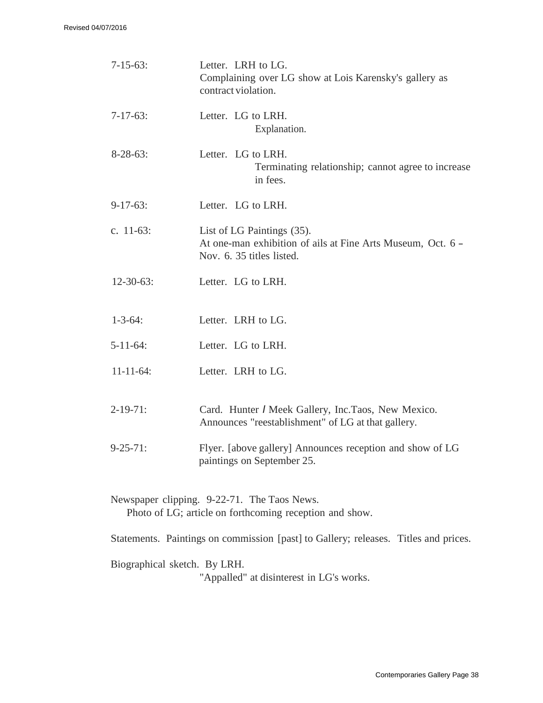| $7-15-63$ :      | Letter. LRH to LG.<br>Complaining over LG show at Lois Karensky's gallery as<br>contract violation.                    |
|------------------|------------------------------------------------------------------------------------------------------------------------|
| $7-17-63$ :      | Letter. LG to LRH.<br>Explanation.                                                                                     |
| $8-28-63$ :      | Letter. LG to LRH.<br>Terminating relationship; cannot agree to increase<br>in fees.                                   |
| $9-17-63$ :      | Letter. LG to LRH.                                                                                                     |
| c. $11-63$ :     | List of LG Paintings (35).<br>At one-man exhibition of ails at Fine Arts Museum, Oct. 6 -<br>Nov. 6. 35 titles listed. |
| $12 - 30 - 63$ : | Letter. LG to LRH.                                                                                                     |
| $1 - 3 - 64$ :   | Letter. LRH to LG.                                                                                                     |
| $5 - 11 - 64$ :  | Letter. LG to LRH.                                                                                                     |
| $11 - 11 - 64$ : | Letter. LRH to LG.                                                                                                     |
| $2-19-71$ :      | Card. Hunter / Meek Gallery, Inc.Taos, New Mexico.<br>Announces "reestablishment" of LG at that gallery.               |
| $9 - 25 - 71$ :  | Flyer. [above gallery] Announces reception and show of LG<br>paintings on September 25.                                |
|                  | Newspaper clipping. 9-22-71. The Taos News.<br>Photo of LG; article on forthcoming reception and show.                 |

Statements. Paintings on commission [past] to Gallery; releases. Titles and prices.

Biographical sketch. By LRH.

"Appalled" at disinterest in LG's works.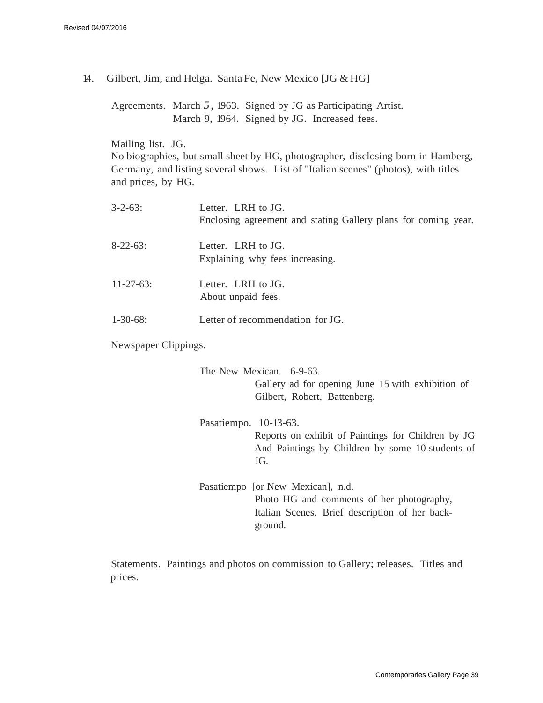14. Gilbert, Jim, and Helga. Santa Fe, New Mexico [JG & HG]

Agreements. March *5,* 1963. Signed by JG as Participating Artist. March 9, 1964. Signed by JG. Increased fees.

Mailing list. JG.

No biographies, but small sheet by HG, photographer, disclosing born in Hamberg, Germany, and listing several shows. List of "Italian scenes" (photos), with titles and prices, by HG.

| $3 - 2 - 63$ :   | Letter. LRH to $JG$ .<br>Enclosing agreement and stating Gallery plans for coming year. |
|------------------|-----------------------------------------------------------------------------------------|
| $8-22-63$ :      | Letter. LRH to $JG$ .<br>Explaining why fees increasing.                                |
| $11 - 27 - 63$ : | Letter. LRH to $JG$ .<br>About unpaid fees.                                             |
| $1 - 30 - 68$ :  | Letter of recommendation for JG.                                                        |

Newspaper Clippings.

The New Mexican. 6-9-63. Gallery ad for opening June 15 with exhibition of Gilbert, Robert, Battenberg.

Pasatiempo. 10-13-63. Reports on exhibit of Paintings for Children by JG And Paintings by Children by some 10 students of JG.

Pasatiempo [or New Mexican], n.d. Photo HG and comments of her photography, Italian Scenes. Brief description of her background.

Statements. Paintings and photos on commission to Gallery; releases. Titles and prices.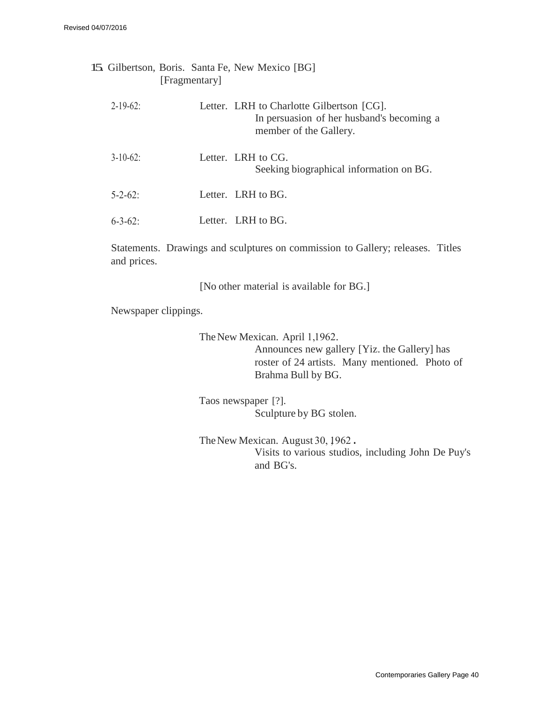| [Fragmentary] | 15. Gilbertson, Boris. Santa Fe, New Mexico [BG]                                                                 |
|---------------|------------------------------------------------------------------------------------------------------------------|
| $2 - 19 - 62$ | Letter. LRH to Charlotte Gilbertson [CG].<br>In persuasion of her husband's becoming a<br>member of the Gallery. |
| $3 - 10 - 62$ | Letter. LRH to CG.<br>Seeking biographical information on BG.                                                    |
| $5 - 2 - 62$  | Letter. LRH to BG.                                                                                               |
| $6 - 3 - 62$  | Letter. LRH to BG.                                                                                               |
|               |                                                                                                                  |

Statements. Drawings and sculptures on commission to Gallery; releases. Titles and prices.

[No other material is available for BG.]

Newspaper clippings.

The New Mexican. April 1,1962. Announces new gallery [Yiz. the Gallery] has roster of 24 artists. Many mentioned. Photo of Brahma Bull by BG.

Taos newspaper [?]. Sculpture by BG stolen.

The New Mexican. August 30, 1962. Visits to various studios, including John De Puy's and BG's.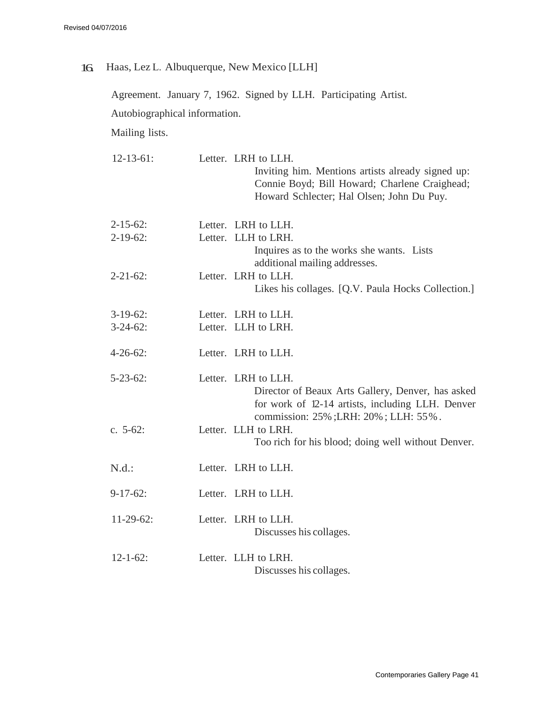16. Haas, Lez L. Albuquerque, New Mexico [LLH]

Agreement. January 7, 1962. Signed by LLH. Participating Artist. Autobiographical information. Mailing lists.

| $12 - 13 - 61$ : | Letter. LRH to LLH.<br>Inviting him. Mentions artists already signed up:<br>Connie Boyd; Bill Howard; Charlene Craighead;<br>Howard Schlecter; Hal Olsen; John Du Puy. |
|------------------|------------------------------------------------------------------------------------------------------------------------------------------------------------------------|
| $2 - 15 - 62$ :  | Letter. LRH to LLH.                                                                                                                                                    |
| $2-19-62$ :      | Letter. LLH to LRH.<br>Inquires as to the works she wants. Lists<br>additional mailing addresses.                                                                      |
| $2 - 21 - 62$ :  | Letter. LRH to LLH.<br>Likes his collages. [Q.V. Paula Hocks Collection.]                                                                                              |
| $3-19-62$ :      | Letter. LRH to LLH.                                                                                                                                                    |
| $3-24-62$ :      | Letter. LLH to LRH.                                                                                                                                                    |
| $4 - 26 - 62$ :  | Letter. LRH to LLH.                                                                                                                                                    |
| $5 - 23 - 62$ :  | Letter. LRH to LLH.<br>Director of Beaux Arts Gallery, Denver, has asked<br>for work of 12-14 artists, including LLH. Denver<br>commission: 25%; LRH: 20%; LLH: 55%.   |
| c. $5-62$ :      | Letter. LLH to LRH.<br>Too rich for his blood; doing well without Denver.                                                                                              |
| N.d.:            | Letter. LRH to LLH.                                                                                                                                                    |
| $9-17-62$ :      | Letter. LRH to LLH.                                                                                                                                                    |
| $11-29-62$ :     | Letter. LRH to LLH.<br>Discusses his collages.                                                                                                                         |
| $12 - 1 - 62$ :  | Letter. LLH to LRH.<br>Discusses his collages.                                                                                                                         |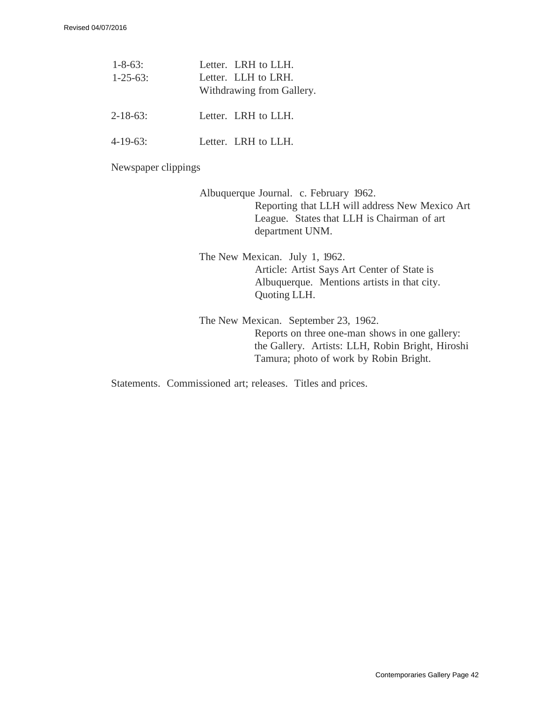| $1 - 8 - 63$ :<br>$1 - 25 - 63$ | Letter. LRH to LLH.<br>Letter. LLH to LRH.<br>Withdrawing from Gallery. |
|---------------------------------|-------------------------------------------------------------------------|
| $2 - 18 - 63$                   | Letter. LRH to LLH.                                                     |
| $4-19-63$                       | Letter. LRH to LLH.                                                     |

Newspaper clippings

Albuquerque Journal. c. February 1962. Reporting that LLH will address New Mexico Art League. States that LLH is Chairman of art department UNM.

The New Mexican. July 1, 1962. Article: Artist Says Art Center of State is Albuquerque. Mentions artists in that city. Quoting LLH.

The New Mexican. September 23, 1962. Reports on three one-man shows in one gallery: the Gallery. Artists: LLH, Robin Bright, Hiroshi Tamura; photo of work by Robin Bright.

Statements. Commissioned art; releases. Titles and prices.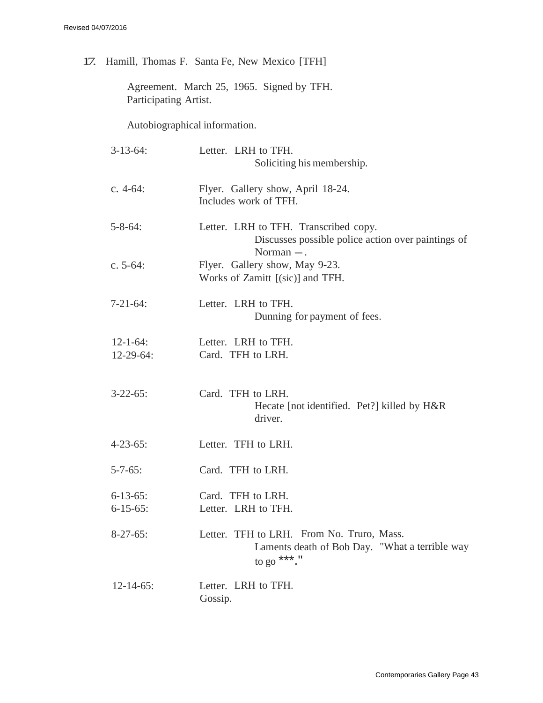17. Hamill, Thomas F. Santa Fe, New Mexico [TFH]

Agreement. March 25, 1965. Signed by TFH. Participating Artist.

Autobiographical information.

| $3-13-64$ :                        | Letter. LRH to TFH.<br>Soliciting his membership.                                                           |
|------------------------------------|-------------------------------------------------------------------------------------------------------------|
| c. $4-64$ :                        | Flyer. Gallery show, April 18-24.<br>Includes work of TFH.                                                  |
| $5 - 8 - 64$ :                     | Letter. LRH to TFH. Transcribed copy.<br>Discusses possible police action over paintings of<br>Norman $-$ . |
| c. $5-64$ :                        | Flyer. Gallery show, May 9-23.<br>Works of Zamitt [(sic)] and TFH.                                          |
| $7-21-64$ :                        | Letter. LRH to TFH.<br>Dunning for payment of fees.                                                         |
| $12 - 1 - 64$ :<br>$12-29-64$ :    | Letter. LRH to TFH.<br>Card. TFH to LRH.                                                                    |
| $3-22-65$ :                        | Card. TFH to LRH.<br>Hecate [not identified. Pet?] killed by H&R<br>driver.                                 |
| $4 - 23 - 65$ :                    | Letter. TFH to LRH.                                                                                         |
| $5 - 7 - 65$ :                     | Card. TFH to LRH.                                                                                           |
| $6 - 13 - 65$ :<br>$6 - 15 - 65$ : | Card. TFH to LRH.<br>Letter. LRH to TFH.                                                                    |
| $8-27-65$ :                        | Letter. TFH to LRH. From No. Truro, Mass.<br>Laments death of Bob Day. "What a terrible way<br>to go ***."  |
| $12 - 14 - 65$ :                   | Letter. LRH to TFH.<br>Gossip.                                                                              |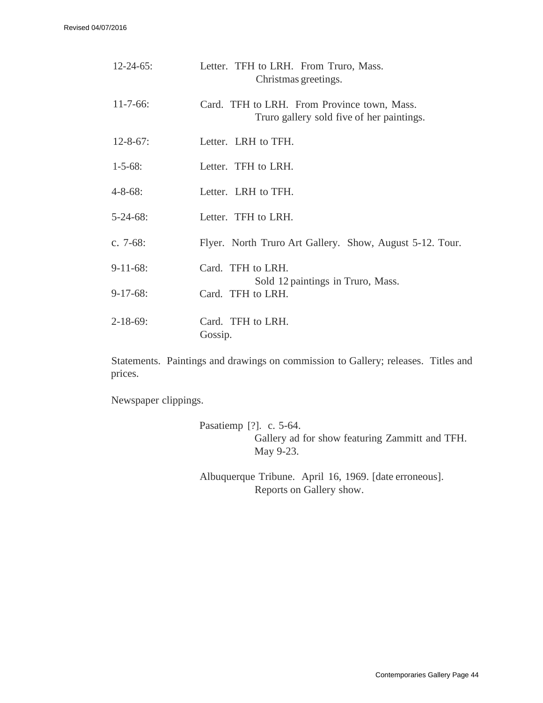Revised 04/07/2016

| $12 - 24 - 65$ : | Letter. TFH to LRH. From Truro, Mass.<br>Christmas greetings.                            |
|------------------|------------------------------------------------------------------------------------------|
| $11 - 7 - 66$ :  | Card. TFH to LRH. From Province town, Mass.<br>Truro gallery sold five of her paintings. |
| $12 - 8 - 67$ :  | Letter. LRH to TFH.                                                                      |
| $1 - 5 - 68$ :   | Letter. TFH to LRH.                                                                      |
| $4 - 8 - 68$ :   | Letter. LRH to TFH.                                                                      |
| $5 - 24 - 68$ :  | Letter. TFH to LRH.                                                                      |
| c. $7-68$ :      | Flyer. North Truro Art Gallery. Show, August 5-12. Tour.                                 |
| $9-11-68$ :      | Card. TFH to LRH.                                                                        |
| $9-17-68$ :      | Sold 12 paintings in Truro, Mass.<br>Card. TFH to LRH.                                   |
| $2 - 18 - 69$ :  | Card. TFH to LRH.<br>Gossip.                                                             |

Statements. Paintings and drawings on commission to Gallery; releases. Titles and prices.

Newspaper clippings.

Pasatiemp [?]. c. 5-64. Gallery ad for show featuring Zammitt and TFH. May 9-23.

Albuquerque Tribune. April 16, 1969. [date erroneous]. Reports on Gallery show.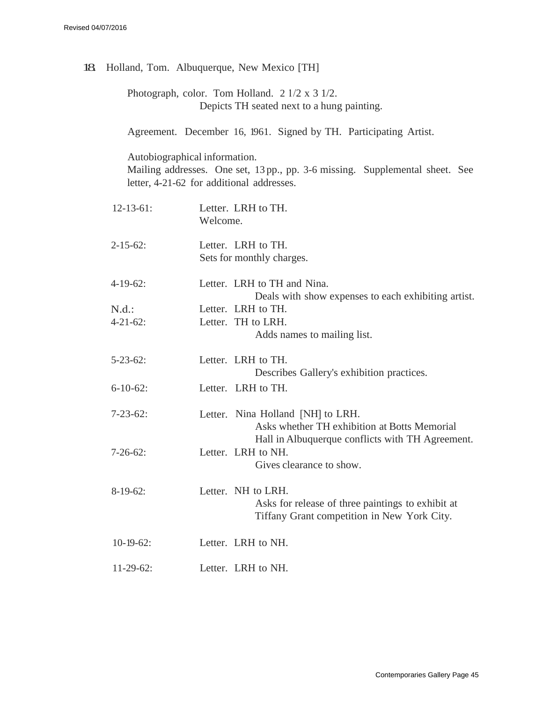|                                                                                                                      |          | 18 Holland, Tom. Albuquerque, New Mexico [TH]                                                                                         |  |
|----------------------------------------------------------------------------------------------------------------------|----------|---------------------------------------------------------------------------------------------------------------------------------------|--|
| Photograph, color. Tom Holland. $2 \frac{1}{2} \times 3 \frac{1}{2}$ .<br>Depicts TH seated next to a hung painting. |          |                                                                                                                                       |  |
|                                                                                                                      |          | Agreement. December 16, 1961. Signed by TH. Participating Artist.                                                                     |  |
| Autobiographical information.                                                                                        |          | Mailing addresses. One set, 13 pp., pp. 3-6 missing. Supplemental sheet. See<br>letter, 4-21-62 for additional addresses.             |  |
| $12-13-61$ :                                                                                                         | Welcome. | Letter. LRH to TH.                                                                                                                    |  |
| $2 - 15 - 62$ :                                                                                                      |          | Letter. LRH to TH.<br>Sets for monthly charges.                                                                                       |  |
| $4-19-62$ :                                                                                                          |          | Letter. LRH to TH and Nina.<br>Deals with show expenses to each exhibiting artist.                                                    |  |
| N.d.:                                                                                                                |          | Letter. LRH to TH.                                                                                                                    |  |
| $4 - 21 - 62$ :                                                                                                      |          | Letter. TH to LRH.<br>Adds names to mailing list.                                                                                     |  |
| $5 - 23 - 62$ :                                                                                                      |          | Letter. LRH to TH.<br>Describes Gallery's exhibition practices.                                                                       |  |
| $6-10-62$ :                                                                                                          |          | Letter. LRH to TH.                                                                                                                    |  |
| $7 - 23 - 62$ :                                                                                                      |          | Letter. Nina Holland [NH] to LRH.<br>Asks whether TH exhibition at Botts Memorial<br>Hall in Albuquerque conflicts with TH Agreement. |  |
| $7 - 26 - 62$ :                                                                                                      |          | Letter. LRH to NH.<br>Gives clearance to show.                                                                                        |  |
| $8-19-62$ :                                                                                                          |          | Letter. NH to LRH.<br>Asks for release of three paintings to exhibit at<br>Tiffany Grant competition in New York City.                |  |
| $10-19-62$ :                                                                                                         |          | Letter. LRH to NH.                                                                                                                    |  |
| $11-29-62$ :                                                                                                         |          | Letter. LRH to NH.                                                                                                                    |  |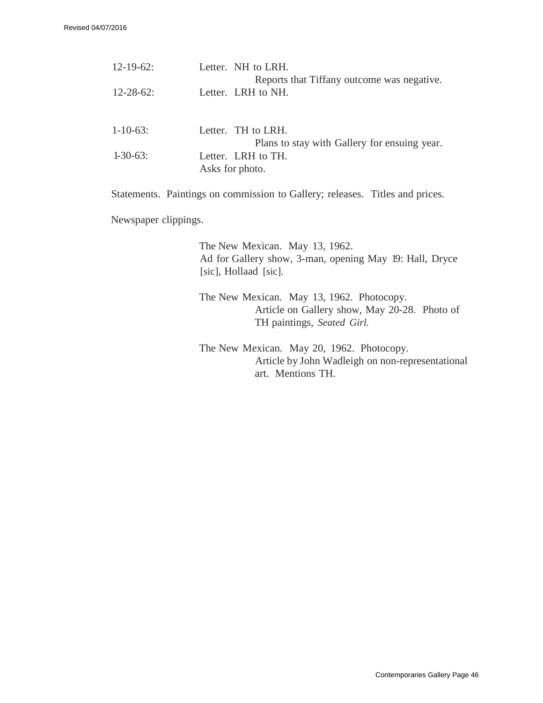| $12 - 19 - 62$ : | Letter. NH to LRH.                           |
|------------------|----------------------------------------------|
|                  | Reports that Tiffany outcome was negative.   |
| $12 - 28 - 62$ : | Letter. LRH to NH.                           |
|                  |                                              |
| $1 - 10 - 63$ :  | Letter. TH to LRH.                           |
|                  | Plans to stay with Gallery for ensuing year. |
| $1-30-63$ :      | Letter. LRH to TH.                           |
|                  | Asks for photo.                              |
|                  |                                              |

Statements. Paintings on commission to Gallery; releases. Titles and prices.

Newspaper clippings.

The New Mexican. May 13, 1962. Ad for Gallery show, 3-man, opening May 19: Hall, Dryce [sic], Hollaad [sic].

The New Mexican. May 13, 1962. Photocopy. Article on Gallery show, May 20-28. Photo of TH paintings, *Seated Girl.*

The New Mexican. May 20, 1962. Photocopy. Article by John Wadleigh on non-representational art. Mentions TH.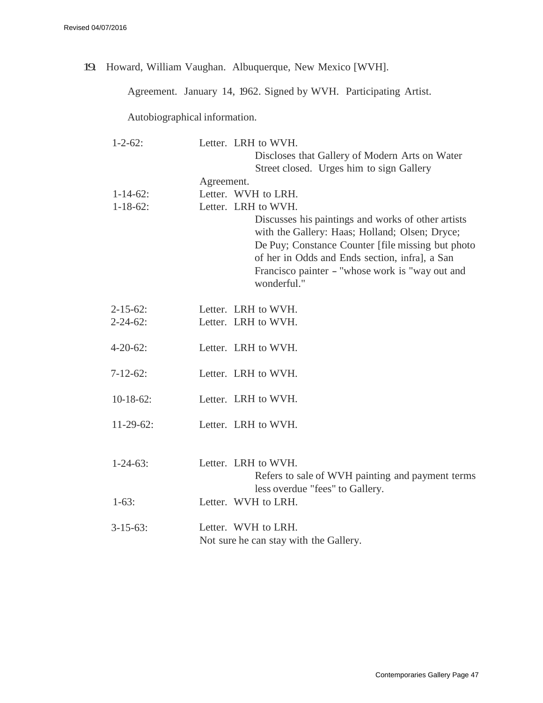19. Howard, William Vaughan. Albuquerque, New Mexico [WVH].

Agreement. January 14, 1962. Signed by WVH. Participating Artist.

Autobiographical information.

| $1 - 2 - 62$ :  |            | Letter. LRH to WVH.                                                                                                                                                                                                                                                            |
|-----------------|------------|--------------------------------------------------------------------------------------------------------------------------------------------------------------------------------------------------------------------------------------------------------------------------------|
|                 |            | Discloses that Gallery of Modern Arts on Water                                                                                                                                                                                                                                 |
|                 |            | Street closed. Urges him to sign Gallery                                                                                                                                                                                                                                       |
|                 | Agreement. |                                                                                                                                                                                                                                                                                |
| $1 - 14 - 62$ : |            | Letter. WVH to LRH.                                                                                                                                                                                                                                                            |
| $1 - 18 - 62$ : |            | Letter. LRH to WVH.                                                                                                                                                                                                                                                            |
|                 |            | Discusses his paintings and works of other artists<br>with the Gallery: Haas; Holland; Olsen; Dryce;<br>De Puy; Constance Counter [file missing but photo]<br>of her in Odds and Ends section, infral, a San<br>Francisco painter - "whose work is "way out and<br>wonderful." |
| $2 - 15 - 62$ : |            | Letter. LRH to WVH.                                                                                                                                                                                                                                                            |
| $2 - 24 - 62$ : |            | Letter. LRH to WVH.                                                                                                                                                                                                                                                            |
|                 |            |                                                                                                                                                                                                                                                                                |
| $4 - 20 - 62$ : |            | Letter. LRH to WVH.                                                                                                                                                                                                                                                            |
|                 |            |                                                                                                                                                                                                                                                                                |
| $7 - 12 - 62$ : |            | Letter. LRH to WVH.                                                                                                                                                                                                                                                            |
|                 |            |                                                                                                                                                                                                                                                                                |
| $10-18-62$ :    |            | Letter. LRH to WVH.                                                                                                                                                                                                                                                            |
|                 |            |                                                                                                                                                                                                                                                                                |
| $11-29-62$ :    |            | Letter. LRH to WVH.                                                                                                                                                                                                                                                            |
|                 |            |                                                                                                                                                                                                                                                                                |
| $1 - 24 - 63$ : |            | Letter. LRH to WVH.                                                                                                                                                                                                                                                            |
|                 |            | Refers to sale of WVH painting and payment terms                                                                                                                                                                                                                               |
|                 |            | less overdue "fees" to Gallery.                                                                                                                                                                                                                                                |
| $1-63:$         |            | Letter. WVH to LRH.                                                                                                                                                                                                                                                            |
|                 |            |                                                                                                                                                                                                                                                                                |
| $3-15-63$ :     |            | Letter. WVH to LRH.                                                                                                                                                                                                                                                            |
|                 |            | Not sure he can stay with the Gallery.                                                                                                                                                                                                                                         |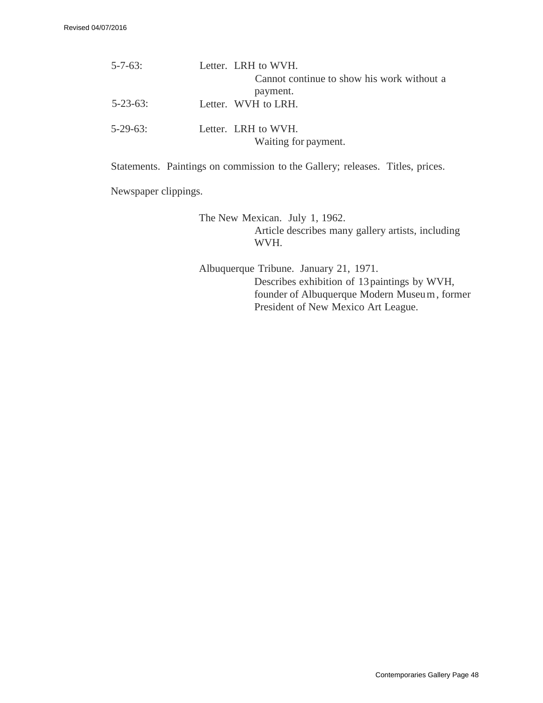| $5 - 7 - 63$ :  | Letter. LRH to WVH.                         |
|-----------------|---------------------------------------------|
|                 | Cannot continue to show his work without a  |
|                 | payment.                                    |
| $5 - 23 - 63$ : | Letter. WVH to LRH.                         |
| $5 - 29 - 63$ : | Letter. LRH to WVH.<br>Waiting for payment. |

Statements. Paintings on commission to the Gallery; releases. Titles, prices.

Newspaper clippings.

The New Mexican. July 1, 1962. Article describes many gallery artists, including WVH.

Albuquerque Tribune. January 21, 1971. Describes exhibition of 13 paintings by WVH, founder of Albuquerque Modern Museu m , former President of New Mexico Art League.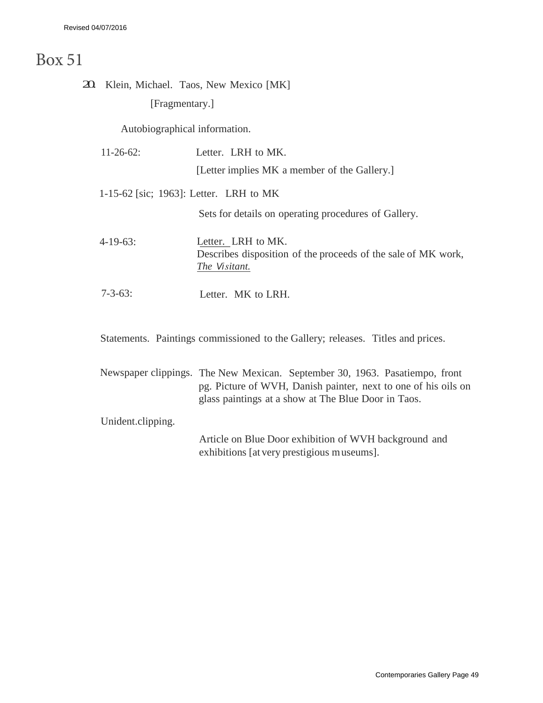## Box 51

## 20. Klein, Michael. Taos, New Mexico [MK] [Fragmentary.]

Autobiographical information.

| $11 - 26 - 62$ :                       | Letter. LRH to MK.                                                                                   |
|----------------------------------------|------------------------------------------------------------------------------------------------------|
|                                        | [Letter implies MK a member of the Gallery.]                                                         |
| 1-15-62 [sic; 1963]: Letter. LRH to MK |                                                                                                      |
|                                        | Sets for details on operating procedures of Gallery.                                                 |
| $4-19-63$ :                            | Letter. LRH to MK.<br>Describes disposition of the proceeds of the sale of MK work,<br>The Visitant. |
| $7 - 3 - 63$ :                         | Letter. MK to LRH.                                                                                   |

Statements. Paintings commissioned to the Gallery; releases. Titles and prices.

|                   | Newspaper clippings. The New Mexican. September 30, 1963. Pasatiempo, front |
|-------------------|-----------------------------------------------------------------------------|
|                   | pg. Picture of WVH, Danish painter, next to one of his oils on              |
|                   | glass paintings at a show at The Blue Door in Taos.                         |
| Unident.clipping. |                                                                             |
|                   | Article on Blue Door exhibition of WVH background and                       |

exhibitions [at very prestigious museums].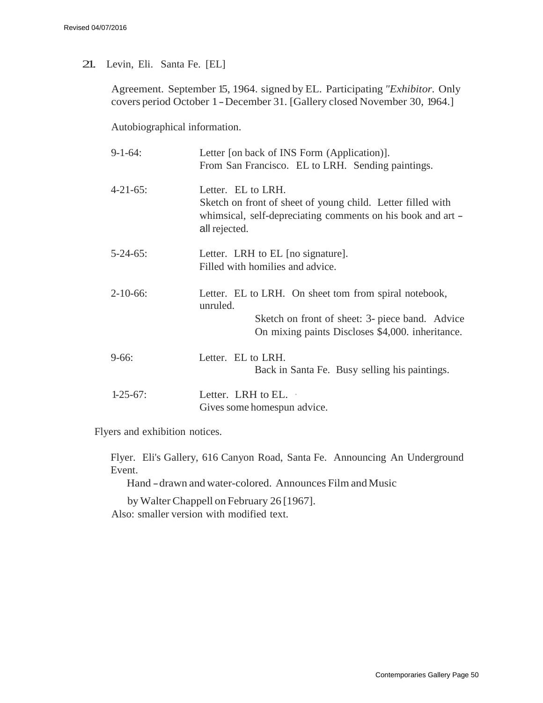## 21. Levin, Eli. Santa Fe. [EL]

Agreement. September 15, 1964. signed by EL. Participating *"Exhibitor.* Only covers period October 1 - December 31. [Gallery closed November 30, 1964.]

Autobiographical information.

| $9-1-64$ :      | Letter [on back of INS Form (Application)].<br>From San Francisco. EL to LRH. Sending paintings.                                                                         |
|-----------------|--------------------------------------------------------------------------------------------------------------------------------------------------------------------------|
| $4 - 21 - 65$ : | Letter. EL to LRH.<br>Sketch on front of sheet of young child. Letter filled with<br>whimsical, self-depreciating comments on his book and art –<br>all rejected.        |
| $5 - 24 - 65$ : | Letter. LRH to EL [no signature].<br>Filled with homilies and advice.                                                                                                    |
| $2 - 10 - 66$ : | Letter. EL to LRH. On sheet tom from spiral notebook,<br>unruled.<br>Sketch on front of sheet: 3- piece band. Advice<br>On mixing paints Discloses \$4,000. inheritance. |
| $9-66:$         | Letter. EL to LRH.<br>Back in Santa Fe. Busy selling his paintings.                                                                                                      |
| $1-25-67$ :     | Letter. LRH to EL.<br>Gives some homespun advice.                                                                                                                        |

Flyers and exhibition notices.

Flyer. Eli's Gallery, 616 Canyon Road, Santa Fe. Announcing An Underground Event.

Hand - drawn and water-colored. Announces Film and Music

byWalter Chappell on February 26 [1967]. Also: smaller version with modified text.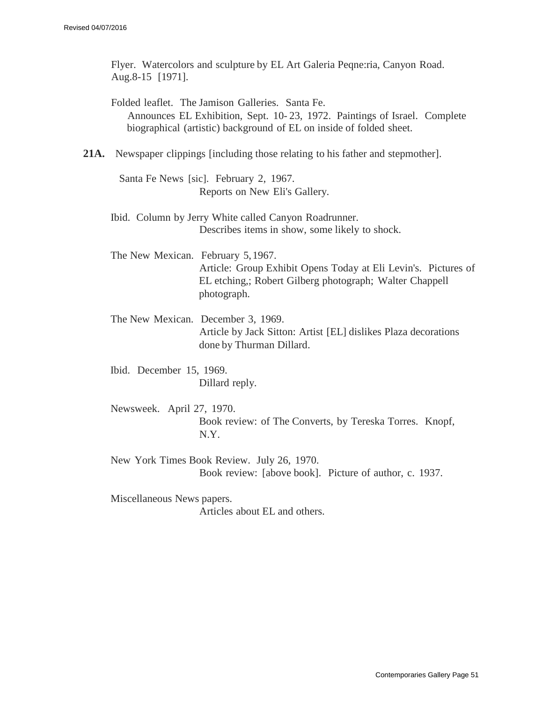Flyer. Watercolors and sculpture by EL Art Galeria Peqne:ria, Canyon Road. Aug.8-15 [1971].

Folded leaflet. The Jamison Galleries. Santa Fe. Announces EL Exhibition, Sept. 10- 23, 1972. Paintings of Israel. Complete biographical (artistic) background of EL on inside of folded sheet.

**21A.** Newspaper clippings [including those relating to his father and stepmother].

Santa Fe News [sic]. February 2, 1967. Reports on New Eli's Gallery.

Ibid. Column by Jerry White called Canyon Roadrunner. Describes items in show, some likely to shock.

The New Mexican. February 5, 1967. Article: Group Exhibit Opens Today at Eli Levin's. Pictures of EL etching,; Robert Gilberg photograph; Walter Chappell photograph.

The New Mexican. December 3, 1969. Article by Jack Sitton: Artist [EL] dislikes Plaza decorations done by Thurman Dillard.

Ibid. December 15, 1969. Dillard reply.

Newsweek. April 27, 1970. Book review: of The Converts, by Tereska Torres. Knopf, N.Y.

New York Times Book Review. July 26, 1970. Book review: [above book]. Picture of author, c. 1937.

Miscellaneous News papers. Articles about EL and others.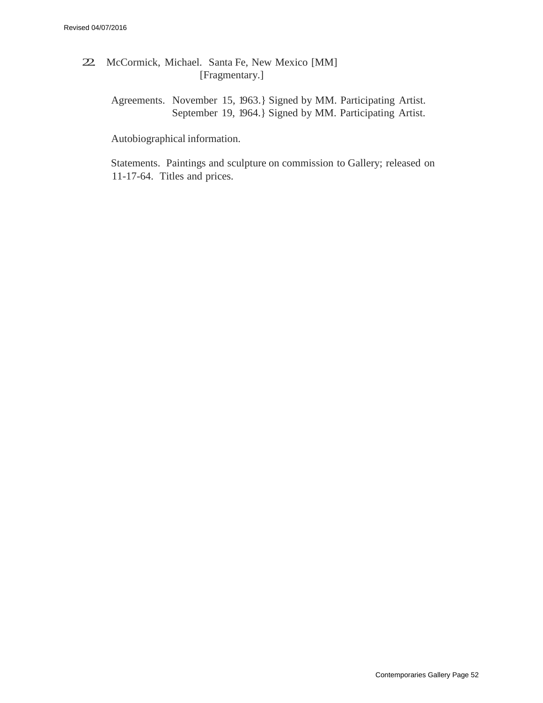- 22. McCormick, Michael. Santa Fe, New Mexico [MM] [Fragmentary.]
	- Agreements. November 15, 1963.} Signed by MM. Participating Artist. September 19, 1964.} Signed by MM. Participating Artist.

Autobiographical information.

Statements. Paintings and sculpture on commission to Gallery; released on 11-17-64. Titles and prices.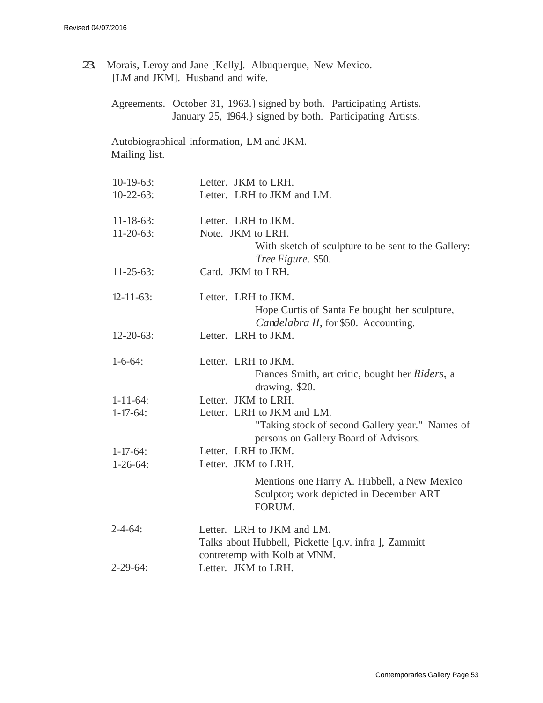| 23. |                  | Morais, Leroy and Jane [Kelly]. Albuquerque, New Mexico.<br>[LM and JKM]. Husband and wife.                                        |
|-----|------------------|------------------------------------------------------------------------------------------------------------------------------------|
|     |                  | Agreements. October 31, 1963.} signed by both. Participating Artists.<br>January 25, 1964.} signed by both. Participating Artists. |
|     | Mailing list.    | Autobiographical information, LM and JKM.                                                                                          |
|     | $10-19-63$ :     | Letter. JKM to LRH.                                                                                                                |
|     | $10-22-63$ :     | Letter. LRH to JKM and LM.                                                                                                         |
|     | $11 - 18 - 63$ : | Letter. LRH to JKM.                                                                                                                |
|     | $11-20-63$ :     | Note. JKM to LRH.<br>With sketch of sculpture to be sent to the Gallery:<br>Tree Figure. \$50.                                     |
|     | $11-25-63$ :     | Card. JKM to LRH.                                                                                                                  |
|     | $12 - 11 - 63$ : | Letter. LRH to JKM.<br>Hope Curtis of Santa Fe bought her sculpture,<br>Candelabra II, for \$50. Accounting.                       |
|     | $12 - 20 - 63$ : | Letter. LRH to JKM.                                                                                                                |
|     | $1 - 6 - 64$ :   | Letter. LRH to JKM.<br>Frances Smith, art critic, bought her <i>Riders</i> , a<br>drawing. \$20.                                   |
|     | $1 - 11 - 64$ :  | Letter. JKM to LRH.                                                                                                                |
|     | $1 - 17 - 64$ :  | Letter. LRH to JKM and LM.<br>"Taking stock of second Gallery year." Names of<br>persons on Gallery Board of Advisors.             |
|     | $1 - 17 - 64$ :  | Letter. LRH to JKM.                                                                                                                |
|     | $1 - 26 - 64$ :  | Letter. JKM to LRH.                                                                                                                |
|     |                  | Mentions one Harry A. Hubbell, a New Mexico<br>Sculptor; work depicted in December ART<br>FORUM.                                   |
|     | $2 - 4 - 64$ :   | Letter. LRH to JKM and LM.<br>Talks about Hubbell, Pickette [q.v. infra], Zammitt<br>contretemp with Kolb at MNM.                  |
|     | $2 - 29 - 64$ :  | Letter. JKM to LRH.                                                                                                                |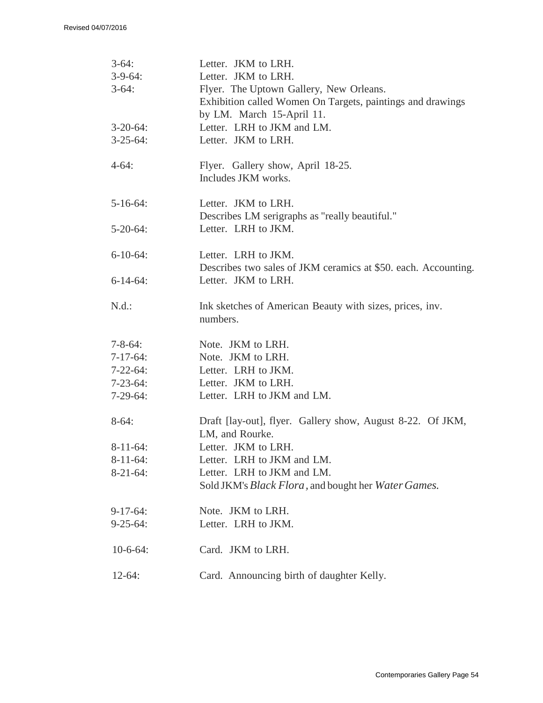| $3-64:$<br>$3-9-64$ :<br>$3-64:$ | Letter. JKM to LRH.<br>Letter. JKM to LRH.<br>Flyer. The Uptown Gallery, New Orleans.<br>Exhibition called Women On Targets, paintings and drawings |
|----------------------------------|-----------------------------------------------------------------------------------------------------------------------------------------------------|
| $3-20-64$ :<br>$3-25-64$ :       | by LM. March 15-April 11.<br>Letter. LRH to JKM and LM.<br>Letter. JKM to LRH.                                                                      |
| $4-64:$                          | Flyer. Gallery show, April 18-25.<br>Includes JKM works.                                                                                            |
| $5 - 16 - 64$ :                  | Letter. JKM to LRH.<br>Describes LM serigraphs as "really beautiful."                                                                               |
| $5 - 20 - 64$ :                  | Letter. LRH to JKM.                                                                                                                                 |
| $6-10-64$ :                      | Letter. LRH to JKM.                                                                                                                                 |
| $6-14-64$ :                      | Describes two sales of JKM ceramics at \$50. each. Accounting.<br>Letter. JKM to LRH.                                                               |
| N.d.:                            | Ink sketches of American Beauty with sizes, prices, inv.<br>numbers.                                                                                |
| $7 - 8 - 64$ :                   | Note. JKM to LRH.                                                                                                                                   |
| $7-17-64$ :                      | Note. JKM to LRH.                                                                                                                                   |
| $7 - 22 - 64$ :                  | Letter. LRH to JKM.                                                                                                                                 |
| $7 - 23 - 64$ :                  | Letter. JKM to LRH.                                                                                                                                 |
| $7-29-64$ :                      | Letter. LRH to JKM and LM.                                                                                                                          |
| $8-64:$                          | Draft [lay-out], flyer. Gallery show, August 8-22. Of JKM,<br>LM, and Rourke.                                                                       |
| $8-11-64$ :                      | Letter. JKM to LRH.                                                                                                                                 |
| $8-11-64$ :                      | Letter. LRH to JKM and LM.                                                                                                                          |
| $8-21-64$ :                      | Letter. LRH to JKM and LM.                                                                                                                          |
|                                  | Sold JKM's <i>Black Flora</i> , and bought her <i>Water Games</i> .                                                                                 |
| $9-17-64$ :                      | Note. JKM to LRH.                                                                                                                                   |
| $9 - 25 - 64$ :                  | Letter. LRH to JKM.                                                                                                                                 |
| $10-6-64$ :                      | Card. JKM to LRH.                                                                                                                                   |
| $12-64:$                         | Card. Announcing birth of daughter Kelly.                                                                                                           |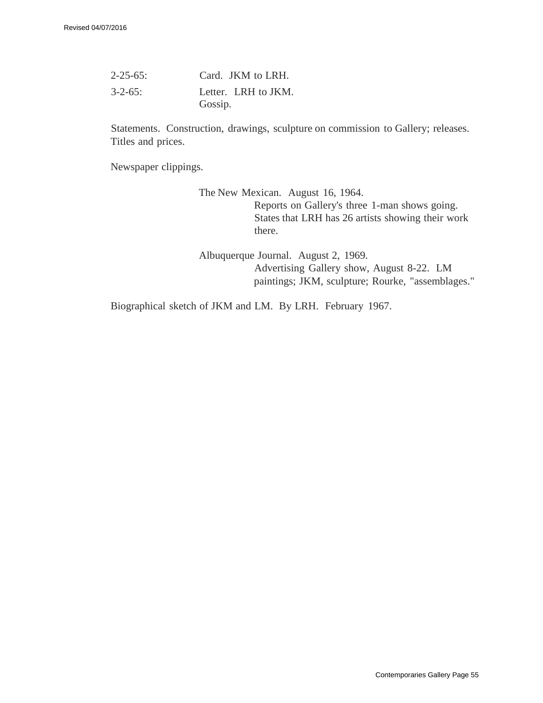| $2 - 25 - 65$ : | Card. JKM to LRH.              |
|-----------------|--------------------------------|
| $3 - 2 - 65$ :  | Letter. LRH to JKM.<br>Gossip. |

Statements. Construction, drawings, sculpture on commission to Gallery; releases. Titles and prices.

Newspaper clippings.

The New Mexican. August 16, 1964. Reports on Gallery's three 1-man shows going. States that LRH has 26 artists showing their work there.

Albuquerque Journal. August 2, 1969. Advertising Gallery show, August 8-22. LM paintings; JKM, sculpture; Rourke, "assemblages."

Biographical sketch of JKM and LM. By LRH. February 1967.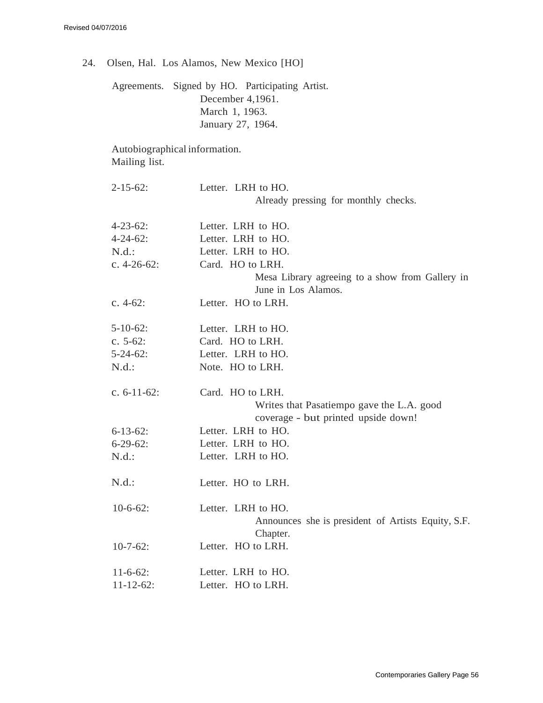24. Olsen, Hal. Los Alamos, New Mexico [HO]

Agreements. Signed by HO. Participating Artist. December 4,1961. March 1, 1963. January 27, 1964.

Autobiographical information. Mailing list.

| $2 - 15 - 62$ :  | Letter. LRH to HO.<br>Already pressing for monthly checks.     |
|------------------|----------------------------------------------------------------|
| $4 - 23 - 62$ :  | Letter. LRH to HO.                                             |
| $4 - 24 - 62$ :  | Letter. LRH to HO.                                             |
| N.d.:            | Letter. LRH to HO.                                             |
| c. $4-26-62$ :   | Card. HO to LRH.                                               |
|                  | Mesa Library agreeing to a show from Gallery in                |
|                  | June in Los Alamos.                                            |
| c. $4-62$ :      | Letter. HO to LRH.                                             |
| $5-10-62$ :      | Letter. LRH to HO.                                             |
| c. $5-62$ :      | Card. HO to LRH.                                               |
| $5 - 24 - 62$ :  | Letter. LRH to HO.                                             |
| N.d.:            | Note. HO to LRH.                                               |
| c. $6-11-62$ :   | Card. HO to LRH.                                               |
|                  | Writes that Pasatiempo gave the L.A. good                      |
|                  | coverage - but printed upside down!                            |
| $6 - 13 - 62$ :  | Letter. LRH to HO.                                             |
| $6-29-62$ :      | Letter. LRH to HO.                                             |
| N.d.:            | Letter. LRH to HO.                                             |
| N.d.:            | Letter. HO to LRH.                                             |
| $10-6-62$ :      | Letter. LRH to HO.                                             |
|                  | Announces she is president of Artists Equity, S.F.<br>Chapter. |
| $10-7-62$ :      | Letter. HO to LRH.                                             |
| $11-6-62$ :      | Letter. LRH to HO.                                             |
| $11 - 12 - 62$ : | Letter. HO to LRH.                                             |
|                  |                                                                |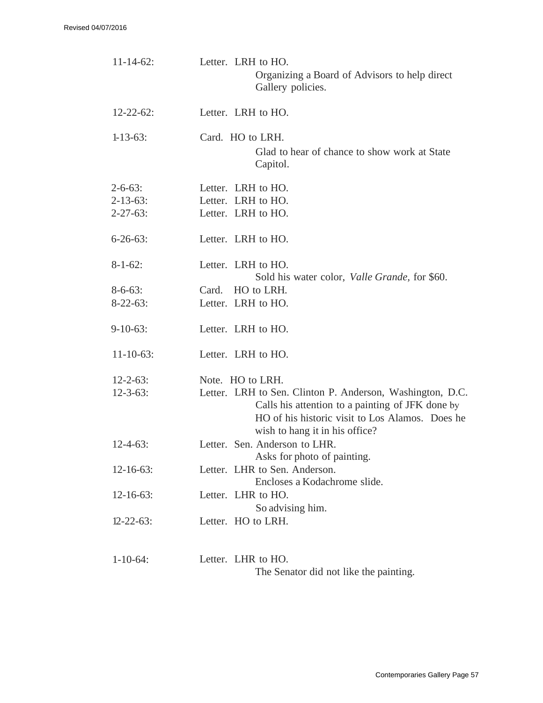| $11 - 14 - 62$ :                                     | Letter. LRH to HO.<br>Organizing a Board of Advisors to help direct<br>Gallery policies.                                                                                                           |
|------------------------------------------------------|----------------------------------------------------------------------------------------------------------------------------------------------------------------------------------------------------|
| $12 - 22 - 62$ :                                     | Letter. LRH to HO.                                                                                                                                                                                 |
| $1 - 13 - 63$ :                                      | Card. HO to LRH.<br>Glad to hear of chance to show work at State<br>Capitol.                                                                                                                       |
| $2 - 6 - 63$ :<br>$2 - 13 - 63$ :<br>$2 - 27 - 63$ : | Letter. LRH to HO.<br>Letter. LRH to HO.<br>Letter. LRH to HO.                                                                                                                                     |
| $6 - 26 - 63$ :                                      | Letter. LRH to HO.                                                                                                                                                                                 |
| $8 - 1 - 62$ :                                       | Letter. LRH to HO.<br>Sold his water color, <i>Valle Grande</i> , for \$60.                                                                                                                        |
| $8 - 6 - 63$ :                                       | Card. HO to LRH.                                                                                                                                                                                   |
| $8-22-63$ :                                          | Letter. LRH to HO.                                                                                                                                                                                 |
| $9-10-63$ :                                          | Letter. LRH to HO.                                                                                                                                                                                 |
| $11 - 10 - 63$ :                                     | Letter. LRH to HO.                                                                                                                                                                                 |
| $12 - 2 - 63$ :                                      | Note. HO to LRH.                                                                                                                                                                                   |
| $12 - 3 - 63$ :                                      | Letter. LRH to Sen. Clinton P. Anderson, Washington, D.C.<br>Calls his attention to a painting of JFK done by<br>HO of his historic visit to Los Alamos. Does he<br>wish to hang it in his office? |
| $12 - 4 - 63$ :                                      | Letter. Sen. Anderson to LHR.<br>Asks for photo of painting.                                                                                                                                       |
| $12 - 16 - 63$ :                                     | Letter. LHR to Sen. Anderson.<br>Encloses a Kodachrome slide.                                                                                                                                      |
| $12 - 16 - 63$ :                                     | Letter. LHR to HO.<br>So advising him.                                                                                                                                                             |
| $12 - 22 - 63$ :                                     | Letter. HO to LRH.                                                                                                                                                                                 |
| $1 - 10 - 64$ :                                      | Letter. LHR to HO.<br>The Senator did not like the painting.                                                                                                                                       |

Contemporaries Gallery Page 57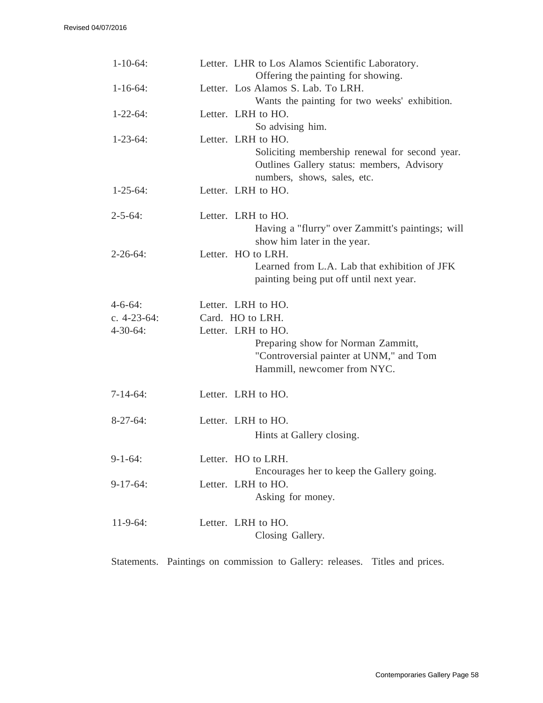| $1 - 10 - 64$ : | Letter. LHR to Los Alamos Scientific Laboratory.<br>Offering the painting for showing.                                                            |
|-----------------|---------------------------------------------------------------------------------------------------------------------------------------------------|
| $1 - 16 - 64$ : | Letter. Los Alamos S. Lab. To LRH.<br>Wants the painting for two weeks' exhibition.                                                               |
| $1 - 22 - 64$ : | Letter. LRH to HO.<br>So advising him.                                                                                                            |
| $1 - 23 - 64$ : | Letter. LRH to HO.<br>Soliciting membership renewal for second year.<br>Outlines Gallery status: members, Advisory<br>numbers, shows, sales, etc. |
| $1 - 25 - 64$ : | Letter. LRH to HO.                                                                                                                                |
| $2 - 5 - 64$ :  | Letter. LRH to HO.<br>Having a "flurry" over Zammitt's paintings; will<br>show him later in the year.                                             |
| $2 - 26 - 64$ : | Letter. HO to LRH.<br>Learned from L.A. Lab that exhibition of JFK<br>painting being put off until next year.                                     |
| $4 - 6 - 64$ :  | Letter. LRH to HO.                                                                                                                                |
| c. $4-23-64$ :  | Card. HO to LRH.                                                                                                                                  |
| $4 - 30 - 64$ : | Letter. LRH to HO.<br>Preparing show for Norman Zammitt,<br>"Controversial painter at UNM," and Tom<br>Hammill, newcomer from NYC.                |
| $7-14-64$ :     | Letter. LRH to HO.                                                                                                                                |
| $8-27-64$ :     | Letter. LRH to HO.<br>Hints at Gallery closing.                                                                                                   |
| $9-1-64:$       | Letter. HO to LRH.<br>Encourages her to keep the Gallery going.                                                                                   |
| $9-17-64$ :     | Letter. LRH to HO.<br>Asking for money.                                                                                                           |
| $11-9-64$ :     | Letter. LRH to HO.<br>Closing Gallery.                                                                                                            |

Statements. Paintings on commission to Gallery: releases. Titles and prices.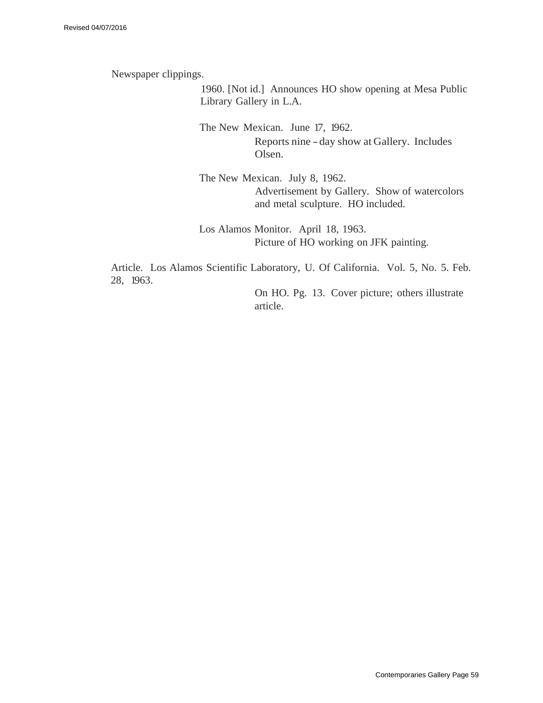Newspaper clippings.

1960. [Not id.] Announces HO show opening at Mesa Public Library Gallery in L.A.

The New Mexican. June 17, 1962. Reports nine - day show at Gallery. Includes Olsen.

The New Mexican. July 8, 1962. Advertisement by Gallery. Show of watercolors and metal sculpture. HO included.

Los Alamos Monitor. April 18, 1963. Picture of HO working on JFK painting.

Article. Los Alamos Scientific Laboratory, U. Of California. Vol. 5, No. 5. Feb. 28, 1963.

> On HO. Pg. 13. Cover picture; others illustrate article.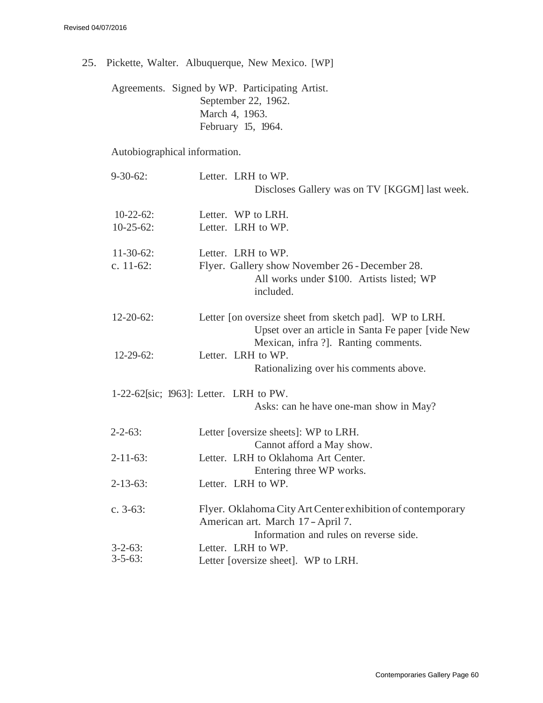25. Pickette, Walter. Albuquerque, New Mexico. [WP]

Agreements. Signed by WP. Participating Artist. September 22, 1962. March 4, 1963. February 15, 1964.

Autobiographical information.

| $9 - 30 - 62$ :  | Letter. LRH to WP.                                                                                                                                  |
|------------------|-----------------------------------------------------------------------------------------------------------------------------------------------------|
|                  | Discloses Gallery was on TV [KGGM] last week.                                                                                                       |
| $10-22-62$ :     | Letter. WP to LRH.                                                                                                                                  |
| $10-25-62$ :     | Letter. LRH to WP.                                                                                                                                  |
| $11-30-62$ :     | Letter. LRH to WP.                                                                                                                                  |
| c. $11-62$ :     | Flyer. Gallery show November 26 - December 28.<br>All works under \$100. Artists listed; WP<br>included.                                            |
| $12 - 20 - 62$ : | Letter [on oversize sheet from sketch pad]. WP to LRH.<br>Upset over an article in Santa Fe paper [vide New<br>Mexican, infra ?]. Ranting comments. |
| $12 - 29 - 62$ : | Letter. LRH to WP.<br>Rationalizing over his comments above.                                                                                        |
|                  | $1-22-62$ [sic; 1963]: Letter. LRH to PW.<br>Asks: can he have one-man show in May?                                                                 |
| $2 - 2 - 63$ :   | Letter [oversize sheets]: WP to LRH.<br>Cannot afford a May show.                                                                                   |
| $2 - 11 - 63$ :  | Letter. LRH to Oklahoma Art Center.<br>Entering three WP works.                                                                                     |
| $2 - 13 - 63$ :  | Letter. LRH to WP.                                                                                                                                  |
| c. $3-63$ :      | Flyer. Oklahoma City Art Center exhibition of contemporary<br>American art. March 17 - April 7.<br>Information and rules on reverse side.           |
| $3 - 2 - 63$ :   | Letter. LRH to WP.                                                                                                                                  |
| $3 - 5 - 63$ :   | Letter [oversize sheet]. WP to LRH.                                                                                                                 |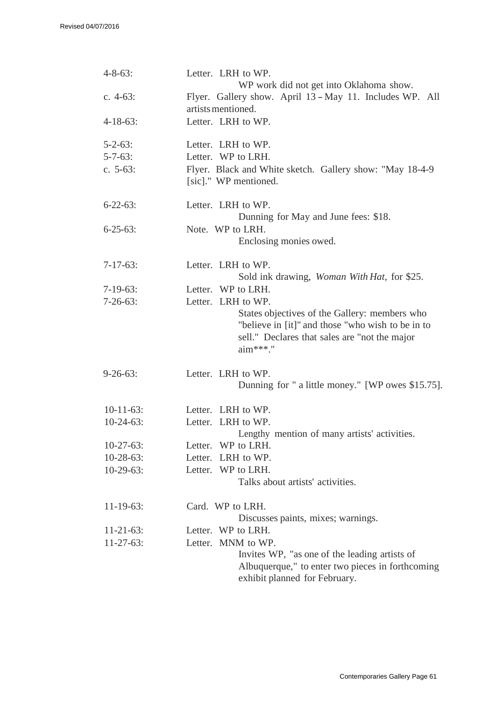| $4 - 8 - 63$ :   | Letter. LRH to WP.<br>WP work did not get into Oklahoma show.                                                                                                   |
|------------------|-----------------------------------------------------------------------------------------------------------------------------------------------------------------|
| c. $4-63$ :      | Flyer. Gallery show. April 13 - May 11. Includes WP. All                                                                                                        |
|                  | artists mentioned.                                                                                                                                              |
| $4 - 18 - 63$ :  | Letter. LRH to WP.                                                                                                                                              |
| $5 - 2 - 63$ :   | Letter. LRH to WP.                                                                                                                                              |
| $5 - 7 - 63$ :   | Letter. WP to LRH.                                                                                                                                              |
| c. $5-63$ :      | Flyer. Black and White sketch. Gallery show: "May 18-4-9<br>[sic]." WP mentioned.                                                                               |
| $6 - 22 - 63$ :  | Letter. LRH to WP.                                                                                                                                              |
|                  | Dunning for May and June fees: \$18.                                                                                                                            |
| $6 - 25 - 63$ :  | Note. WP to LRH.                                                                                                                                                |
|                  | Enclosing monies owed.                                                                                                                                          |
| $7-17-63$ :      | Letter. LRH to WP.                                                                                                                                              |
|                  | Sold ink drawing, <i>Woman With Hat</i> , for \$25.                                                                                                             |
| $7-19-63$ :      | Letter. WP to LRH.                                                                                                                                              |
| $7-26-63$ :      | Letter. LRH to WP.                                                                                                                                              |
|                  | States objectives of the Gallery: members who<br>"believe in [it]" and those "who wish to be in to<br>sell." Declares that sales are "not the major<br>aim***." |
| $9 - 26 - 63$ :  | Letter. LRH to WP.                                                                                                                                              |
|                  | Dunning for " a little money." [WP owes \$15.75].                                                                                                               |
| $10-11-63$ :     | Letter. LRH to WP.                                                                                                                                              |
| $10-24-63$ :     | Letter. LRH to WP.                                                                                                                                              |
|                  | Lengthy mention of many artists' activities.                                                                                                                    |
| $10-27-63$ :     | Letter. WP to LRH.                                                                                                                                              |
| $10-28-63$ :     | Letter. LRH to WP.                                                                                                                                              |
| $10-29-63$ :     | Letter. WP to LRH.<br>Talks about artists' activities.                                                                                                          |
| $11 - 19 - 63$ : | Card. WP to LRH.                                                                                                                                                |
|                  | Discusses paints, mixes; warnings.                                                                                                                              |
| $11 - 21 - 63$ : | Letter. WP to LRH.                                                                                                                                              |
| $11-27-63$ :     | Letter. MNM to WP.<br>Invites WP, "as one of the leading artists of<br>Albuquerque," to enter two pieces in forthcoming<br>exhibit planned for February.        |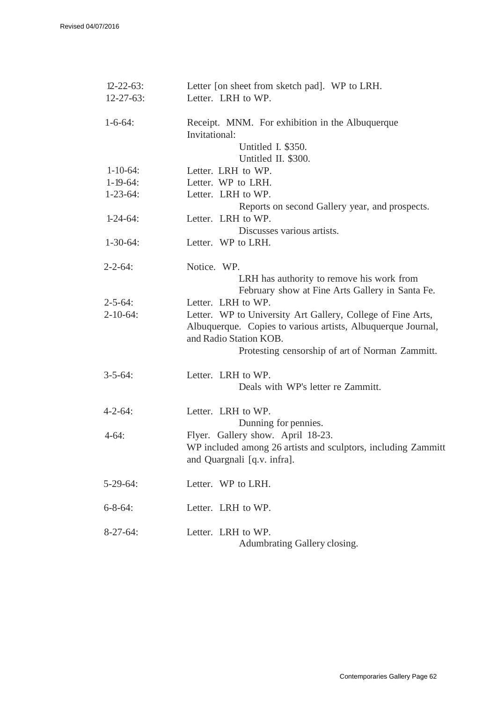| $12 - 22 - 63$ :                   | Letter [on sheet from sketch pad]. WP to LRH.                                                                               |
|------------------------------------|-----------------------------------------------------------------------------------------------------------------------------|
| $12 - 27 - 63$ :                   | Letter. LRH to WP.                                                                                                          |
| $1 - 6 - 64$ :                     | Receipt. MNM. For exhibition in the Albuquerque<br>Invitational:                                                            |
|                                    | Untitled I. \$350.                                                                                                          |
|                                    | Untitled II. \$300.                                                                                                         |
| $1 - 10 - 64$ :<br>$1 - 19 - 64$ : | Letter. LRH to WP.                                                                                                          |
|                                    | Letter. WP to LRH.                                                                                                          |
| $1 - 23 - 64$ :                    | Letter. LRH to WP.                                                                                                          |
| $1-24-64$ :                        | Reports on second Gallery year, and prospects.<br>Letter. LRH to WP.                                                        |
|                                    | Discusses various artists.                                                                                                  |
| $1-30-64$ :                        | Letter. WP to LRH.                                                                                                          |
| $2 - 2 - 64$ :                     | Notice. WP.                                                                                                                 |
|                                    | LRH has authority to remove his work from                                                                                   |
|                                    | February show at Fine Arts Gallery in Santa Fe.                                                                             |
| $2 - 5 - 64$ :                     | Letter. LRH to WP.                                                                                                          |
| $2 - 10 - 64$ :                    | Letter. WP to University Art Gallery, College of Fine Arts,<br>Albuquerque. Copies to various artists, Albuquerque Journal, |
|                                    | and Radio Station KOB.<br>Protesting censorship of art of Norman Zammitt.                                                   |
| $3 - 5 - 64$ :                     | Letter. LRH to WP.                                                                                                          |
|                                    | Deals with WP's letter re Zammitt.                                                                                          |
| $4 - 2 - 64$ :                     | Letter. LRH to WP.                                                                                                          |
|                                    | Dunning for pennies.                                                                                                        |
| $4-64:$                            | Flyer. Gallery show. April 18-23.                                                                                           |
|                                    | WP included among 26 artists and sculptors, including Zammitt                                                               |
|                                    | and Quargnali [q.v. infra].                                                                                                 |
| $5-29-64$ :                        | Letter. WP to LRH.                                                                                                          |
|                                    |                                                                                                                             |
| $6 - 8 - 64$ :                     | Letter. LRH to WP.                                                                                                          |
|                                    |                                                                                                                             |
| $8-27-64$ :                        | Letter. LRH to WP.                                                                                                          |
|                                    | Adumbrating Gallery closing.                                                                                                |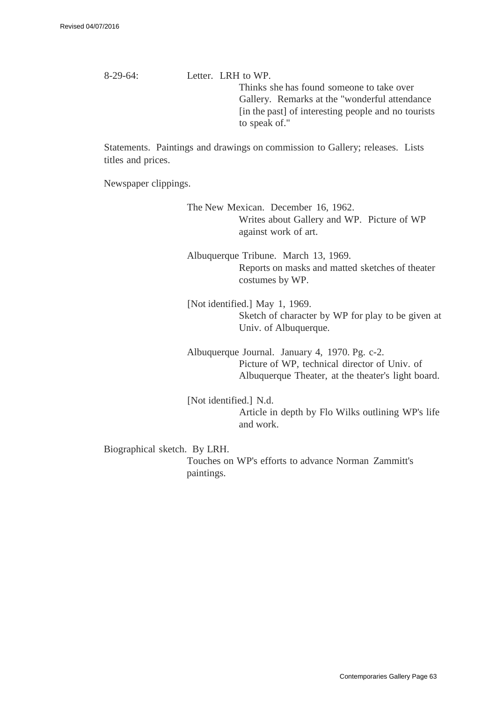8-29-64: Letter. LRH to WP. Thinks she has found someone to take over Gallery. Remarks at the "wonderful attendance [in the past] of interesting people and no tourists to speak of."

Statements. Paintings and drawings on commission to Gallery; releases. Lists titles and prices.

Newspaper clippings.

The New Mexican. December 16, 1962. Writes about Gallery and WP. Picture of WP against work of art.

Albuquerque Tribune. March 13, 1969. Reports on masks and matted sketches of theater costumes by WP.

[Not identified.] May 1, 1969. Sketch of character by WP for play to be given at Univ. of Albuquerque.

Albuquerque Journal. January 4, 1970. Pg. c-2. Picture of WP, technical director of Univ. of Albuquerque Theater, at the theater's light board.

[Not identified.] N.d. Article in depth by Flo Wilks outlining WP's life and work.

Biographical sketch. By LRH.

Touches on WP's efforts to advance Norman Zammitt's paintings.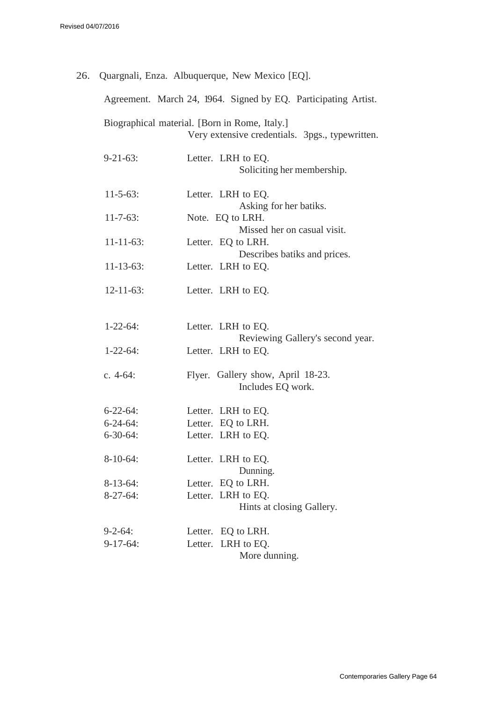|                  | 26. Quargnali, Enza. Albuquerque, New Mexico [EQ].                                               |
|------------------|--------------------------------------------------------------------------------------------------|
|                  | Agreement. March 24, 1964. Signed by EQ. Participating Artist.                                   |
|                  | Biographical material. [Born in Rome, Italy.]<br>Very extensive credentials. 3pgs., typewritten. |
| $9 - 21 - 63$ :  | Letter. LRH to EQ.<br>Soliciting her membership.                                                 |
| $11 - 5 - 63$ :  | Letter. LRH to EQ.<br>Asking for her batiks.                                                     |
| $11 - 7 - 63$ :  | Note. EQ to LRH.<br>Missed her on casual visit.                                                  |
| $11 - 11 - 63$ : | Letter. EQ to LRH.<br>Describes batiks and prices.                                               |
| $11 - 13 - 63$ : | Letter. LRH to EQ.                                                                               |
| $12 - 11 - 63$ : | Letter. LRH to EQ.                                                                               |
| $1 - 22 - 64$ :  | Letter. LRH to EQ.<br>Reviewing Gallery's second year.                                           |
| $1 - 22 - 64$ :  | Letter. LRH to EQ.                                                                               |
| c. $4-64$ :      | Flyer. Gallery show, April 18-23.<br>Includes EQ work.                                           |
| $6 - 22 - 64$ :  | Letter. LRH to EQ.                                                                               |
| $6 - 24 - 64$ :  | Letter. EQ to LRH.                                                                               |
| $6 - 30 - 64$ :  | Letter. LRH to EQ.                                                                               |
| $8-10-64$ :      | Letter. LRH to EQ.<br>Dunning.                                                                   |
| $8-13-64$ :      | Letter. EQ to LRH.                                                                               |
| $8-27-64$ :      | Letter. LRH to EQ.<br>Hints at closing Gallery.                                                  |
|                  |                                                                                                  |
| $9 - 2 - 64$ :   | Letter. EQ to LRH.                                                                               |
| $9-17-64$ :      | Letter. LRH to EQ.<br>More dunning.                                                              |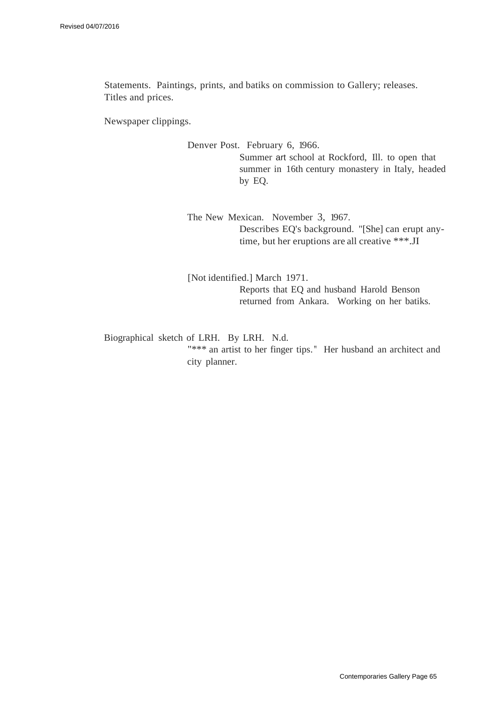Statements. Paintings, prints, and batiks on commission to Gallery; releases. Titles and prices.

Newspaper clippings.

Denver Post. February 6, 1966. Summer art school at Rockford, Ill. to open that summer in 16th century monastery in Italy, headed by EQ.

The New Mexican. November 3, 1967. Describes EQ's background. "[She] can erupt anytime, but her eruptions are all creative \*\*\*.JI

[Not identified.] March 1971. Reports that EQ and husband Harold Benson returned from Ankara. Working on her batiks.

Biographical sketch of LRH. By LRH. N.d. "\*\*\* an artist to her finger tips. " Her husband an architect and city planner.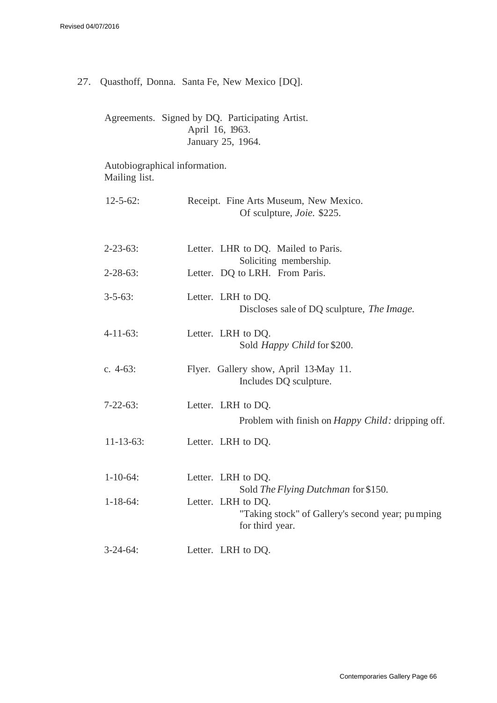27. Quasthoff, Donna. Santa Fe, New Mexico [DQ].

Agreements. Signed by DQ. Participating Artist. April 16, 1963. January 25, 1964.

Autobiographical information. Mailing list.

| $12 - 5 - 62$ :  | Receipt. Fine Arts Museum, New Mexico.<br>Of sculpture, <i>Joie</i> . \$225.              |
|------------------|-------------------------------------------------------------------------------------------|
| $2 - 23 - 63$ :  | Letter. LHR to DQ. Mailed to Paris.<br>Soliciting membership.                             |
| $2 - 28 - 63$ :  | Letter. DQ to LRH. From Paris.                                                            |
| $3 - 5 - 63$ :   | Letter. LRH to DQ.<br>Discloses sale of DQ sculpture, The Image.                          |
| $4-11-63$ :      | Letter. LRH to DQ.<br>Sold Happy Child for \$200.                                         |
| c. $4-63$ :      | Flyer. Gallery show, April 13-May 11.<br>Includes DQ sculpture.                           |
| $7 - 22 - 63$ :  | Letter. LRH to DQ.<br>Problem with finish on <i>Happy Child:</i> dripping off.            |
| $11 - 13 - 63$ : | Letter. LRH to DQ.                                                                        |
| $1 - 10 - 64$ :  | Letter. LRH to DQ.<br>Sold The Flying Dutchman for \$150.                                 |
| $1 - 18 - 64$ :  | Letter. LRH to DQ.<br>"Taking stock" of Gallery's second year; pumping<br>for third year. |
| $3-24-64$ :      | Letter. LRH to DQ.                                                                        |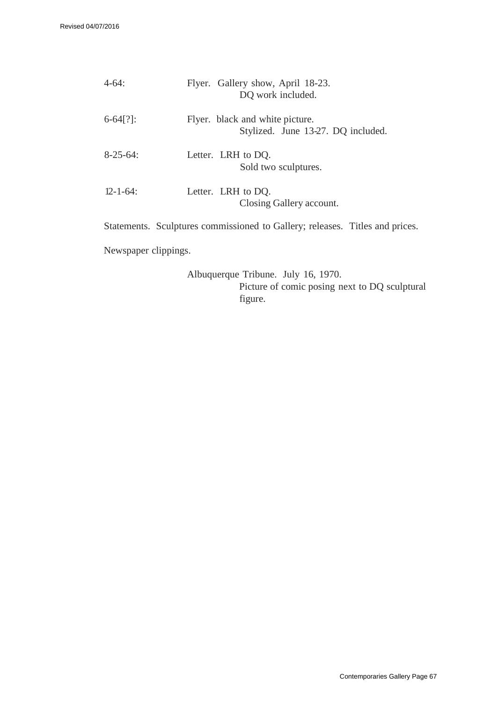| $4 - 64:$       | Flyer. Gallery show, April 18-23.<br>DQ work included.                |
|-----------------|-----------------------------------------------------------------------|
| $6-64$ [?]:     | Flyer. black and white picture.<br>Stylized. June 13-27. DQ included. |
| $8 - 25 - 64$ : | Letter. LRH to DQ.<br>Sold two sculptures.                            |
| $12 - 1 - 64$   | Letter. LRH to DQ.<br>Closing Gallery account.                        |

Statements. Sculptures commissioned to Gallery; releases. Titles and prices.

Newspaper clippings.

Albuquerque Tribune. July 16, 1970. Picture of comic posing next to DQ sculptural figure.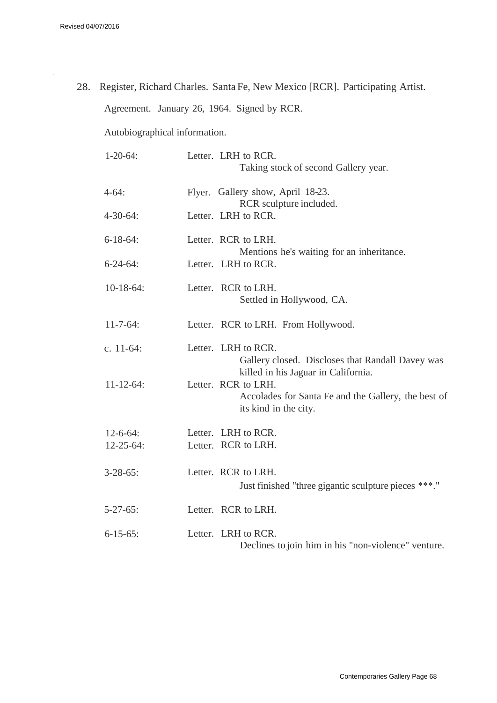$\hat{\boldsymbol{\theta}}$ 

28. Register, Richard Charles. Santa Fe, New Mexico [RCR]. Participating Artist. Agreement. January 26, 1964. Signed by RCR.

Autobiographical information.

| $1-20-64$ :      | Letter. LRH to RCR.<br>Taking stock of second Gallery year.                                                                                |
|------------------|--------------------------------------------------------------------------------------------------------------------------------------------|
| $4 - 64:$        | Flyer. Gallery show, April 18-23.<br>RCR sculpture included.                                                                               |
| $4 - 30 - 64$ :  | Letter. LRH to RCR.                                                                                                                        |
| $6 - 18 - 64$ :  | Letter. RCR to LRH.<br>Mentions he's waiting for an inheritance.                                                                           |
| $6 - 24 - 64$ :  | Letter. LRH to RCR.                                                                                                                        |
| $10-18-64$ :     | Letter. RCR to LRH.<br>Settled in Hollywood, CA.                                                                                           |
| $11 - 7 - 64$ :  | Letter. RCR to LRH. From Hollywood.                                                                                                        |
| c. $11-64$ :     | Letter. LRH to RCR.<br>Gallery closed. Discloses that Randall Davey was                                                                    |
| $11 - 12 - 64$ : | killed in his Jaguar in California.<br>Letter. RCR to LRH.<br>Accolades for Santa Fe and the Gallery, the best of<br>its kind in the city. |
| $12 - 6 - 64$ :  | Letter. LRH to RCR.                                                                                                                        |
| $12 - 25 - 64$ : | Letter. RCR to LRH.                                                                                                                        |
| $3 - 28 - 65$ :  | Letter. RCR to LRH.<br>Just finished "three gigantic sculpture pieces ***."                                                                |
| $5 - 27 - 65$ :  | Letter. RCR to LRH.                                                                                                                        |
| $6 - 15 - 65$ :  | Letter. LRH to RCR.<br>Declines to join him in his "non-violence" venture.                                                                 |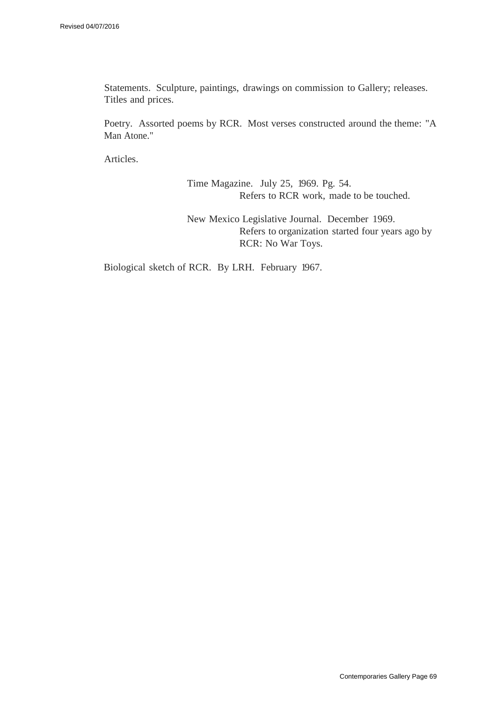Statements. Sculpture, paintings, drawings on commission to Gallery; releases. Titles and prices.

Poetry. Assorted poems by RCR. Most verses constructed around the theme: "A Man Atone."

Articles.

Time Magazine. July 25, 1969. Pg. 54. Refers to RCR work, made to be touched.

New Mexico Legislative Journal. December 1969. Refers to organization started four years ago by RCR: No War Toys.

Biological sketch of RCR. By LRH. February 1967.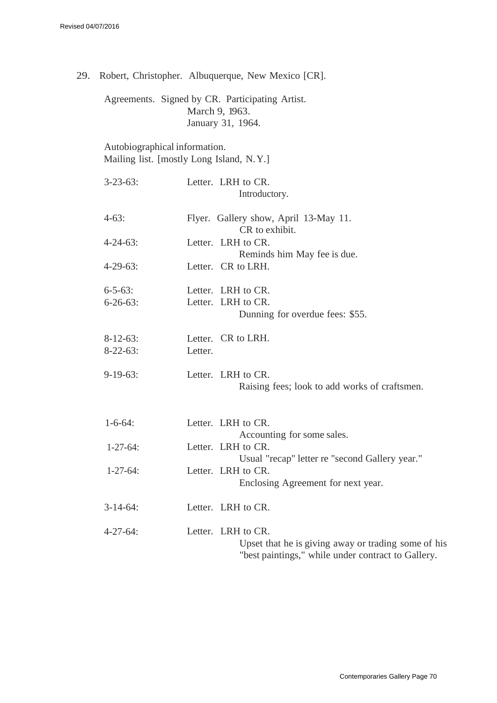29. Robert, Christopher. Albuquerque, New Mexico [CR].

Agreements. Signed by CR. Participating Artist. March 9, 1963. January 31, 1964.

Autobiographical information. Mailing list. [mostly Long Island, N.Y.]

| $3 - 23 - 63$ : | Letter. LRH to CR.<br>Introductory.                                                                                             |
|-----------------|---------------------------------------------------------------------------------------------------------------------------------|
| $4-63:$         | Flyer. Gallery show, April 13-May 11.<br>CR to exhibit.                                                                         |
| $4 - 24 - 63$ : | Letter. LRH to CR.<br>Reminds him May fee is due.                                                                               |
| $4 - 29 - 63$ : | Letter. CR to LRH.                                                                                                              |
| $6 - 5 - 63$ :  | Letter. LRH to CR.                                                                                                              |
| $6 - 26 - 63$ : | Letter. LRH to CR.<br>Dunning for overdue fees: \$55.                                                                           |
| $8-12-63$ :     | Letter. CR to LRH.                                                                                                              |
| $8-22-63$ :     | Letter.                                                                                                                         |
| $9-19-63$ :     | Letter. LRH to CR.<br>Raising fees; look to add works of craftsmen.                                                             |
| $1 - 6 - 64$ :  | Letter. LRH to CR.<br>Accounting for some sales.                                                                                |
| $1 - 27 - 64$ : | Letter. LRH to CR.                                                                                                              |
| $1-27-64$ :     | Usual "recap" letter re "second Gallery year."<br>Letter. LRH to CR.<br>Enclosing Agreement for next year.                      |
| $3-14-64$ :     | Letter. LRH to CR.                                                                                                              |
| $4 - 27 - 64$ : | Letter. LRH to CR.<br>Upset that he is giving away or trading some of his<br>"best paintings," while under contract to Gallery. |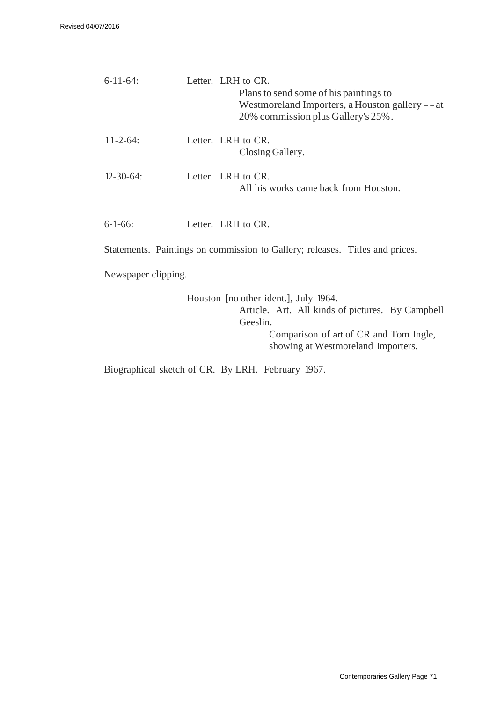| $6-11-64$ :                                                                  | Letter. LRH to CR.<br>Plans to send some of his paintings to<br>Westmoreland Importers, a Houston gallery --at<br>20% commission plus Gallery's 25%. |  |  |  |
|------------------------------------------------------------------------------|------------------------------------------------------------------------------------------------------------------------------------------------------|--|--|--|
| $11 - 2 - 64$ :                                                              | Letter. LRH to CR.<br>Closing Gallery.                                                                                                               |  |  |  |
| $12 - 30 - 64$ :                                                             | Letter. LRH to CR.<br>All his works came back from Houston.                                                                                          |  |  |  |
| $6 - 1 - 66$ :                                                               | Letter. LRH to CR.                                                                                                                                   |  |  |  |
| Statements. Paintings on commission to Gallery; releases. Titles and prices. |                                                                                                                                                      |  |  |  |
| Newspaper clipping.                                                          |                                                                                                                                                      |  |  |  |
|                                                                              | Houston [no other ident.], July 1964.<br>Article. Art. All kinds of pictures. By Campbell<br>Geeslin.                                                |  |  |  |

Comparison of art of CR and Tom Ingle, showing at Westmoreland Importers.

Biographical sketch of CR. By LRH. February 1967.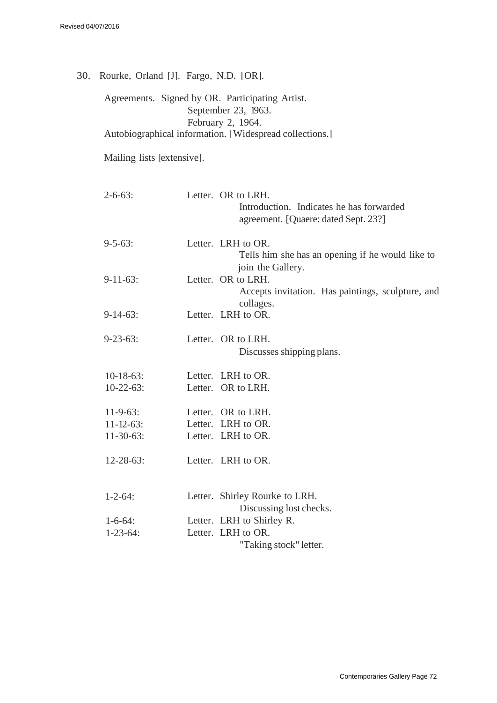30. Rourke, Orland [J]. Fargo, N.D. [OR].

Agreements. Signed by OR. Participating Artist. September 23, 1963. February 2, 1964. Autobiographical information. [Widespread collections.]

Mailing lists [extensive].

| $2 - 6 - 63$ :   | Letter. OR to LRH.<br>Introduction. Indicates he has forwarded<br>agreement. [Quaere: dated Sept. 23?] |
|------------------|--------------------------------------------------------------------------------------------------------|
| $9 - 5 - 63$ :   | Letter. LRH to OR.<br>Tells him she has an opening if he would like to<br>join the Gallery.            |
| $9-11-63$ :      | Letter. OR to LRH.<br>Accepts invitation. Has paintings, sculpture, and<br>collages.                   |
| $9-14-63$ :      | Letter. LRH to OR.                                                                                     |
| $9 - 23 - 63$ :  | Letter. OR to LRH.<br>Discusses shipping plans.                                                        |
| $10-18-63$ :     | Letter. LRH to OR.                                                                                     |
| $10-22-63$ :     | Letter. OR to LRH.                                                                                     |
| $11-9-63$ :      | Letter. OR to LRH.                                                                                     |
| $11 - 12 - 63$ : | Letter. LRH to OR.                                                                                     |
| $11-30-63$ :     | Letter. LRH to OR.                                                                                     |
| $12 - 28 - 63$ : | Letter. LRH to OR.                                                                                     |
| $1 - 2 - 64$ :   | Letter. Shirley Rourke to LRH.<br>Discussing lost checks.                                              |
| $1 - 6 - 64$ :   | Letter. LRH to Shirley R.                                                                              |
| $1 - 23 - 64$ :  | Letter. LRH to OR.                                                                                     |
|                  | "Taking stock" letter.                                                                                 |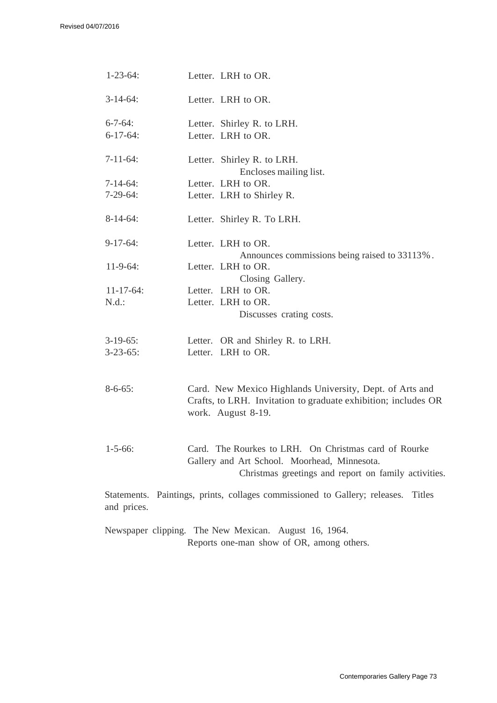| $1 - 23 - 64$ :  | Letter. LRH to OR.                                                                                                          |
|------------------|-----------------------------------------------------------------------------------------------------------------------------|
| $3-14-64$ :      | Letter. LRH to OR.                                                                                                          |
| $6 - 7 - 64$ :   | Letter. Shirley R. to LRH.                                                                                                  |
| $6-17-64$ :      | Letter. LRH to OR.                                                                                                          |
| $7-11-64$ :      | Letter. Shirley R. to LRH.<br>Encloses mailing list.                                                                        |
| $7-14-64$ :      | Letter. LRH to OR.                                                                                                          |
| $7-29-64:$       | Letter. LRH to Shirley R.                                                                                                   |
| $8-14-64$ :      | Letter. Shirley R. To LRH.                                                                                                  |
| $9-17-64:$       | Letter. LRH to OR.                                                                                                          |
|                  | Announces commissions being raised to 33113%.                                                                               |
| $11-9-64$ :      | Letter. LRH to OR.                                                                                                          |
|                  | Closing Gallery.                                                                                                            |
| $11 - 17 - 64$ : | Letter. LRH to OR.                                                                                                          |
| N.d.:            | Letter. LRH to OR.<br>Discusses crating costs.                                                                              |
| $3-19-65$ :      | Letter. OR and Shirley R. to LRH.                                                                                           |
| $3 - 23 - 65$ :  | Letter. LRH to OR.                                                                                                          |
| $8 - 6 - 65$ :   | Card. New Mexico Highlands University, Dept. of Arts and<br>Crafts, to LRH. Invitation to graduate exhibition; includes OR  |
| $1 - 5 - 66$ :   | work. August 8-19.<br>Card. The Rourkes to LRH. On Christmas card of Rourke<br>Gallery and Art School. Moorhead, Minnesota. |
|                  | Christmas greetings and report on family activities.                                                                        |
| and prices.      | Statements. Paintings, prints, collages commissioned to Gallery; releases.<br><b>Titles</b>                                 |

Newspaper clipping. The New Mexican. August 16, 1964. Reports one-man show of OR, among others.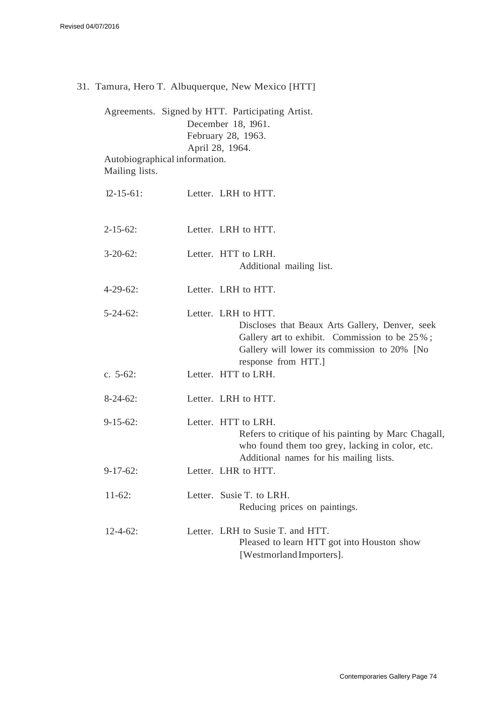31. Tamura, Hero T. Albuquerque, New Mexico [HTT]

Agreements. Signed by HTT. Participating Artist. December 18, 1961. February 28, 1963. April 28, 1964. Autobiographical information. Mailing lists.

| $12 - 15 - 61$ : | Letter. LRH to HTT.                                                                                                                                                                           |
|------------------|-----------------------------------------------------------------------------------------------------------------------------------------------------------------------------------------------|
| $2 - 15 - 62$ :  | Letter. LRH to HTT.                                                                                                                                                                           |
| $3-20-62$ :      | Letter. HTT to LRH.<br>Additional mailing list.                                                                                                                                               |
| $4 - 29 - 62$ :  | Letter. LRH to HTT.                                                                                                                                                                           |
| $5 - 24 - 62$ :  | Letter. LRH to HTT.<br>Discloses that Beaux Arts Gallery, Denver, seek<br>Gallery art to exhibit. Commission to be 25%;<br>Gallery will lower its commission to 20% [No<br>response from HTT. |
| c. $5-62$ :      | Letter. HTT to LRH.                                                                                                                                                                           |
| $8-24-62$ :      | Letter. LRH to HTT.                                                                                                                                                                           |
| $9 - 15 - 62$ :  | Letter. HTT to LRH.<br>Refers to critique of his painting by Marc Chagall,<br>who found them too grey, lacking in color, etc.<br>Additional names for his mailing lists.                      |
| $9-17-62$ :      | Letter. LHR to HTT.                                                                                                                                                                           |
| $11-62$ :        | Letter. Susie T. to LRH.<br>Reducing prices on paintings.                                                                                                                                     |
| $12 - 4 - 62$ :  | Letter. LRH to Susie T. and HTT.<br>Pleased to learn HTT got into Houston show<br>[Westmorland Importers].                                                                                    |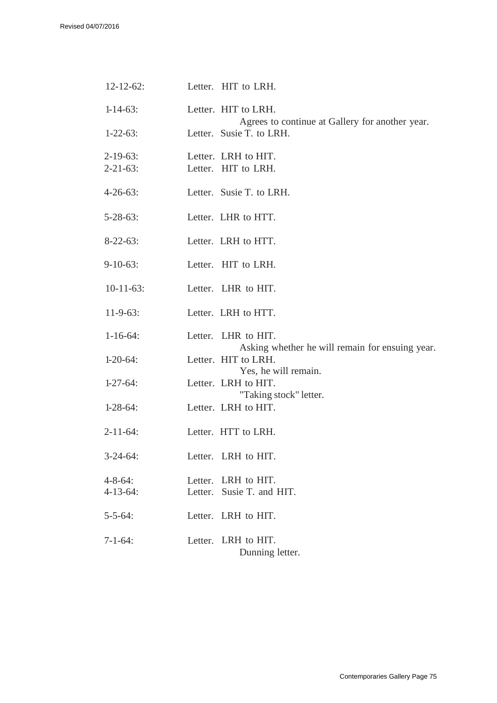| $12 - 12 - 62$ : | Letter. HIT to LRH.                                                    |
|------------------|------------------------------------------------------------------------|
| $1 - 14 - 63$ :  | Letter. HIT to LRH.<br>Agrees to continue at Gallery for another year. |
| $1 - 22 - 63$ :  | Letter. Susie T. to LRH.                                               |
| 2-19-63:         | Letter. LRH to HIT.                                                    |
| $2 - 21 - 63$ :  | Letter. HIT to LRH.                                                    |
| $4 - 26 - 63$ :  | Letter. Susie T. to LRH.                                               |
| $5 - 28 - 63$ :  | Letter. LHR to HTT.                                                    |
| $8-22-63$ :      | Letter. LRH to HTT.                                                    |
| $9-10-63$ :      | Letter. HIT to LRH.                                                    |
| $10-11-63$ :     | Letter. LHR to HIT.                                                    |
| $11-9-63$ :      | Letter. LRH to HTT.                                                    |
| $1 - 16 - 64$ :  | Letter. LHR to HIT.<br>Asking whether he will remain for ensuing year. |
| $1-20-64$ :      | Letter. HIT to LRH.<br>Yes, he will remain.                            |
| $1-27-64$ :      | Letter. LRH to HIT.                                                    |
| $1-28-64$ :      | "Taking stock" letter.<br>Letter. LRH to HIT.                          |
| 2-11-64:         | Letter. HTT to LRH.                                                    |
| $3 - 24 - 64$ :  | Letter. LRH to HIT.                                                    |
| 4-8-64:          | Letter. LRH to HIT.                                                    |
| $4 - 13 - 64$ :  | Letter. Susie T. and HIT.                                              |
| $5 - 5 - 64$ :   | Letter. LRH to HIT.                                                    |
| $7 - 1 - 64$ :   | Letter. LRH to HIT.<br>Dunning letter.                                 |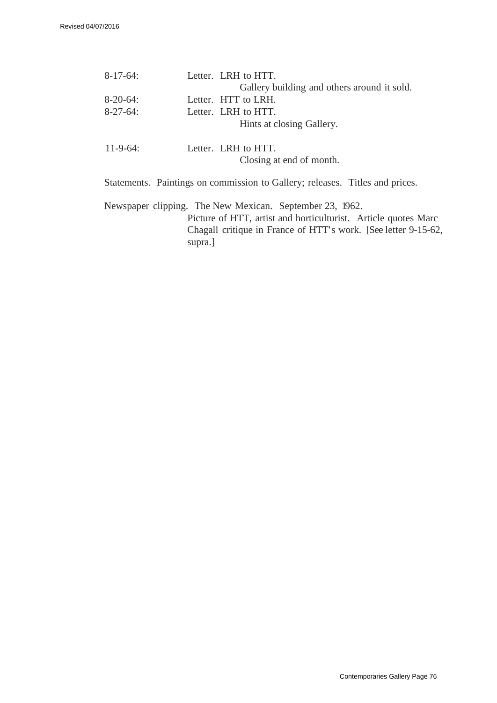| $8-17-64$ :     | Letter. LRH to HTT.                                                          |
|-----------------|------------------------------------------------------------------------------|
|                 | Gallery building and others around it sold.                                  |
| $8-20-64$ :     | Letter. HTT to LRH.                                                          |
| $8-27-64$ :     | Letter. LRH to HTT.                                                          |
|                 | Hints at closing Gallery.                                                    |
| $11 - 9 - 64$ : | Letter. LRH to HTT.                                                          |
|                 | Closing at end of month.                                                     |
|                 | Statements. Paintings on commission to Gallery; releases. Titles and prices. |

Newspaper clipping. The New Mexican. September 23, 1962. Picture of HTT, artist and horticulturist. Article quotes Marc Chagall critique in France of HTT' s work. [See letter 9-15-62, supra.]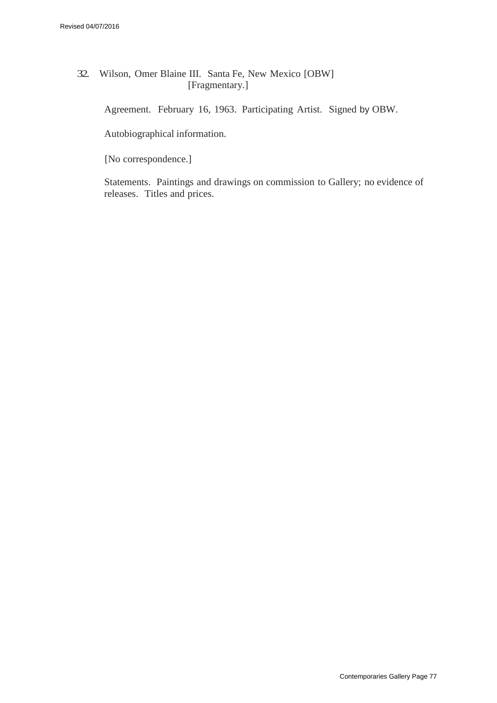32. Wilson, Omer Blaine III. Santa Fe, New Mexico [OBW] [Fragmentary.]

Agreement. February 16, 1963. Participating Artist. Signed by OBW.

Autobiographical information.

[No correspondence.]

Statements. Paintings and drawings on commission to Gallery; no evidence of releases. Titles and prices.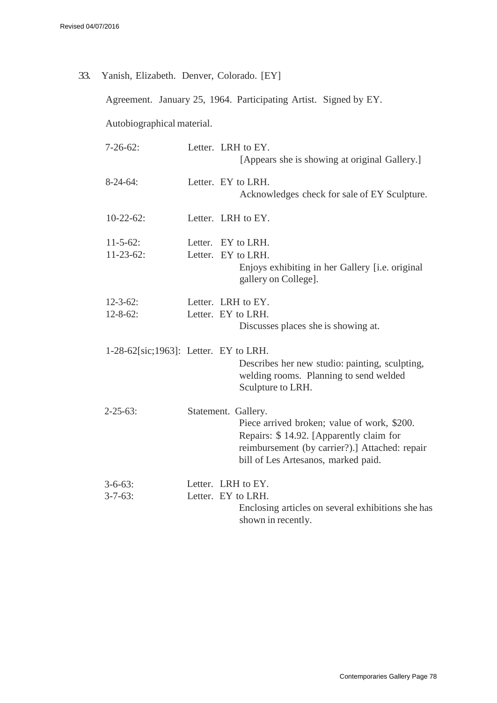33. Yanish, Elizabeth. Denver, Colorado. [EY]

Agreement. January 25, 1964. Participating Artist. Signed by EY.

Autobiographical material.

| $7 - 26 - 62$ :                          | Letter. LRH to EY.<br>[Appears she is showing at original Gallery.]                                                                                                                                    |
|------------------------------------------|--------------------------------------------------------------------------------------------------------------------------------------------------------------------------------------------------------|
| $8-24-64$ :                              | Letter. EY to LRH.<br>Acknowledges check for sale of EY Sculpture.                                                                                                                                     |
| $10-22-62$ :                             | Letter. LRH to EY.                                                                                                                                                                                     |
| $11 - 5 - 62$ :<br>$11-23-62$ :          | Letter. EY to LRH.<br>Letter. EY to LRH.<br>Enjoys exhibiting in her Gallery [i.e. original<br>gallery on College].                                                                                    |
| $12 - 3 - 62$ :<br>$12 - 8 - 62$ :       | Letter. LRH to EY.<br>Letter. EY to LRH.<br>Discusses places she is showing at.                                                                                                                        |
| $1-28-62$ [sic;1963]: Letter. EY to LRH. | Describes her new studio: painting, sculpting,<br>welding rooms. Planning to send welded<br>Sculpture to LRH.                                                                                          |
| $2 - 25 - 63$ :                          | Statement. Gallery.<br>Piece arrived broken; value of work, \$200.<br>Repairs: \$14.92. [Apparently claim for<br>reimbursement (by carrier?).] Attached: repair<br>bill of Les Artesanos, marked paid. |
| $3 - 6 - 63$ :<br>$3 - 7 - 63$ :         | Letter. LRH to EY.<br>Letter. EY to LRH.<br>Enclosing articles on several exhibitions she has<br>shown in recently.                                                                                    |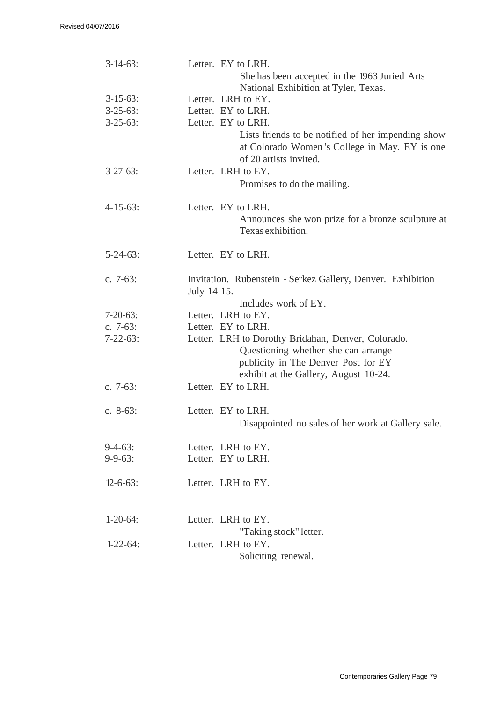| $3-14-63$ :     | Letter. EY to LRH.<br>She has been accepted in the 1963 Juried Arts                                                                                                       |
|-----------------|---------------------------------------------------------------------------------------------------------------------------------------------------------------------------|
|                 | National Exhibition at Tyler, Texas.                                                                                                                                      |
| $3-15-63$ :     | Letter. LRH to EY.                                                                                                                                                        |
| $3 - 25 - 63$ : | Letter. EY to LRH.                                                                                                                                                        |
| $3-25-63$ :     | Letter. EY to LRH.                                                                                                                                                        |
|                 | Lists friends to be notified of her impending show<br>at Colorado Women's College in May. EY is one<br>of 20 artists invited.                                             |
| $3 - 27 - 63$ : | Letter. LRH to EY.                                                                                                                                                        |
|                 | Promises to do the mailing.                                                                                                                                               |
| $4 - 15 - 63$ : | Letter. EY to LRH.                                                                                                                                                        |
|                 | Announces she won prize for a bronze sculpture at<br>Texas exhibition.                                                                                                    |
| $5 - 24 - 63$ : | Letter. EY to LRH.                                                                                                                                                        |
| c. $7-63$ :     | Invitation. Rubenstein - Serkez Gallery, Denver. Exhibition                                                                                                               |
|                 | July 14-15.                                                                                                                                                               |
|                 | Includes work of EY.                                                                                                                                                      |
| $7 - 20 - 63$ : | Letter. LRH to EY.                                                                                                                                                        |
| c. $7-63$ :     | Letter. EY to LRH.                                                                                                                                                        |
| $7 - 22 - 63$ : | Letter. LRH to Dorothy Bridahan, Denver, Colorado.<br>Questioning whether she can arrange<br>publicity in The Denver Post for EY<br>exhibit at the Gallery, August 10-24. |
| c. $7-63$ :     | Letter. EY to LRH.                                                                                                                                                        |
| c. 8-63:        | Letter. EY to LRH.<br>Disappointed no sales of her work at Gallery sale.                                                                                                  |
| $9-4-63$ :      | Letter. LRH to EY.                                                                                                                                                        |
| $9 - 9 - 63$ :  | Letter. EY to LRH.                                                                                                                                                        |
| $12 - 6 - 63$ : | Letter. LRH to EY.                                                                                                                                                        |
| $1 - 20 - 64$ : | Letter. LRH to EY.<br>"Taking stock" letter.                                                                                                                              |
| $1-22-64$ :     | Letter. LRH to EY.                                                                                                                                                        |
|                 | Soliciting renewal.                                                                                                                                                       |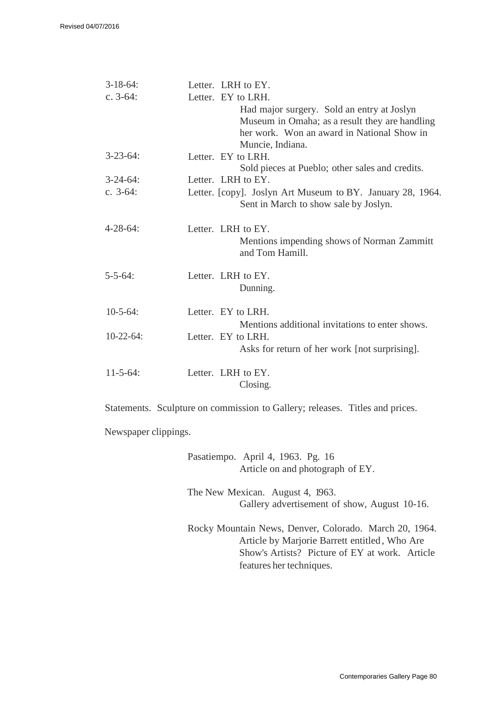| $3-18-64$ :     | Letter. LRH to EY.                                         |
|-----------------|------------------------------------------------------------|
| c. $3-64$ :     | Letter. EY to LRH.                                         |
|                 | Had major surgery. Sold an entry at Joslyn                 |
|                 | Museum in Omaha; as a result they are handling             |
|                 | her work. Won an award in National Show in                 |
|                 | Muncie, Indiana.                                           |
| $3 - 23 - 64$ : | Letter. EY to LRH.                                         |
|                 | Sold pieces at Pueblo; other sales and credits.            |
| $3 - 24 - 64$ : | Letter. LRH to EY.                                         |
| c. $3-64$ :     | Letter. [copy]. Joslyn Art Museum to BY. January 28, 1964. |
|                 | Sent in March to show sale by Joslyn.                      |
| $4 - 28 - 64$ : | Letter. LRH to EY.                                         |
|                 | Mentions impending shows of Norman Zammitt                 |
|                 | and Tom Hamill.                                            |
|                 |                                                            |
| $5 - 5 - 64$ :  | Letter. LRH to EY.                                         |
|                 | Dunning.                                                   |
|                 |                                                            |
| $10-5-64$ :     | Letter. EY to LRH.                                         |
|                 | Mentions additional invitations to enter shows.            |
| $10-22-64$ :    | Letter. EY to LRH.                                         |
|                 | Asks for return of her work [not surprising].              |
|                 |                                                            |
| $11 - 5 - 64$ : | Letter. LRH to EY.                                         |
|                 | Closing.                                                   |

Statements. Sculpture on commission to Gallery; releases. Titles and prices.

Newspaper clippings.

| Pasatiempo. April 4, 1963. Pg. 16<br>Article on and photograph of EY. |                                                                                                                                                           |
|-----------------------------------------------------------------------|-----------------------------------------------------------------------------------------------------------------------------------------------------------|
| The New Mexican. August 4, 1963.                                      | Gallery advertisement of show, August 10-16.                                                                                                              |
| features her techniques.                                              | Rocky Mountain News, Denver, Colorado. March 20, 1964.<br>Article by Marjorie Barrett entitled, Who Are<br>Show's Artists? Picture of EY at work. Article |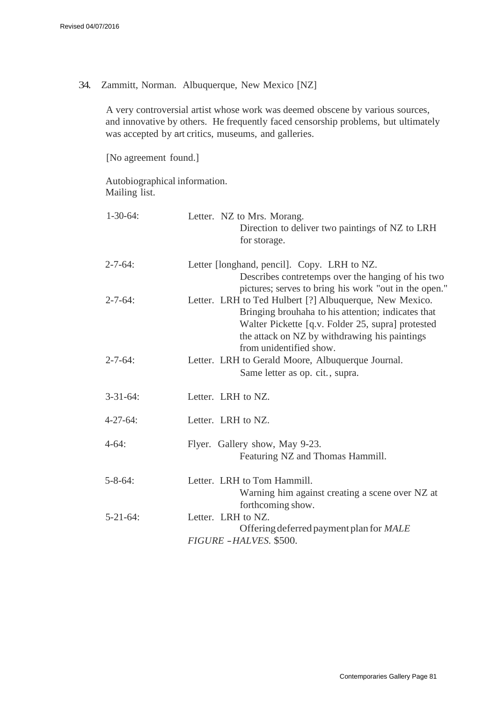34. Zammitt, Norman. Albuquerque, New Mexico [NZ]

A very controversial artist whose work was deemed obscene by various sources, and innovative by others. He frequently faced censorship problems, but ultimately was accepted by art critics, museums, and galleries.

[No agreement found.]

Autobiographical information. Mailing list.

| $1 - 30 - 64$ : | Letter. NZ to Mrs. Morang.<br>Direction to deliver two paintings of NZ to LRH<br>for storage.                                                                                                                                                  |
|-----------------|------------------------------------------------------------------------------------------------------------------------------------------------------------------------------------------------------------------------------------------------|
| $2 - 7 - 64$ :  | Letter [longhand, pencil]. Copy. LRH to NZ.<br>Describes contretemps over the hanging of his two<br>pictures; serves to bring his work "out in the open."                                                                                      |
| $2 - 7 - 64$ :  | Letter. LRH to Ted Hulbert [?] Albuquerque, New Mexico.<br>Bringing brouhaha to his attention; indicates that<br>Walter Pickette [q.v. Folder 25, supra] protested<br>the attack on NZ by withdrawing his paintings<br>from unidentified show. |
| $2 - 7 - 64$ :  | Letter. LRH to Gerald Moore, Albuquerque Journal.<br>Same letter as op. cit., supra.                                                                                                                                                           |
| $3 - 31 - 64$ : | Letter. LRH to NZ.                                                                                                                                                                                                                             |
| $4 - 27 - 64$ : | Letter. LRH to NZ.                                                                                                                                                                                                                             |
| $4 - 64:$       | Flyer. Gallery show, May 9-23.<br>Featuring NZ and Thomas Hammill.                                                                                                                                                                             |
| $5 - 8 - 64$ :  | Letter. LRH to Tom Hammill.<br>Warning him against creating a scene over NZ at<br>forthcoming show.                                                                                                                                            |
| $5 - 21 - 64$ : | Letter. LRH to NZ.<br>Offering deferred payment plan for MALE<br>FIGURE - HALVES. \$500.                                                                                                                                                       |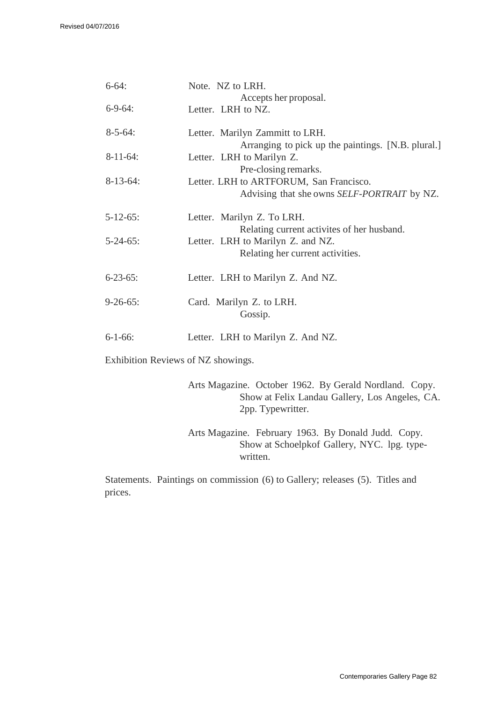| $6 - 64$ :      | Note. NZ to LRH.                                   |
|-----------------|----------------------------------------------------|
|                 | Accepts her proposal.                              |
| $6-9-64$ :      | Letter. LRH to NZ.                                 |
| $8 - 5 - 64$ :  | Letter. Marilyn Zammitt to LRH.                    |
|                 | Arranging to pick up the paintings. [N.B. plural.] |
| $8-11-64$ :     | Letter. LRH to Marilyn Z.                          |
|                 | Pre-closing remarks.                               |
| $8-13-64$ :     | Letter. LRH to ARTFORUM, San Francisco.            |
|                 | Advising that she owns <i>SELF-PORTRAIT</i> by NZ. |
| $5 - 12 - 65$ : | Letter. Marilyn Z. To LRH.                         |
|                 | Relating current activites of her husband.         |
| $5 - 24 - 65$ : | Letter. LRH to Marilyn Z. and NZ.                  |
|                 | Relating her current activities.                   |
| $6 - 23 - 65$ : | Letter. LRH to Marilyn Z. And NZ.                  |
|                 |                                                    |
| $9 - 26 - 65$ : | Card. Marilyn Z. to LRH.                           |
|                 | Gossip.                                            |
| $6 - 1 - 66$ :  | Letter. LRH to Marilyn Z. And NZ.                  |
|                 |                                                    |

Exhibition Reviews of NZ showings.

Arts Magazine. October 1962. By Gerald Nordland. Copy. Show at Felix Landau Gallery, Los Angeles, CA. 2pp. Typewritter.

Arts Magazine. February 1963. By Donald Judd. Copy. Show at Schoelpkof Gallery, NYC. lpg. typewritten.

Statements. Paintings on commission (6) to Gallery; releases (5). Titles and prices.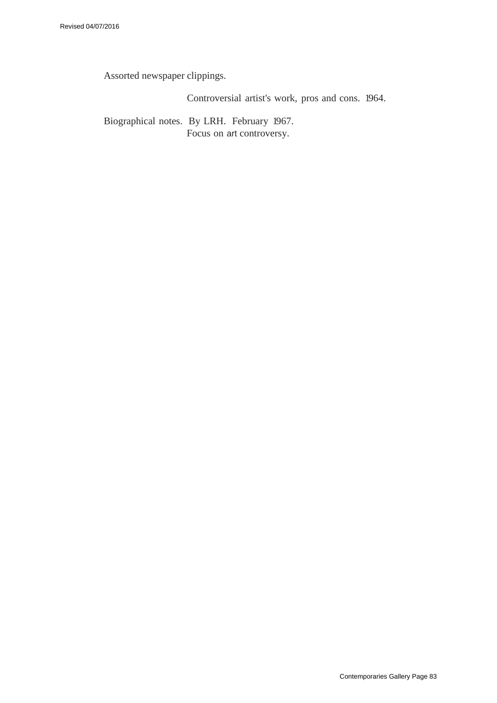Assorted newspaper clippings.

Controversial artist's work, pros and cons. 1964.

Biographical notes. By LRH. February 1967. Focus on art controversy.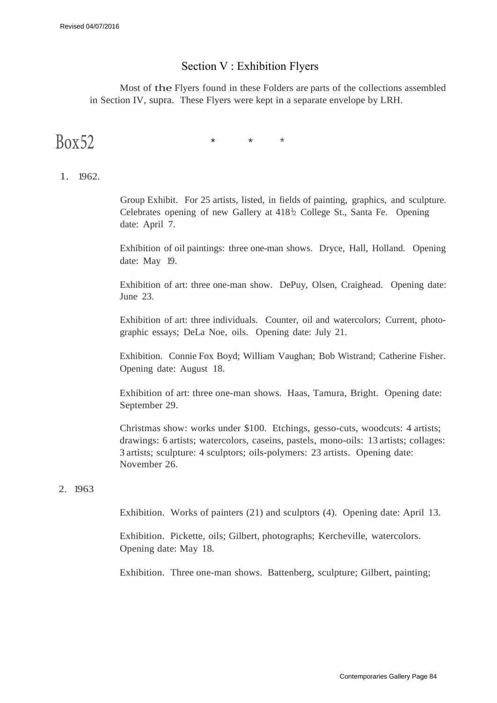## Section V : Exhibition Flyers

Most of the Flyers found in these Folders are parts of the collections assembled in Section IV, supra. These Flyers were kept in a separate envelope by LRH.

 $Box 52$  \* \* \*

## 1. 1962.

Group Exhibit. For 25 artists, listed, in fields of painting, graphics, and sculpture. Celebrates opening of new Gallery at  $418\frac{1}{2}$  College St., Santa Fe. Opening date: April 7.

Exhibition of oil paintings: three one-man shows. Dryce, Hall, Holland. Opening date: May 19.

Exhibition of art: three one-man show. DePuy, Olsen, Craighead. Opening date: June 23.

Exhibition of art: three individuals. Counter, oil and watercolors; Current, photographic essays; DeLa Noe, oils. Opening date: July 21.

Exhibition. Connie Fox Boyd; William Vaughan; Bob Wistrand; Catherine Fisher. Opening date: August 18.

Exhibition of art: three one-man shows. Haas, Tamura, Bright. Opening date: September 29.

Christmas show: works under \$100. Etchings, gesso-cuts, woodcuts: 4 artists; drawings: 6 artists; watercolors, caseins, pastels, mono-oils: 13 artists; collages: 3 artists; sculpture: 4 sculptors; oils-polymers: 23 artists. Opening date: November 26.

## 2. 1963

Exhibition. Works of painters (21) and sculptors (4). Opening date: April 13.

Exhibition. Pickette, oils; Gilbert, photographs; Kercheville, watercolors. Opening date: May 18.

Exhibition. Three one-man shows. Battenberg, sculpture; Gilbert, painting;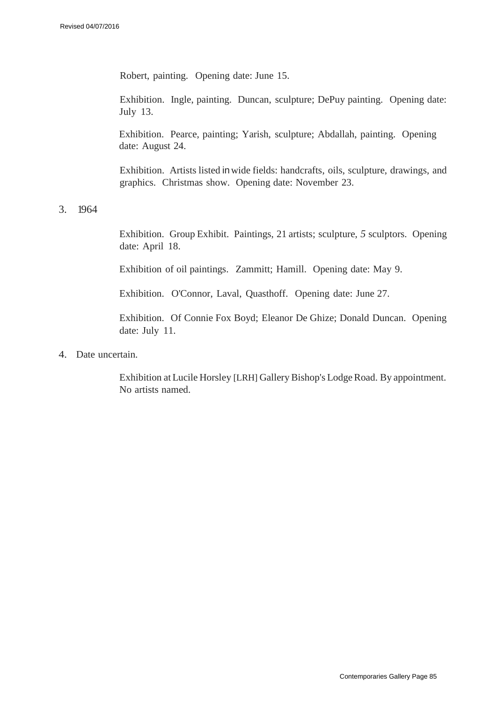Robert, painting. Opening date: June 15.

Exhibition. Ingle, painting. Duncan, sculpture; DePuy painting. Opening date: July 13.

Exhibition. Pearce, painting; Yarish, sculpture; Abdallah, painting. Opening date: August 24.

Exhibition. Artists listed inwide fields: handcrafts, oils, sculpture, drawings, and graphics. Christmas show. Opening date: November 23.

3. 1964

Exhibition. Group Exhibit. Paintings, 21 artists; sculpture, *5* sculptors. Opening date: April 18.

Exhibition of oil paintings. Zammitt; Hamill. Opening date: May 9.

Exhibition. O'Connor, Laval, Quasthoff. Opening date: June 27.

Exhibition. Of Connie Fox Boyd; Eleanor De Ghize; Donald Duncan. Opening date: July 11.

4. Date uncertain.

Exhibition atLucile Horsley [LRH] Gallery Bishop's Lodge Road. By appointment. No artists named.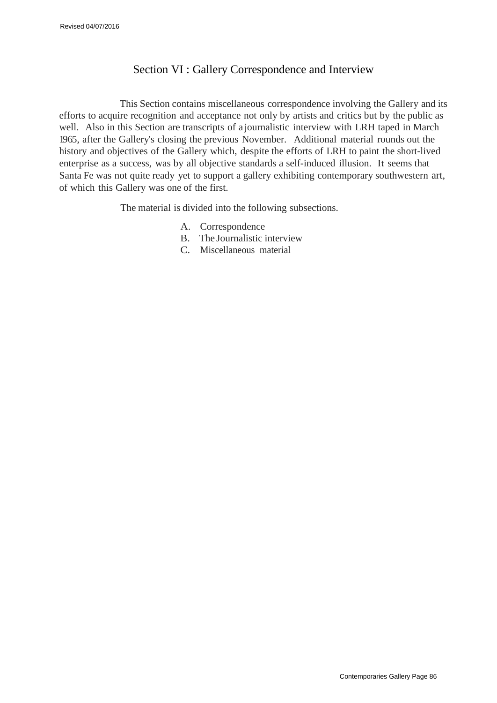# Section VI : Gallery Correspondence and Interview

This Section contains miscellaneous correspondence involving the Gallery and its efforts to acquire recognition and acceptance not only by artists and critics but by the public as well. Also in this Section are transcripts of a journalistic interview with LRH taped in March 1965, after the Gallery's closing the previous November. Additional material rounds out the history and objectives of the Gallery which, despite the efforts of LRH to paint the short-lived enterprise as a success, was by all objective standards a self-induced illusion. It seems that Santa Fe was not quite ready yet to support a gallery exhibiting contemporary southwestern art, of which this Gallery was one of the first.

The material is divided into the following subsections.

- A. Correspondence
- B. The Journalistic interview
- C. Miscellaneous material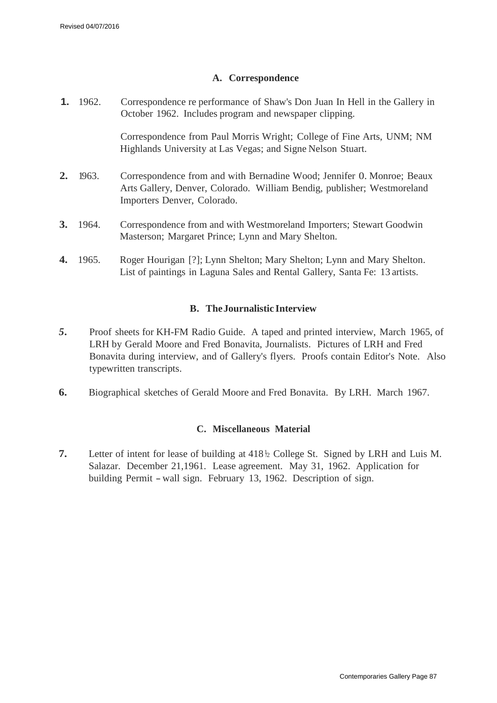## **A. Correspondence**

**1.** 1962. Correspondence re performance of Shaw's Don Juan In Hell in the Gallery in October 1962. Includes program and newspaper clipping.

> Correspondence from Paul Morris Wright; College of Fine Arts, UNM; NM Highlands University at Las Vegas; and Signe Nelson Stuart.

- **2.** 1963. Correspondence from and with Bernadine Wood; Jennifer 0. Monroe; Beaux Arts Gallery, Denver, Colorado. William Bendig, publisher; Westmoreland Importers Denver, Colorado.
- **3.** 1964. Correspondence from and with Westmoreland Importers; Stewart Goodwin Masterson; Margaret Prince; Lynn and Mary Shelton.
- **4.** 1965. Roger Hourigan [?]; Lynn Shelton; Mary Shelton; Lynn and Mary Shelton. List of paintings in Laguna Sales and Rental Gallery, Santa Fe: 13 artists.

## **B. The Journalistic Interview**

- *5.* Proof sheets for KH-FM Radio Guide. A taped and printed interview, March 1965, of LRH by Gerald Moore and Fred Bonavita, Journalists. Pictures of LRH and Fred Bonavita during interview, and of Gallery's flyers. Proofs contain Editor's Note. Also typewritten transcripts.
- **6.** Biographical sketches of Gerald Moore and Fred Bonavita. By LRH. March 1967.

## **C. Miscellaneous Material**

**7.** Letter of intent for lease of building at 418<sup>h</sup> College St. Signed by LRH and Luis M. Salazar. December 21,1961. Lease agreement. May 31, 1962. Application for building Permit - wall sign. February 13, 1962. Description of sign.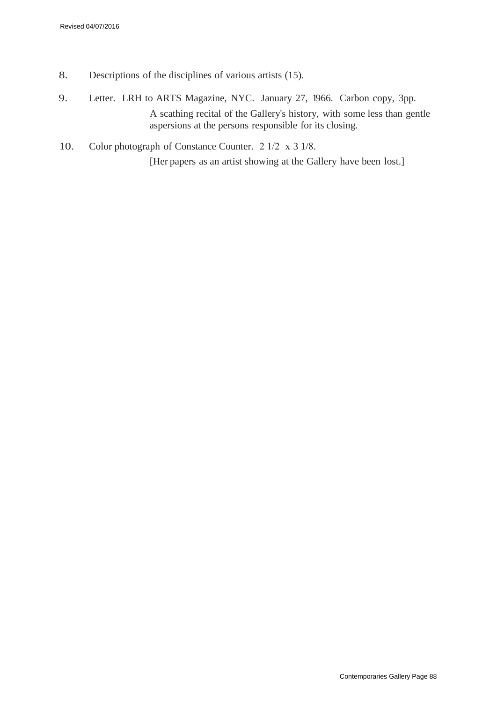- 8. Descriptions of the disciplines of various artists (15).
- 9. Letter. LRH to ARTS Magazine, NYC. January 27, 1966. Carbon copy, 3pp. A scathing recital of the Gallery's history, with some less than gentle aspersions at the persons responsible for its closing.
- 10. Color photograph of Constance Counter. 2 1/2 x 3 1/8. [Her papers as an artist showing at the Gallery have been lost.]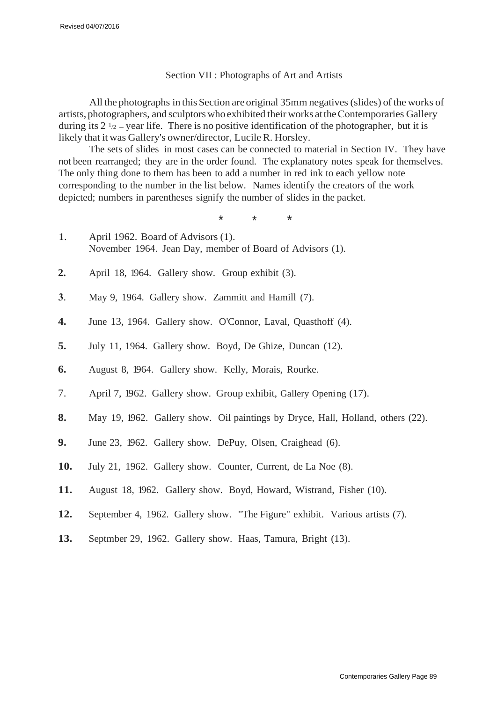#### Section VII : Photographs of Art and Artists

All the photographs in this Section are original 35mm negatives (slides) of the works of artists, photographers, and sculptors who exhibited their works at the Contemporaries Gallery during its  $2^{1/2}$  – year life. There is no positive identification of the photographer, but it is likely that it was Gallery's owner/director, LucileR. Horsley.

The sets of slides in most cases can be connected to material in Section IV. They have not been rearranged; they are in the order found. The explanatory notes speak for themselves. The only thing done to them has been to add a number in red ink to each yellow note corresponding to the number in the list below. Names identify the creators of the work depicted; numbers in parentheses signify the number of slides in the packet.

\* \* \*

- **1**. April 1962. Board of Advisors (1). November 1964. Jean Day, member of Board of Advisors (1).
- **2.** April 18, 1964. Gallery show. Group exhibit (3).
- **3**. May 9, 1964. Gallery show. Zammitt and Hamill (7).
- **4.** June 13, 1964. Gallery show. O'Connor, Laval, Quasthoff (4).
- **5.** July 11, 1964. Gallery show. Boyd, De Ghize, Duncan (12).
- **6.** August 8, 1964. Gallery show. Kelly, Morais, Rourke.
- 7. April 7, 1962. Gallery show. Group exhibit, Gallery Opening (17).
- **8.** May 19, 1962. Gallery show. Oil paintings by Dryce, Hall, Holland, others (22).
- **9.** June 23, 1962. Gallery show. DePuy, Olsen, Craighead (6).
- **10.** July 21, 1962. Gallery show. Counter, Current, de La Noe (8).
- **11.** August 18, 1962. Gallery show. Boyd, Howard, Wistrand, Fisher (10).
- **12.** September 4, 1962. Gallery show. "The Figure" exhibit. Various artists (7).
- **13.** Septmber 29, 1962. Gallery show. Haas, Tamura, Bright (13).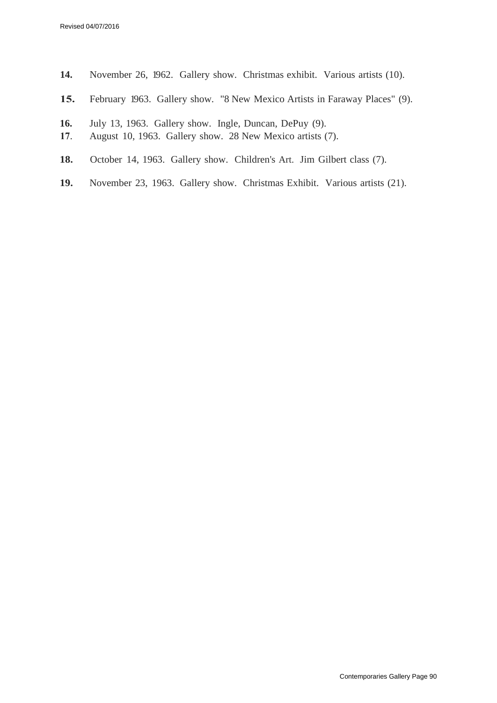- **14.** November 26, 1962. Gallery show. Christmas exhibit. Various artists (10).
- **15.** February 1963. Gallery show. "8 New Mexico Artists in Faraway Places" (9).
- **16.** July 13, 1963. Gallery show. Ingle, Duncan, DePuy (9).
- **17**. August 10, 1963. Gallery show. 28 New Mexico artists (7).
- **18.** October 14, 1963. Gallery show. Children's Art. Jim Gilbert class (7).
- **19.** November 23, 1963. Gallery show. Christmas Exhibit. Various artists (21).